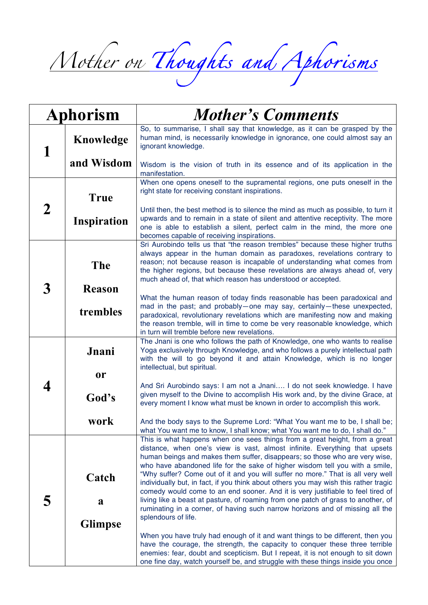*Mother on Thoughts and Aphorisms*

| Aphorism |                              | <b>Mother's Comments</b>                                                                                                                                                                                                                                                                                                                                                                                                                                                                                                                                                                                                                                                                                                                                                            |
|----------|------------------------------|-------------------------------------------------------------------------------------------------------------------------------------------------------------------------------------------------------------------------------------------------------------------------------------------------------------------------------------------------------------------------------------------------------------------------------------------------------------------------------------------------------------------------------------------------------------------------------------------------------------------------------------------------------------------------------------------------------------------------------------------------------------------------------------|
| 1        | Knowledge                    | So, to summarise, I shall say that knowledge, as it can be grasped by the<br>human mind, is necessarily knowledge in ignorance, one could almost say an<br>ignorant knowledge.                                                                                                                                                                                                                                                                                                                                                                                                                                                                                                                                                                                                      |
|          | and Wisdom                   | Wisdom is the vision of truth in its essence and of its application in the<br>manifestation.                                                                                                                                                                                                                                                                                                                                                                                                                                                                                                                                                                                                                                                                                        |
| 2        | <b>True</b>                  | When one opens oneself to the supramental regions, one puts oneself in the<br>right state for receiving constant inspirations.<br>Until then, the best method is to silence the mind as much as possible, to turn it                                                                                                                                                                                                                                                                                                                                                                                                                                                                                                                                                                |
|          | Inspiration                  | upwards and to remain in a state of silent and attentive receptivity. The more<br>one is able to establish a silent, perfect calm in the mind, the more one<br>becomes capable of receiving inspirations.                                                                                                                                                                                                                                                                                                                                                                                                                                                                                                                                                                           |
|          | <b>The</b>                   | Sri Aurobindo tells us that "the reason trembles" because these higher truths<br>always appear in the human domain as paradoxes, revelations contrary to<br>reason; not because reason is incapable of understanding what comes from<br>the higher regions, but because these revelations are always ahead of, very<br>much ahead of, that which reason has understood or accepted.                                                                                                                                                                                                                                                                                                                                                                                                 |
| 3        | <b>Reason</b><br>trembles    | What the human reason of today finds reasonable has been paradoxical and<br>mad in the past; and probably-one may say, certainly-these unexpected,<br>paradoxical, revolutionary revelations which are manifesting now and making<br>the reason tremble, will in time to come be very reasonable knowledge, which<br>in turn will tremble before new revelations.                                                                                                                                                                                                                                                                                                                                                                                                                   |
|          | Jnani<br><b>or</b>           | The Jnani is one who follows the path of Knowledge, one who wants to realise<br>Yoga exclusively through Knowledge, and who follows a purely intellectual path<br>with the will to go beyond it and attain Knowledge, which is no longer<br>intellectual, but spiritual.                                                                                                                                                                                                                                                                                                                                                                                                                                                                                                            |
|          | God's                        | And Sri Aurobindo says: I am not a Jnani I do not seek knowledge. I have<br>given myself to the Divine to accomplish His work and, by the divine Grace, at<br>every moment I know what must be known in order to accomplish this work.                                                                                                                                                                                                                                                                                                                                                                                                                                                                                                                                              |
|          | work                         | And the body says to the Supreme Lord: "What You want me to be, I shall be;<br>what You want me to know, I shall know; what You want me to do, I shall do."                                                                                                                                                                                                                                                                                                                                                                                                                                                                                                                                                                                                                         |
| 5        | Catch<br>a<br><b>Glimpse</b> | This is what happens when one sees things from a great height, from a great<br>distance, when one's view is vast, almost infinite. Everything that upsets<br>human beings and makes them suffer, disappears; so those who are very wise,<br>who have abandoned life for the sake of higher wisdom tell you with a smile,<br>"Why suffer? Come out of it and you will suffer no more." That is all very well<br>individually but, in fact, if you think about others you may wish this rather tragic<br>comedy would come to an end sooner. And it is very justifiable to feel tired of<br>living like a beast at pasture, of roaming from one patch of grass to another, of<br>ruminating in a corner, of having such narrow horizons and of missing all the<br>splendours of life. |
|          |                              | When you have truly had enough of it and want things to be different, then you<br>have the courage, the strength, the capacity to conquer these three terrible<br>enemies: fear, doubt and scepticism. But I repeat, it is not enough to sit down<br>one fine day, watch yourself be, and struggle with these things inside you once                                                                                                                                                                                                                                                                                                                                                                                                                                                |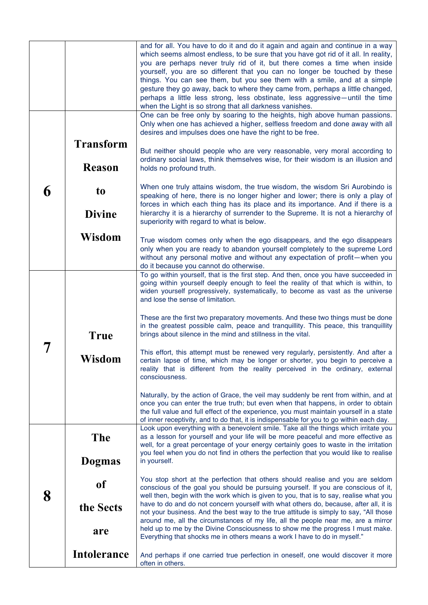|   |                    | and for all. You have to do it and do it again and again and continue in a way<br>which seems almost endless, to be sure that you have got rid of it all. In reality,<br>you are perhaps never truly rid of it, but there comes a time when inside<br>yourself, you are so different that you can no longer be touched by these<br>things. You can see them, but you see them with a smile, and at a simple<br>gesture they go away, back to where they came from, perhaps a little changed,<br>perhaps a little less strong, less obstinate, less aggressive—until the time<br>when the Light is so strong that all darkness vanishes. |
|---|--------------------|-----------------------------------------------------------------------------------------------------------------------------------------------------------------------------------------------------------------------------------------------------------------------------------------------------------------------------------------------------------------------------------------------------------------------------------------------------------------------------------------------------------------------------------------------------------------------------------------------------------------------------------------|
|   | <b>Transform</b>   | One can be free only by soaring to the heights, high above human passions.<br>Only when one has achieved a higher, selfless freedom and done away with all<br>desires and impulses does one have the right to be free.<br>But neither should people who are very reasonable, very moral according to                                                                                                                                                                                                                                                                                                                                    |
|   | <b>Reason</b>      | ordinary social laws, think themselves wise, for their wisdom is an illusion and<br>holds no profound truth.                                                                                                                                                                                                                                                                                                                                                                                                                                                                                                                            |
| 6 | t <sub>0</sub>     | When one truly attains wisdom, the true wisdom, the wisdom Sri Aurobindo is<br>speaking of here, there is no longer higher and lower; there is only a play of                                                                                                                                                                                                                                                                                                                                                                                                                                                                           |
|   | <b>Divine</b>      | forces in which each thing has its place and its importance. And if there is a<br>hierarchy it is a hierarchy of surrender to the Supreme. It is not a hierarchy of<br>superiority with regard to what is below.                                                                                                                                                                                                                                                                                                                                                                                                                        |
|   | Wisdom             | True wisdom comes only when the ego disappears, and the ego disappears<br>only when you are ready to abandon yourself completely to the supreme Lord<br>without any personal motive and without any expectation of profit-when you<br>do it because you cannot do otherwise.                                                                                                                                                                                                                                                                                                                                                            |
|   |                    | To go within yourself, that is the first step. And then, once you have succeeded in<br>going within yourself deeply enough to feel the reality of that which is within, to<br>widen yourself progressively, systematically, to become as vast as the universe<br>and lose the sense of limitation.                                                                                                                                                                                                                                                                                                                                      |
|   | <b>True</b>        | These are the first two preparatory movements. And these two things must be done<br>in the greatest possible calm, peace and tranquillity. This peace, this tranquillity<br>brings about silence in the mind and stillness in the vital.                                                                                                                                                                                                                                                                                                                                                                                                |
|   | Wisdom             | This effort, this attempt must be renewed very regularly, persistently. And after a<br>certain lapse of time, which may be longer or shorter, you begin to perceive a<br>reality that is different from the reality perceived in the ordinary, external<br>consciousness.                                                                                                                                                                                                                                                                                                                                                               |
|   |                    | Naturally, by the action of Grace, the veil may suddenly be rent from within, and at<br>once you can enter the true truth; but even when that happens, in order to obtain<br>the full value and full effect of the experience, you must maintain yourself in a state<br>of inner receptivity, and to do that, it is indispensable for you to go within each day.                                                                                                                                                                                                                                                                        |
|   | <b>The</b>         | Look upon everything with a benevolent smile. Take all the things which irritate you<br>as a lesson for yourself and your life will be more peaceful and more effective as<br>well, for a great percentage of your energy certainly goes to waste in the irritation<br>you feel when you do not find in others the perfection that you would like to realise                                                                                                                                                                                                                                                                            |
| 8 | <b>Dogmas</b>      | in yourself.                                                                                                                                                                                                                                                                                                                                                                                                                                                                                                                                                                                                                            |
|   | <sub>of</sub>      | You stop short at the perfection that others should realise and you are seldom<br>conscious of the goal you should be pursuing yourself. If you are conscious of it,<br>well then, begin with the work which is given to you, that is to say, realise what you                                                                                                                                                                                                                                                                                                                                                                          |
|   | the Sects          | have to do and do not concern yourself with what others do, because, after all, it is<br>not your business. And the best way to the true attitude is simply to say, "All those<br>around me, all the circumstances of my life, all the people near me, are a mirror                                                                                                                                                                                                                                                                                                                                                                     |
|   | are                | held up to me by the Divine Consciousness to show me the progress I must make.<br>Everything that shocks me in others means a work I have to do in myself."                                                                                                                                                                                                                                                                                                                                                                                                                                                                             |
|   | <b>Intolerance</b> | And perhaps if one carried true perfection in oneself, one would discover it more<br>often in others.                                                                                                                                                                                                                                                                                                                                                                                                                                                                                                                                   |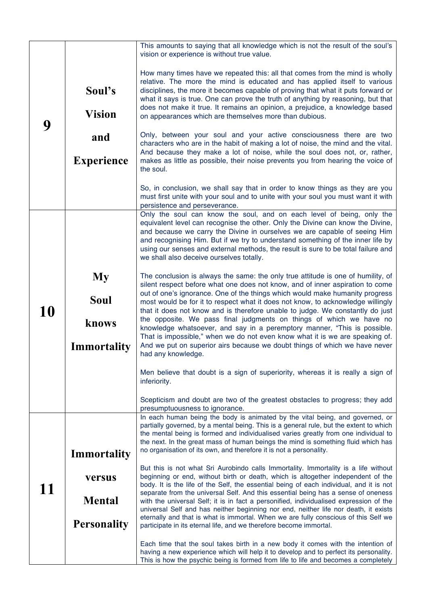|    |                    | This amounts to saying that all knowledge which is not the result of the soul's<br>vision or experience is without true value.                                               |
|----|--------------------|------------------------------------------------------------------------------------------------------------------------------------------------------------------------------|
|    |                    |                                                                                                                                                                              |
|    |                    | How many times have we repeated this: all that comes from the mind is wholly                                                                                                 |
|    |                    | relative. The more the mind is educated and has applied itself to various                                                                                                    |
|    | Soul's             | disciplines, the more it becomes capable of proving that what it puts forward or                                                                                             |
|    |                    | what it says is true. One can prove the truth of anything by reasoning, but that                                                                                             |
|    | <b>Vision</b>      | does not make it true. It remains an opinion, a prejudice, a knowledge based                                                                                                 |
|    |                    | on appearances which are themselves more than dubious.                                                                                                                       |
| 9  |                    |                                                                                                                                                                              |
|    | and                | Only, between your soul and your active consciousness there are two<br>characters who are in the habit of making a lot of noise, the mind and the vital.                     |
|    |                    | And because they make a lot of noise, while the soul does not, or, rather,                                                                                                   |
|    | <b>Experience</b>  | makes as little as possible, their noise prevents you from hearing the voice of                                                                                              |
|    |                    | the soul.                                                                                                                                                                    |
|    |                    |                                                                                                                                                                              |
|    |                    | So, in conclusion, we shall say that in order to know things as they are you                                                                                                 |
|    |                    | must first unite with your soul and to unite with your soul you must want it with<br>persistence and perseverance.                                                           |
|    |                    | Only the soul can know the soul, and on each level of being, only the                                                                                                        |
|    |                    | equivalent level can recognise the other. Only the Divine can know the Divine,                                                                                               |
|    |                    | and because we carry the Divine in ourselves we are capable of seeing Him                                                                                                    |
|    |                    | and recognising Him. But if we try to understand something of the inner life by                                                                                              |
|    |                    | using our senses and external methods, the result is sure to be total failure and<br>we shall also deceive ourselves totally.                                                |
|    |                    |                                                                                                                                                                              |
|    | <b>My</b>          | The conclusion is always the same: the only true attitude is one of humility, of                                                                                             |
|    |                    | silent respect before what one does not know, and of inner aspiration to come                                                                                                |
|    | Soul               | out of one's ignorance. One of the things which would make humanity progress                                                                                                 |
| 10 |                    | most would be for it to respect what it does not know, to acknowledge willingly<br>that it does not know and is therefore unable to judge. We constantly do just             |
|    |                    | the opposite. We pass final judgments on things of which we have no                                                                                                          |
|    | knows              | knowledge whatsoever, and say in a peremptory manner, "This is possible.                                                                                                     |
|    |                    | That is impossible," when we do not even know what it is we are speaking of.                                                                                                 |
|    | Immortality        | And we put on superior airs because we doubt things of which we have never<br>had any knowledge.                                                                             |
|    |                    |                                                                                                                                                                              |
|    |                    | Men believe that doubt is a sign of superiority, whereas it is really a sign of                                                                                              |
|    |                    | inferiority.                                                                                                                                                                 |
|    |                    |                                                                                                                                                                              |
|    |                    | Scepticism and doubt are two of the greatest obstacles to progress; they add                                                                                                 |
|    |                    | presumptuousness to ignorance.<br>In each human being the body is animated by the vital being, and governed, or                                                              |
|    |                    | partially governed, by a mental being. This is a general rule, but the extent to which                                                                                       |
|    |                    | the mental being is formed and individualised varies greatly from one individual to                                                                                          |
|    |                    | the next. In the great mass of human beings the mind is something fluid which has<br>no organisation of its own, and therefore it is not a personality.                      |
|    | <b>Immortality</b> |                                                                                                                                                                              |
|    |                    | But this is not what Sri Aurobindo calls Immortality. Immortality is a life without                                                                                          |
|    | versus             | beginning or end, without birth or death, which is altogether independent of the                                                                                             |
| 11 |                    | body. It is the life of the Self, the essential being of each individual, and it is not<br>separate from the universal Self. And this essential being has a sense of oneness |
|    | <b>Mental</b>      | with the universal Self; it is in fact a personified, individualised expression of the                                                                                       |
|    |                    | universal Self and has neither beginning nor end, neither life nor death, it exists                                                                                          |
|    | <b>Personality</b> | eternally and that is what is immortal. When we are fully conscious of this Self we                                                                                          |
|    |                    | participate in its eternal life, and we therefore become immortal.                                                                                                           |
|    |                    | Each time that the soul takes birth in a new body it comes with the intention of                                                                                             |
|    |                    | having a new experience which will help it to develop and to perfect its personality.                                                                                        |
|    |                    | This is how the psychic being is formed from life to life and becomes a completely                                                                                           |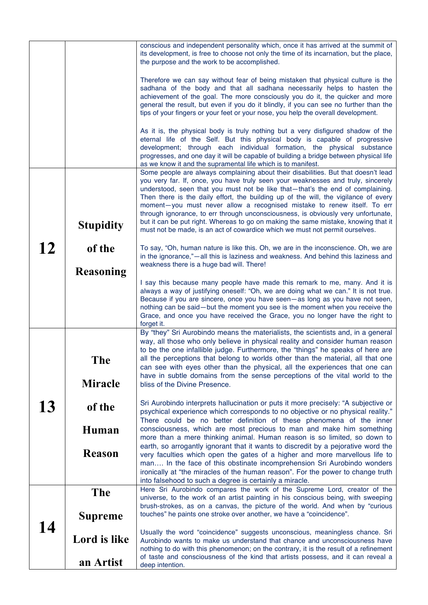|    |                            | conscious and independent personality which, once it has arrived at the summit of<br>its development, is free to choose not only the time of its incarnation, but the place,<br>the purpose and the work to be accomplished.                                                                                                                                                                                                                                                                                                                                                                           |
|----|----------------------------|--------------------------------------------------------------------------------------------------------------------------------------------------------------------------------------------------------------------------------------------------------------------------------------------------------------------------------------------------------------------------------------------------------------------------------------------------------------------------------------------------------------------------------------------------------------------------------------------------------|
|    |                            | Therefore we can say without fear of being mistaken that physical culture is the<br>sadhana of the body and that all sadhana necessarily helps to hasten the<br>achievement of the goal. The more consciously you do it, the quicker and more<br>general the result, but even if you do it blindly, if you can see no further than the<br>tips of your fingers or your feet or your nose, you help the overall development.                                                                                                                                                                            |
|    |                            | As it is, the physical body is truly nothing but a very disfigured shadow of the<br>eternal life of the Self. But this physical body is capable of progressive<br>development; through each individual formation, the physical substance<br>progresses, and one day it will be capable of building a bridge between physical life<br>as we know it and the supramental life which is to manifest.                                                                                                                                                                                                      |
|    |                            | Some people are always complaining about their disabilities. But that doesn't lead<br>you very far. If, once, you have truly seen your weaknesses and truly, sincerely<br>understood, seen that you must not be like that-that's the end of complaining.<br>Then there is the daily effort, the building up of the will, the vigilance of every<br>moment-you must never allow a recognised mistake to renew itself. To err<br>through ignorance, to err through unconsciousness, is obviously very unfortunate,<br>but it can be put right. Whereas to go on making the same mistake, knowing that it |
|    | <b>Stupidity</b>           | must not be made, is an act of cowardice which we must not permit ourselves.                                                                                                                                                                                                                                                                                                                                                                                                                                                                                                                           |
| 12 | of the<br><b>Reasoning</b> | To say, "Oh, human nature is like this. Oh, we are in the inconscience. Oh, we are<br>in the ignorance,"—all this is laziness and weakness. And behind this laziness and<br>weakness there is a huge bad will. There!                                                                                                                                                                                                                                                                                                                                                                                  |
|    |                            | I say this because many people have made this remark to me, many. And it is<br>always a way of justifying oneself: "Oh, we are doing what we can." It is not true.<br>Because if you are sincere, once you have seen-as long as you have not seen,<br>nothing can be said-but the moment you see is the moment when you receive the<br>Grace, and once you have received the Grace, you no longer have the right to<br>forget it.                                                                                                                                                                      |
|    | The<br><b>Miracle</b>      | By "they" Sri Aurobindo means the materialists, the scientists and, in a general<br>way, all those who only believe in physical reality and consider human reason<br>to be the one infallible judge. Furthermore, the "things" he speaks of here are<br>all the perceptions that belong to worlds other than the material, all that one<br>can see with eyes other than the physical, all the experiences that one can<br>have in subtle domains from the sense perceptions of the vital world to the<br>bliss of the Divine Presence.                                                                 |
| 13 | of the                     | Sri Aurobindo interprets hallucination or puts it more precisely: "A subjective or<br>psychical experience which corresponds to no objective or no physical reality."                                                                                                                                                                                                                                                                                                                                                                                                                                  |
|    | Human                      | There could be no better definition of these phenomena of the inner<br>consciousness, which are most precious to man and make him something<br>more than a mere thinking animal. Human reason is so limited, so down to                                                                                                                                                                                                                                                                                                                                                                                |
|    | <b>Reason</b>              | earth, so arrogantly ignorant that it wants to discredit by a pejorative word the<br>very faculties which open the gates of a higher and more marvellous life to<br>man In the face of this obstinate incomprehension Sri Aurobindo wonders<br>ironically at "the miracles of the human reason". For the power to change truth<br>into falsehood to such a degree is certainly a miracle.                                                                                                                                                                                                              |
|    | <b>The</b>                 | Here Sri Aurobindo compares the work of the Supreme Lord, creator of the<br>universe, to the work of an artist painting in his conscious being, with sweeping<br>brush-strokes, as on a canvas, the picture of the world. And when by "curious                                                                                                                                                                                                                                                                                                                                                         |
| 14 | <b>Supreme</b>             | touches" he paints one stroke over another, we have a "coincidence".                                                                                                                                                                                                                                                                                                                                                                                                                                                                                                                                   |
|    | Lord is like               | Usually the word "coincidence" suggests unconscious, meaningless chance. Sri<br>Aurobindo wants to make us understand that chance and unconsciousness have<br>nothing to do with this phenomenon; on the contrary, it is the result of a refinement<br>of taste and consciousness of the kind that artists possess, and it can reveal a                                                                                                                                                                                                                                                                |
|    | an Artist                  | deep intention.                                                                                                                                                                                                                                                                                                                                                                                                                                                                                                                                                                                        |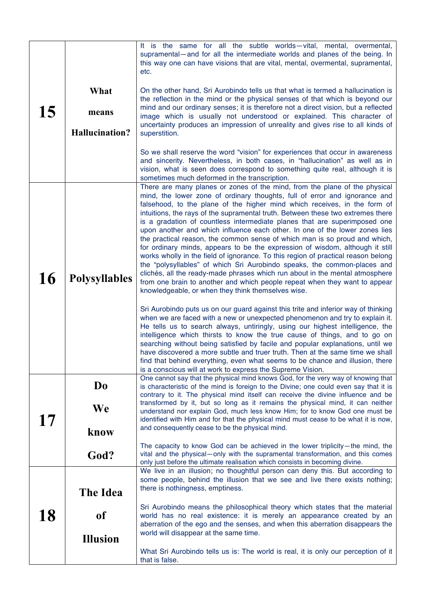|    |                       | It is the same for all the subtle worlds-vital, mental, overmental,<br>supramental—and for all the intermediate worlds and planes of the being. In<br>this way one can have visions that are vital, mental, overmental, supramental,<br>etc.                                                                                                                                                                                                                                                                                                                                                                                                                                                                                                                                                                                                                                                                                                                                                                                             |
|----|-----------------------|------------------------------------------------------------------------------------------------------------------------------------------------------------------------------------------------------------------------------------------------------------------------------------------------------------------------------------------------------------------------------------------------------------------------------------------------------------------------------------------------------------------------------------------------------------------------------------------------------------------------------------------------------------------------------------------------------------------------------------------------------------------------------------------------------------------------------------------------------------------------------------------------------------------------------------------------------------------------------------------------------------------------------------------|
|    | What                  | On the other hand, Sri Aurobindo tells us that what is termed a hallucination is<br>the reflection in the mind or the physical senses of that which is beyond our                                                                                                                                                                                                                                                                                                                                                                                                                                                                                                                                                                                                                                                                                                                                                                                                                                                                        |
| 15 | means                 | mind and our ordinary senses; it is therefore not a direct vision, but a reflected<br>image which is usually not understood or explained. This character of                                                                                                                                                                                                                                                                                                                                                                                                                                                                                                                                                                                                                                                                                                                                                                                                                                                                              |
|    | <b>Hallucination?</b> | uncertainty produces an impression of unreality and gives rise to all kinds of<br>superstition.                                                                                                                                                                                                                                                                                                                                                                                                                                                                                                                                                                                                                                                                                                                                                                                                                                                                                                                                          |
|    |                       | So we shall reserve the word "vision" for experiences that occur in awareness<br>and sincerity. Nevertheless, in both cases, in "hallucination" as well as in<br>vision, what is seen does correspond to something quite real, although it is<br>sometimes much deformed in the transcription.                                                                                                                                                                                                                                                                                                                                                                                                                                                                                                                                                                                                                                                                                                                                           |
| 16 | <b>Polysyllables</b>  | There are many planes or zones of the mind, from the plane of the physical<br>mind, the lower zone of ordinary thoughts, full of error and ignorance and<br>falsehood, to the plane of the higher mind which receives, in the form of<br>intuitions, the rays of the supramental truth. Between these two extremes there<br>is a gradation of countless intermediate planes that are superimposed one<br>upon another and which influence each other. In one of the lower zones lies<br>the practical reason, the common sense of which man is so proud and which,<br>for ordinary minds, appears to be the expression of wisdom, although it still<br>works wholly in the field of ignorance. To this region of practical reason belong<br>the "polysyllables" of which Sri Aurobindo speaks, the common-places and<br>clichés, all the ready-made phrases which run about in the mental atmosphere<br>from one brain to another and which people repeat when they want to appear<br>knowledgeable, or when they think themselves wise. |
|    |                       | Sri Aurobindo puts us on our guard against this trite and inferior way of thinking<br>when we are faced with a new or unexpected phenomenon and try to explain it.<br>He tells us to search always, untiringly, using our highest intelligence, the<br>intelligence which thirsts to know the true cause of things, and to go on<br>searching without being satisfied by facile and popular explanations, until we<br>have discovered a more subtle and truer truth. Then at the same time we shall<br>find that behind everything, even what seems to be chance and illusion, there<br>is a conscious will at work to express the Supreme Vision.                                                                                                                                                                                                                                                                                                                                                                                       |
|    | D <sub>0</sub>        | One cannot say that the physical mind knows God, for the very way of knowing that<br>is characteristic of the mind is foreign to the Divine; one could even say that it is                                                                                                                                                                                                                                                                                                                                                                                                                                                                                                                                                                                                                                                                                                                                                                                                                                                               |
| 17 | We                    | contrary to it. The physical mind itself can receive the divine influence and be<br>transformed by it, but so long as it remains the physical mind, it can neither<br>understand nor explain God, much less know Him; for to know God one must be<br>identified with Him and for that the physical mind must cease to be what it is now,                                                                                                                                                                                                                                                                                                                                                                                                                                                                                                                                                                                                                                                                                                 |
|    | know                  | and consequently cease to be the physical mind.                                                                                                                                                                                                                                                                                                                                                                                                                                                                                                                                                                                                                                                                                                                                                                                                                                                                                                                                                                                          |
|    | God?                  | The capacity to know God can be achieved in the lower triplicity—the mind, the<br>vital and the physical—only with the supramental transformation, and this comes<br>only just before the ultimate realisation which consists in becoming divine.                                                                                                                                                                                                                                                                                                                                                                                                                                                                                                                                                                                                                                                                                                                                                                                        |
|    | The Idea              | We live in an illusion; no thoughtful person can deny this. But according to<br>some people, behind the illusion that we see and live there exists nothing;<br>there is nothingness, emptiness.                                                                                                                                                                                                                                                                                                                                                                                                                                                                                                                                                                                                                                                                                                                                                                                                                                          |
| 18 | <b>of</b>             | Sri Aurobindo means the philosophical theory which states that the material<br>world has no real existence: it is merely an appearance created by an<br>aberration of the ego and the senses, and when this aberration disappears the<br>world will disappear at the same time.                                                                                                                                                                                                                                                                                                                                                                                                                                                                                                                                                                                                                                                                                                                                                          |
|    | <b>Illusion</b>       | What Sri Aurobindo tells us is: The world is real, it is only our perception of it<br>that is false.                                                                                                                                                                                                                                                                                                                                                                                                                                                                                                                                                                                                                                                                                                                                                                                                                                                                                                                                     |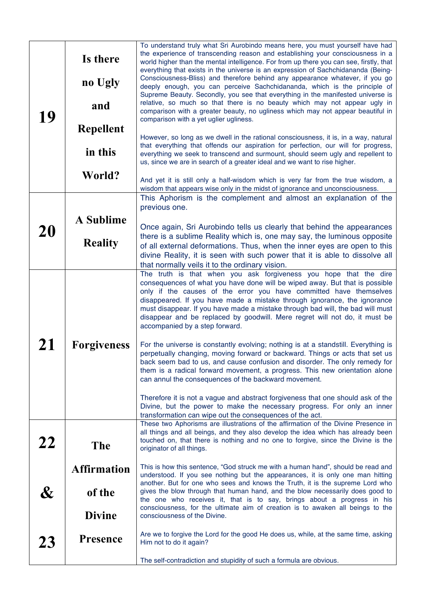| 19                         | Is there<br>no Ugly<br>and<br><b>Repellent</b> | To understand truly what Sri Aurobindo means here, you must yourself have had<br>the experience of transcending reason and establishing your consciousness in a<br>world higher than the mental intelligence. For from up there you can see, firstly, that<br>everything that exists in the universe is an expression of Sachchidananda (Being-<br>Consciousness-Bliss) and therefore behind any appearance whatever, if you go<br>deeply enough, you can perceive Sachchidananda, which is the principle of<br>Supreme Beauty. Secondly, you see that everything in the manifested universe is<br>relative, so much so that there is no beauty which may not appear ugly in<br>comparison with a greater beauty, no ugliness which may not appear beautiful in<br>comparison with a yet uglier ugliness.                                                                                                                                                                                                                                                    |
|----------------------------|------------------------------------------------|--------------------------------------------------------------------------------------------------------------------------------------------------------------------------------------------------------------------------------------------------------------------------------------------------------------------------------------------------------------------------------------------------------------------------------------------------------------------------------------------------------------------------------------------------------------------------------------------------------------------------------------------------------------------------------------------------------------------------------------------------------------------------------------------------------------------------------------------------------------------------------------------------------------------------------------------------------------------------------------------------------------------------------------------------------------|
|                            | in this                                        | However, so long as we dwell in the rational consciousness, it is, in a way, natural<br>that everything that offends our aspiration for perfection, our will for progress,<br>everything we seek to transcend and surmount, should seem ugly and repellent to<br>us, since we are in search of a greater ideal and we want to rise higher.                                                                                                                                                                                                                                                                                                                                                                                                                                                                                                                                                                                                                                                                                                                   |
|                            | World?                                         | And yet it is still only a half-wisdom which is very far from the true wisdom, a<br>wisdom that appears wise only in the midst of ignorance and unconsciousness.                                                                                                                                                                                                                                                                                                                                                                                                                                                                                                                                                                                                                                                                                                                                                                                                                                                                                             |
|                            |                                                | This Aphorism is the complement and almost an explanation of the<br>previous one.                                                                                                                                                                                                                                                                                                                                                                                                                                                                                                                                                                                                                                                                                                                                                                                                                                                                                                                                                                            |
| 20                         | <b>A</b> Sublime                               | Once again, Sri Aurobindo tells us clearly that behind the appearances                                                                                                                                                                                                                                                                                                                                                                                                                                                                                                                                                                                                                                                                                                                                                                                                                                                                                                                                                                                       |
|                            | <b>Reality</b>                                 | there is a sublime Reality which is, one may say, the luminous opposite<br>of all external deformations. Thus, when the inner eyes are open to this<br>divine Reality, it is seen with such power that it is able to dissolve all<br>that normally veils it to the ordinary vision.                                                                                                                                                                                                                                                                                                                                                                                                                                                                                                                                                                                                                                                                                                                                                                          |
| 21                         | <b>Forgiveness</b>                             | The truth is that when you ask forgiveness you hope that the dire<br>consequences of what you have done will be wiped away. But that is possible<br>only if the causes of the error you have committed have themselves<br>disappeared. If you have made a mistake through ignorance, the ignorance<br>must disappear. If you have made a mistake through bad will, the bad will must<br>disappear and be replaced by goodwill. Mere regret will not do, it must be<br>accompanied by a step forward.<br>For the universe is constantly evolving; nothing is at a standstill. Everything is<br>perpetually changing, moving forward or backward. Things or acts that set us<br>back seem bad to us, and cause confusion and disorder. The only remedy for<br>them is a radical forward movement, a progress. This new orientation alone<br>can annul the consequences of the backward movement.<br>Therefore it is not a vague and abstract forgiveness that one should ask of the<br>Divine, but the power to make the necessary progress. For only an inner |
|                            |                                                | transformation can wipe out the consequences of the act.<br>These two Aphorisms are illustrations of the affirmation of the Divine Presence in<br>all things and all beings, and they also develop the idea which has already been                                                                                                                                                                                                                                                                                                                                                                                                                                                                                                                                                                                                                                                                                                                                                                                                                           |
| 22                         | <b>The</b>                                     | touched on, that there is nothing and no one to forgive, since the Divine is the<br>originator of all things.                                                                                                                                                                                                                                                                                                                                                                                                                                                                                                                                                                                                                                                                                                                                                                                                                                                                                                                                                |
|                            | <b>Affirmation</b>                             | This is how this sentence, "God struck me with a human hand", should be read and<br>understood. If you see nothing but the appearances, it is only one man hitting                                                                                                                                                                                                                                                                                                                                                                                                                                                                                                                                                                                                                                                                                                                                                                                                                                                                                           |
| $\boldsymbol{\mathcal{X}}$ | of the                                         | another. But for one who sees and knows the Truth, it is the supreme Lord who<br>gives the blow through that human hand, and the blow necessarily does good to<br>the one who receives it, that is to say, brings about a progress in his<br>consciousness, for the ultimate aim of creation is to awaken all beings to the                                                                                                                                                                                                                                                                                                                                                                                                                                                                                                                                                                                                                                                                                                                                  |
|                            | <b>Divine</b>                                  | consciousness of the Divine.                                                                                                                                                                                                                                                                                                                                                                                                                                                                                                                                                                                                                                                                                                                                                                                                                                                                                                                                                                                                                                 |
| 23                         | <b>Presence</b>                                | Are we to forgive the Lord for the good He does us, while, at the same time, asking<br>Him not to do it again?                                                                                                                                                                                                                                                                                                                                                                                                                                                                                                                                                                                                                                                                                                                                                                                                                                                                                                                                               |
|                            |                                                | The self-contradiction and stupidity of such a formula are obvious.                                                                                                                                                                                                                                                                                                                                                                                                                                                                                                                                                                                                                                                                                                                                                                                                                                                                                                                                                                                          |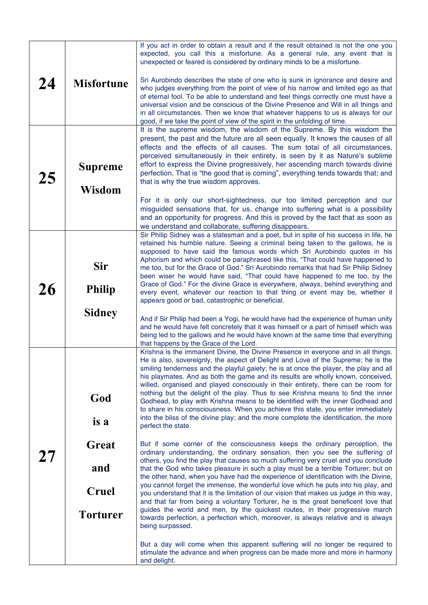|           |                          | If you act in order to obtain a result and if the result obtained is not the one you<br>expected, you call this a misfortune. As a general rule, any event that is<br>unexpected or feared is considered by ordinary minds to be a misfortune.                                                                                                                                                                                                                                                                                |
|-----------|--------------------------|-------------------------------------------------------------------------------------------------------------------------------------------------------------------------------------------------------------------------------------------------------------------------------------------------------------------------------------------------------------------------------------------------------------------------------------------------------------------------------------------------------------------------------|
| 24        | <b>Misfortune</b>        | Sri Aurobindo describes the state of one who is sunk in ignorance and desire and<br>who judges everything from the point of view of his narrow and limited ego as that<br>of eternal fool. To be able to understand and feel things correctly one must have a<br>universal vision and be conscious of the Divine Presence and Will in all things and<br>in all circumstances. Then we know that whatever happens to us is always for our<br>good, if we take the point of view of the spirit in the unfolding of time.        |
|           |                          | It is the supreme wisdom, the wisdom of the Supreme. By this wisdom the<br>present, the past and the future are all seen equally. It knows the causes of all<br>effects and the effects of all causes. The sum total of all circumstances,<br>perceived simultaneously in their entirety, is seen by it as Nature's sublime<br>effort to express the Divine progressively, her ascending march towards divine                                                                                                                 |
| 25        | <b>Supreme</b><br>Wisdom | perfection. That is "the good that is coming", everything tends towards that; and<br>that is why the true wisdom approves.                                                                                                                                                                                                                                                                                                                                                                                                    |
|           |                          | For it is only our short-sightedness, our too limited perception and our<br>misguided sensations that, for us, change into suffering what is a possibility<br>and an opportunity for progress. And this is proved by the fact that as soon as<br>we understand and collaborate, suffering disappears.                                                                                                                                                                                                                         |
|           |                          | Sir Philip Sidney was a statesman and a poet, but in spite of his success in life, he<br>retained his humble nature. Seeing a criminal being taken to the gallows, he is<br>supposed to have said the famous words which Sri Aurobindo quotes in his                                                                                                                                                                                                                                                                          |
|           | Sir                      | Aphorism and which could be paraphrased like this, "That could have happened to<br>me too, but for the Grace of God." Sri Aurobindo remarks that had Sir Philip Sidney<br>been wiser he would have said, "That could have happened to me too, by the                                                                                                                                                                                                                                                                          |
| 26        | <b>Philip</b>            | Grace of God." For the divine Grace is everywhere, always, behind everything and<br>every event, whatever our reaction to that thing or event may be, whether it<br>appears good or bad, catastrophic or beneficial.                                                                                                                                                                                                                                                                                                          |
|           | Sidney                   | And if Sir Philip had been a Yogi, he would have had the experience of human unity<br>and he would have felt concretely that it was himself or a part of himself which was<br>being led to the gallows and he would have known at the same time that everything<br>that happens by the Grace of the Lord.                                                                                                                                                                                                                     |
|           |                          | Krishna is the immanent Divine, the Divine Presence in everyone and in all things.<br>He is also, sovereignly, the aspect of Delight and Love of the Supreme; he is the<br>smiling tenderness and the playful gaiety; he is at once the player, the play and all<br>his playmates. And as both the game and its results are wholly known, conceived,<br>willed, organised and played consciously in their entirety, there can be room for<br>nothing but the delight of the play. Thus to see Krishna means to find the inner |
|           | God                      | Godhead, to play with Krishna means to be identified with the inner Godhead and<br>to share in his consciousness. When you achieve this state, you enter immediately<br>into the bliss of the divine play; and the more complete the identification, the more                                                                                                                                                                                                                                                                 |
|           | is a                     | perfect the state.                                                                                                                                                                                                                                                                                                                                                                                                                                                                                                            |
| <b>27</b> | Great                    | But if some corner of the consciousness keeps the ordinary perception, the<br>ordinary understanding, the ordinary sensation, then you see the suffering of<br>others, you find the play that causes so much suffering very cruel and you conclude                                                                                                                                                                                                                                                                            |
|           | and                      | that the God who takes pleasure in such a play must be a terrible Torturer; but on<br>the other hand, when you have had the experience of identification with the Divine,<br>you cannot forget the immense, the wonderful love which he puts into his play, and                                                                                                                                                                                                                                                               |
|           | Cruel                    | you understand that it is the limitation of our vision that makes us judge in this way,<br>and that far from being a voluntary Torturer, he is the great beneficent love that                                                                                                                                                                                                                                                                                                                                                 |
|           | <b>Torturer</b>          | guides the world and men, by the quickest routes, in their progressive march<br>towards perfection, a perfection which, moreover, is always relative and is always<br>being surpassed.                                                                                                                                                                                                                                                                                                                                        |
|           |                          | But a day will come when this apparent suffering will no longer be required to<br>stimulate the advance and when progress can be made more and more in harmony<br>and delight.                                                                                                                                                                                                                                                                                                                                                |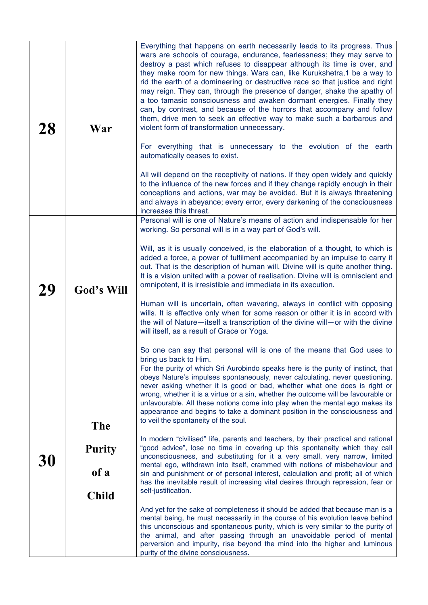| 28 | War                                                 | Everything that happens on earth necessarily leads to its progress. Thus<br>wars are schools of courage, endurance, fearlessness; they may serve to<br>destroy a past which refuses to disappear although its time is over, and<br>they make room for new things. Wars can, like Kurukshetra, 1 be a way to<br>rid the earth of a domineering or destructive race so that justice and right<br>may reign. They can, through the presence of danger, shake the apathy of<br>a too tamasic consciousness and awaken dormant energies. Finally they<br>can, by contrast, and because of the horrors that accompany and follow<br>them, drive men to seek an effective way to make such a barbarous and<br>violent form of transformation unnecessary.<br>For everything that is unnecessary to the evolution of the earth<br>automatically ceases to exist.<br>All will depend on the receptivity of nations. If they open widely and quickly<br>to the influence of the new forces and if they change rapidly enough in their<br>conceptions and actions, war may be avoided. But it is always threatening<br>and always in abeyance; every error, every darkening of the consciousness<br>increases this threat.                                                                                                                                                                                                                                                                                                                |
|----|-----------------------------------------------------|--------------------------------------------------------------------------------------------------------------------------------------------------------------------------------------------------------------------------------------------------------------------------------------------------------------------------------------------------------------------------------------------------------------------------------------------------------------------------------------------------------------------------------------------------------------------------------------------------------------------------------------------------------------------------------------------------------------------------------------------------------------------------------------------------------------------------------------------------------------------------------------------------------------------------------------------------------------------------------------------------------------------------------------------------------------------------------------------------------------------------------------------------------------------------------------------------------------------------------------------------------------------------------------------------------------------------------------------------------------------------------------------------------------------------------------------------------------------------------------------------------------------------------|
| 29 | God's Will                                          | Personal will is one of Nature's means of action and indispensable for her<br>working. So personal will is in a way part of God's will.<br>Will, as it is usually conceived, is the elaboration of a thought, to which is<br>added a force, a power of fulfilment accompanied by an impulse to carry it<br>out. That is the description of human will. Divine will is quite another thing.<br>It is a vision united with a power of realisation. Divine will is omniscient and<br>omnipotent, it is irresistible and immediate in its execution.<br>Human will is uncertain, often wavering, always in conflict with opposing<br>wills. It is effective only when for some reason or other it is in accord with<br>the will of Nature-itself a transcription of the divine will-or with the divine<br>will itself, as a result of Grace or Yoga.<br>So one can say that personal will is one of the means that God uses to<br>bring us back to Him.                                                                                                                                                                                                                                                                                                                                                                                                                                                                                                                                                                            |
| 30 | <b>The</b><br><b>Purity</b><br>of a<br><b>Child</b> | For the purity of which Sri Aurobindo speaks here is the purity of instinct, that<br>obeys Nature's impulses spontaneously, never calculating, never questioning,<br>never asking whether it is good or bad, whether what one does is right or<br>wrong, whether it is a virtue or a sin, whether the outcome will be favourable or<br>unfavourable. All these notions come into play when the mental ego makes its<br>appearance and begins to take a dominant position in the consciousness and<br>to veil the spontaneity of the soul.<br>In modern "civilised" life, parents and teachers, by their practical and rational<br>"good advice", lose no time in covering up this spontaneity which they call<br>unconsciousness, and substituting for it a very small, very narrow, limited<br>mental ego, withdrawn into itself, crammed with notions of misbehaviour and<br>sin and punishment or of personal interest, calculation and profit; all of which<br>has the inevitable result of increasing vital desires through repression, fear or<br>self-justification.<br>And yet for the sake of completeness it should be added that because man is a<br>mental being, he must necessarily in the course of his evolution leave behind<br>this unconscious and spontaneous purity, which is very similar to the purity of<br>the animal, and after passing through an unavoidable period of mental<br>perversion and impurity, rise beyond the mind into the higher and luminous<br>purity of the divine consciousness. |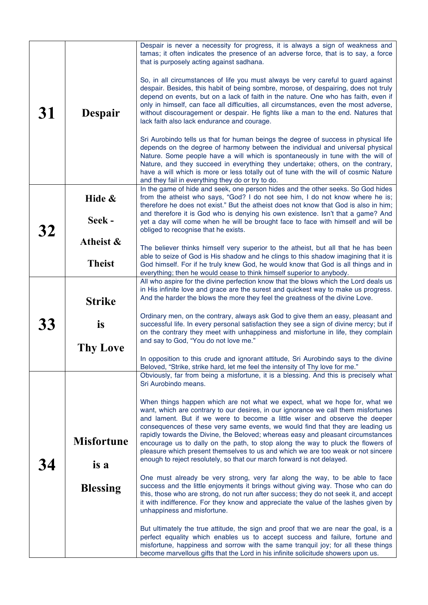| 31 | <b>Despair</b>                               | Despair is never a necessity for progress, it is always a sign of weakness and<br>tamas; it often indicates the presence of an adverse force, that is to say, a force<br>that is purposely acting against sadhana.                                                                                                                                                                                                                                                                                                                                                                                                                                                     |
|----|----------------------------------------------|------------------------------------------------------------------------------------------------------------------------------------------------------------------------------------------------------------------------------------------------------------------------------------------------------------------------------------------------------------------------------------------------------------------------------------------------------------------------------------------------------------------------------------------------------------------------------------------------------------------------------------------------------------------------|
|    |                                              | So, in all circumstances of life you must always be very careful to guard against<br>despair. Besides, this habit of being sombre, morose, of despairing, does not truly<br>depend on events, but on a lack of faith in the nature. One who has faith, even if<br>only in himself, can face all difficulties, all circumstances, even the most adverse,<br>without discouragement or despair. He fights like a man to the end. Natures that<br>lack faith also lack endurance and courage.                                                                                                                                                                             |
|    |                                              | Sri Aurobindo tells us that for human beings the degree of success in physical life<br>depends on the degree of harmony between the individual and universal physical<br>Nature. Some people have a will which is spontaneously in tune with the will of<br>Nature, and they succeed in everything they undertake; others, on the contrary,<br>have a will which is more or less totally out of tune with the will of cosmic Nature<br>and they fail in everything they do or try to do.                                                                                                                                                                               |
|    | Hide &                                       | In the game of hide and seek, one person hides and the other seeks. So God hides<br>from the atheist who says, "God? I do not see him, I do not know where he is;<br>therefore he does not exist." But the atheist does not know that God is also in him;<br>and therefore it is God who is denying his own existence. Isn't that a game? And                                                                                                                                                                                                                                                                                                                          |
| 32 | Seek -                                       | yet a day will come when he will be brought face to face with himself and will be<br>obliged to recognise that he exists.                                                                                                                                                                                                                                                                                                                                                                                                                                                                                                                                              |
|    | Atheist &                                    | The believer thinks himself very superior to the atheist, but all that he has been<br>able to seize of God is His shadow and he clings to this shadow imagining that it is                                                                                                                                                                                                                                                                                                                                                                                                                                                                                             |
|    | <b>Theist</b>                                | God himself. For if he truly knew God, he would know that God is all things and in<br>everything; then he would cease to think himself superior to anybody.                                                                                                                                                                                                                                                                                                                                                                                                                                                                                                            |
|    | <b>Strike</b>                                | All who aspire for the divine perfection know that the blows which the Lord deals us<br>in His infinite love and grace are the surest and quickest way to make us progress.<br>And the harder the blows the more they feel the greatness of the divine Love.                                                                                                                                                                                                                                                                                                                                                                                                           |
| 33 | is                                           | Ordinary men, on the contrary, always ask God to give them an easy, pleasant and<br>successful life. In every personal satisfaction they see a sign of divine mercy; but if<br>on the contrary they meet with unhappiness and misfortune in life, they complain<br>and say to God, "You do not love me."                                                                                                                                                                                                                                                                                                                                                               |
|    | <b>Thy Love</b>                              | In opposition to this crude and ignorant attitude, Sri Aurobindo says to the divine<br>Beloved, "Strike, strike hard, let me feel the intensity of Thy love for me."                                                                                                                                                                                                                                                                                                                                                                                                                                                                                                   |
| 34 |                                              | Obviously, far from being a misfortune, it is a blessing. And this is precisely what<br>Sri Aurobindo means.                                                                                                                                                                                                                                                                                                                                                                                                                                                                                                                                                           |
|    | <b>Misfortune</b><br>is a<br><b>Blessing</b> | When things happen which are not what we expect, what we hope for, what we<br>want, which are contrary to our desires, in our ignorance we call them misfortunes<br>and lament. But if we were to become a little wiser and observe the deeper<br>consequences of these very same events, we would find that they are leading us<br>rapidly towards the Divine, the Beloved; whereas easy and pleasant circumstances<br>encourage us to dally on the path, to stop along the way to pluck the flowers of<br>pleasure which present themselves to us and which we are too weak or not sincere<br>enough to reject resolutely, so that our march forward is not delayed. |
|    |                                              | One must already be very strong, very far along the way, to be able to face<br>success and the little enjoyments it brings without giving way. Those who can do<br>this, those who are strong, do not run after success; they do not seek it, and accept<br>it with indifference. For they know and appreciate the value of the lashes given by<br>unhappiness and misfortune.                                                                                                                                                                                                                                                                                         |
|    |                                              | But ultimately the true attitude, the sign and proof that we are near the goal, is a<br>perfect equality which enables us to accept success and failure, fortune and<br>misfortune, happiness and sorrow with the same tranquil joy; for all these things<br>become marvellous gifts that the Lord in his infinite solicitude showers upon us.                                                                                                                                                                                                                                                                                                                         |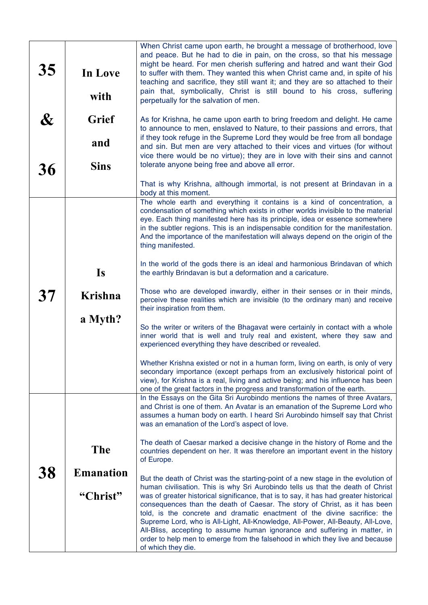| 35<br>$\boldsymbol{\mathcal{X}}$ | In Love<br>with<br><b>Grief</b> | When Christ came upon earth, he brought a message of brotherhood, love<br>and peace. But he had to die in pain, on the cross, so that his message<br>might be heard. For men cherish suffering and hatred and want their God<br>to suffer with them. They wanted this when Christ came and, in spite of his<br>teaching and sacrifice, they still want it; and they are so attached to their<br>pain that, symbolically, Christ is still bound to his cross, suffering<br>perpetually for the salvation of men.<br>As for Krishna, he came upon earth to bring freedom and delight. He came |
|----------------------------------|---------------------------------|---------------------------------------------------------------------------------------------------------------------------------------------------------------------------------------------------------------------------------------------------------------------------------------------------------------------------------------------------------------------------------------------------------------------------------------------------------------------------------------------------------------------------------------------------------------------------------------------|
| 36                               | and<br><b>Sins</b>              | to announce to men, enslaved to Nature, to their passions and errors, that<br>if they took refuge in the Supreme Lord they would be free from all bondage<br>and sin. But men are very attached to their vices and virtues (for without<br>vice there would be no virtue); they are in love with their sins and cannot<br>tolerate anyone being free and above all error.                                                                                                                                                                                                                   |
|                                  |                                 | That is why Krishna, although immortal, is not present at Brindavan in a<br>body at this moment.                                                                                                                                                                                                                                                                                                                                                                                                                                                                                            |
|                                  |                                 | The whole earth and everything it contains is a kind of concentration, a<br>condensation of something which exists in other worlds invisible to the material<br>eye. Each thing manifested here has its principle, idea or essence somewhere<br>in the subtler regions. This is an indispensable condition for the manifestation.<br>And the importance of the manifestation will always depend on the origin of the<br>thing manifested.                                                                                                                                                   |
|                                  | Is                              | In the world of the gods there is an ideal and harmonious Brindavan of which<br>the earthly Brindavan is but a deformation and a caricature.                                                                                                                                                                                                                                                                                                                                                                                                                                                |
| 37                               | Krishna                         | Those who are developed inwardly, either in their senses or in their minds,<br>perceive these realities which are invisible (to the ordinary man) and receive<br>their inspiration from them.                                                                                                                                                                                                                                                                                                                                                                                               |
|                                  | a Myth?                         | So the writer or writers of the Bhagavat were certainly in contact with a whole<br>inner world that is well and truly real and existent, where they saw and<br>experienced everything they have described or revealed.                                                                                                                                                                                                                                                                                                                                                                      |
|                                  |                                 | Whether Krishna existed or not in a human form, living on earth, is only of very<br>secondary importance (except perhaps from an exclusively historical point of<br>view), for Krishna is a real, living and active being; and his influence has been<br>one of the great factors in the progress and transformation of the earth.                                                                                                                                                                                                                                                          |
|                                  |                                 | In the Essays on the Gita Sri Aurobindo mentions the names of three Avatars,<br>and Christ is one of them. An Avatar is an emanation of the Supreme Lord who<br>assumes a human body on earth. I heard Sri Aurobindo himself say that Christ<br>was an emanation of the Lord's aspect of love.                                                                                                                                                                                                                                                                                              |
|                                  | <b>The</b>                      | The death of Caesar marked a decisive change in the history of Rome and the<br>countries dependent on her. It was therefore an important event in the history<br>of Europe.                                                                                                                                                                                                                                                                                                                                                                                                                 |
| 38                               | <b>Emanation</b>                | But the death of Christ was the starting-point of a new stage in the evolution of<br>human civilisation. This is why Sri Aurobindo tells us that the death of Christ                                                                                                                                                                                                                                                                                                                                                                                                                        |
|                                  | "Christ"                        | was of greater historical significance, that is to say, it has had greater historical<br>consequences than the death of Caesar. The story of Christ, as it has been<br>told, is the concrete and dramatic enactment of the divine sacrifice: the<br>Supreme Lord, who is All-Light, All-Knowledge, All-Power, All-Beauty, All-Love,<br>All-Bliss, accepting to assume human ignorance and suffering in matter, in<br>order to help men to emerge from the falsehood in which they live and because<br>of which they die.                                                                    |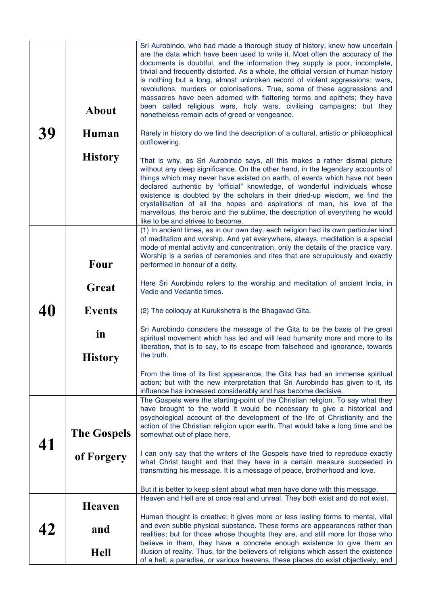|           |                    | Sri Aurobindo, who had made a thorough study of history, knew how uncertain                                                                                                                                                                         |
|-----------|--------------------|-----------------------------------------------------------------------------------------------------------------------------------------------------------------------------------------------------------------------------------------------------|
|           |                    | are the data which have been used to write it. Most often the accuracy of the<br>documents is doubtful, and the information they supply is poor, incomplete,<br>trivial and frequently distorted. As a whole, the official version of human history |
|           |                    | is nothing but a long, almost unbroken record of violent aggressions: wars,<br>revolutions, murders or colonisations. True, some of these aggressions and                                                                                           |
|           |                    | massacres have been adorned with flattering terms and epithets; they have                                                                                                                                                                           |
|           | <b>About</b>       | been called religious wars, holy wars, civilising campaigns; but they<br>nonetheless remain acts of greed or vengeance.                                                                                                                             |
| <b>39</b> | <b>Human</b>       | Rarely in history do we find the description of a cultural, artistic or philosophical<br>outflowering.                                                                                                                                              |
|           | <b>History</b>     | That is why, as Sri Aurobindo says, all this makes a rather dismal picture                                                                                                                                                                          |
|           |                    | without any deep significance. On the other hand, in the legendary accounts of<br>things which may never have existed on earth, of events which have not been                                                                                       |
|           |                    | declared authentic by "official" knowledge, of wonderful individuals whose<br>existence is doubted by the scholars in their dried-up wisdom, we find the                                                                                            |
|           |                    | crystallisation of all the hopes and aspirations of man, his love of the<br>marvellous, the heroic and the sublime, the description of everything he would                                                                                          |
|           |                    | like to be and strives to become.<br>(1) In ancient times, as in our own day, each religion had its own particular kind                                                                                                                             |
|           |                    | of meditation and worship. And yet everywhere, always, meditation is a special                                                                                                                                                                      |
|           |                    | mode of mental activity and concentration, only the details of the practice vary.<br>Worship is a series of ceremonies and rites that are scrupulously and exactly                                                                                  |
|           | Four               | performed in honour of a deity.                                                                                                                                                                                                                     |
|           | Great              | Here Sri Aurobindo refers to the worship and meditation of ancient India, in<br>Vedic and Vedantic times.                                                                                                                                           |
| 40        |                    |                                                                                                                                                                                                                                                     |
|           | <b>Events</b>      | (2) The colloquy at Kurukshetra is the Bhagavad Gita.                                                                                                                                                                                               |
|           | in                 | Sri Aurobindo considers the message of the Gita to be the basis of the great                                                                                                                                                                        |
|           |                    | spiritual movement which has led and will lead humanity more and more to its<br>liberation, that is to say, to its escape from falsehood and ignorance, towards                                                                                     |
|           | History            | the truth.                                                                                                                                                                                                                                          |
|           |                    | From the time of its first appearance, the Gita has had an immense spiritual<br>action; but with the new interpretation that Sri Aurobindo has given to it, its<br>influence has increased considerably and has become decisive.                    |
|           |                    | The Gospels were the starting-point of the Christian religion. To say what they                                                                                                                                                                     |
|           |                    | have brought to the world it would be necessary to give a historical and<br>psychological account of the development of the life of Christianity and the                                                                                            |
|           | <b>The Gospels</b> | action of the Christian religion upon earth. That would take a long time and be<br>somewhat out of place here.                                                                                                                                      |
| 41        |                    | I can only say that the writers of the Gospels have tried to reproduce exactly                                                                                                                                                                      |
|           | of Forgery         | what Christ taught and that they have in a certain measure succeeded in<br>transmitting his message. It is a message of peace, brotherhood and love.                                                                                                |
|           |                    |                                                                                                                                                                                                                                                     |
|           |                    | But it is better to keep silent about what men have done with this message.<br>Heaven and Hell are at once real and unreal. They both exist and do not exist.                                                                                       |
|           | <b>Heaven</b>      | Human thought is creative; it gives more or less lasting forms to mental, vital                                                                                                                                                                     |
| 42        | and                | and even subtle physical substance. These forms are appearances rather than<br>realities; but for those whose thoughts they are, and still more for those who                                                                                       |
|           | <b>Hell</b>        | believe in them, they have a concrete enough existence to give them an<br>illusion of reality. Thus, for the believers of religions which assert the existence                                                                                      |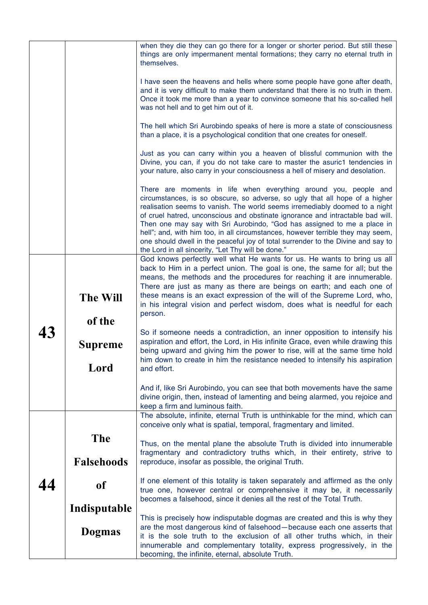|    |                   | when they die they can go there for a longer or shorter period. But still these<br>things are only impermanent mental formations; they carry no eternal truth in<br>themselves.                                                                                                                                                                                                                                                                                                                                                                                                                                          |
|----|-------------------|--------------------------------------------------------------------------------------------------------------------------------------------------------------------------------------------------------------------------------------------------------------------------------------------------------------------------------------------------------------------------------------------------------------------------------------------------------------------------------------------------------------------------------------------------------------------------------------------------------------------------|
|    |                   | I have seen the heavens and hells where some people have gone after death,<br>and it is very difficult to make them understand that there is no truth in them.<br>Once it took me more than a year to convince someone that his so-called hell<br>was not hell and to get him out of it.                                                                                                                                                                                                                                                                                                                                 |
|    |                   | The hell which Sri Aurobindo speaks of here is more a state of consciousness<br>than a place, it is a psychological condition that one creates for oneself.                                                                                                                                                                                                                                                                                                                                                                                                                                                              |
|    |                   | Just as you can carry within you a heaven of blissful communion with the<br>Divine, you can, if you do not take care to master the asuric1 tendencies in<br>your nature, also carry in your consciousness a hell of misery and desolation.                                                                                                                                                                                                                                                                                                                                                                               |
|    |                   | There are moments in life when everything around you, people and<br>circumstances, is so obscure, so adverse, so ugly that all hope of a higher<br>realisation seems to vanish. The world seems irremediably doomed to a night<br>of cruel hatred, unconscious and obstinate ignorance and intractable bad will.<br>Then one may say with Sri Aurobindo, "God has assigned to me a place in<br>hell"; and, with him too, in all circumstances, however terrible they may seem,<br>one should dwell in the peaceful joy of total surrender to the Divine and say to<br>the Lord in all sincerity, "Let Thy will be done." |
|    |                   | God knows perfectly well what He wants for us. He wants to bring us all<br>back to Him in a perfect union. The goal is one, the same for all; but the<br>means, the methods and the procedures for reaching it are innumerable.                                                                                                                                                                                                                                                                                                                                                                                          |
|    | <b>The Will</b>   | There are just as many as there are beings on earth; and each one of<br>these means is an exact expression of the will of the Supreme Lord, who,<br>in his integral vision and perfect wisdom, does what is needful for each<br>person.                                                                                                                                                                                                                                                                                                                                                                                  |
|    | of the            |                                                                                                                                                                                                                                                                                                                                                                                                                                                                                                                                                                                                                          |
| 43 |                   | So if someone needs a contradiction, an inner opposition to intensify his                                                                                                                                                                                                                                                                                                                                                                                                                                                                                                                                                |
|    | Supreme           | aspiration and effort, the Lord, in His infinite Grace, even while drawing this<br>being upward and giving him the power to rise, will at the same time hold                                                                                                                                                                                                                                                                                                                                                                                                                                                             |
|    | Lord              | him down to create in him the resistance needed to intensify his aspiration<br>and effort.                                                                                                                                                                                                                                                                                                                                                                                                                                                                                                                               |
|    |                   | And if, like Sri Aurobindo, you can see that both movements have the same<br>divine origin, then, instead of lamenting and being alarmed, you rejoice and<br>keep a firm and luminous faith.                                                                                                                                                                                                                                                                                                                                                                                                                             |
|    |                   | The absolute, infinite, eternal Truth is unthinkable for the mind, which can                                                                                                                                                                                                                                                                                                                                                                                                                                                                                                                                             |
|    |                   | conceive only what is spatial, temporal, fragmentary and limited.                                                                                                                                                                                                                                                                                                                                                                                                                                                                                                                                                        |
|    | <b>The</b>        | Thus, on the mental plane the absolute Truth is divided into innumerable                                                                                                                                                                                                                                                                                                                                                                                                                                                                                                                                                 |
|    |                   | fragmentary and contradictory truths which, in their entirety, strive to                                                                                                                                                                                                                                                                                                                                                                                                                                                                                                                                                 |
|    | <b>Falsehoods</b> | reproduce, insofar as possible, the original Truth.                                                                                                                                                                                                                                                                                                                                                                                                                                                                                                                                                                      |
|    |                   | If one element of this totality is taken separately and affirmed as the only                                                                                                                                                                                                                                                                                                                                                                                                                                                                                                                                             |
| 44 | of                | true one, however central or comprehensive it may be, it necessarily                                                                                                                                                                                                                                                                                                                                                                                                                                                                                                                                                     |
|    |                   | becomes a falsehood, since it denies all the rest of the Total Truth.                                                                                                                                                                                                                                                                                                                                                                                                                                                                                                                                                    |
|    | Indisputable      | This is precisely how indisputable dogmas are created and this is why they                                                                                                                                                                                                                                                                                                                                                                                                                                                                                                                                               |
|    |                   | are the most dangerous kind of falsehood-because each one asserts that                                                                                                                                                                                                                                                                                                                                                                                                                                                                                                                                                   |
|    | <b>Dogmas</b>     | it is the sole truth to the exclusion of all other truths which, in their                                                                                                                                                                                                                                                                                                                                                                                                                                                                                                                                                |
|    |                   | innumerable and complementary totality, express progressively, in the<br>becoming, the infinite, eternal, absolute Truth.                                                                                                                                                                                                                                                                                                                                                                                                                                                                                                |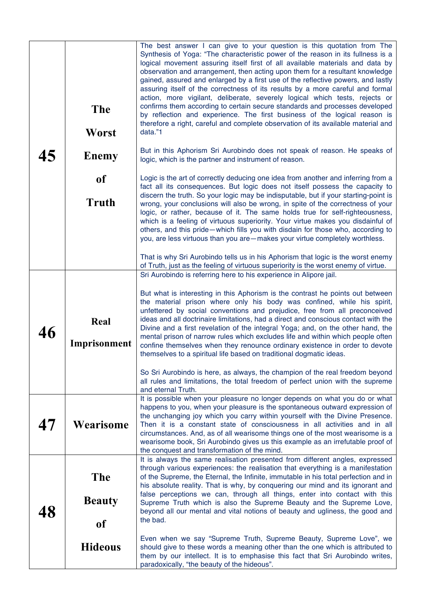| 45 | <b>The</b><br>Worst<br>Enemy<br><sub>of</sub><br><b>Truth</b> | The best answer I can give to your question is this quotation from The<br>Synthesis of Yoga: "The characteristic power of the reason in its fullness is a<br>logical movement assuring itself first of all available materials and data by<br>observation and arrangement, then acting upon them for a resultant knowledge<br>gained, assured and enlarged by a first use of the reflective powers, and lastly<br>assuring itself of the correctness of its results by a more careful and formal<br>action, more vigilant, deliberate, severely logical which tests, rejects or<br>confirms them according to certain secure standards and processes developed<br>by reflection and experience. The first business of the logical reason is<br>therefore a right, careful and complete observation of its available material and<br>data."1<br>But in this Aphorism Sri Aurobindo does not speak of reason. He speaks of<br>logic, which is the partner and instrument of reason.<br>Logic is the art of correctly deducing one idea from another and inferring from a<br>fact all its consequences. But logic does not itself possess the capacity to<br>discern the truth. So your logic may be indisputable, but if your starting-point is<br>wrong, your conclusions will also be wrong, in spite of the correctness of your<br>logic, or rather, because of it. The same holds true for self-righteousness,<br>which is a feeling of virtuous superiority. Your virtue makes you disdainful of<br>others, and this pride—which fills you with disdain for those who, according to<br>you, are less virtuous than you are-makes your virtue completely worthless. |
|----|---------------------------------------------------------------|-----------------------------------------------------------------------------------------------------------------------------------------------------------------------------------------------------------------------------------------------------------------------------------------------------------------------------------------------------------------------------------------------------------------------------------------------------------------------------------------------------------------------------------------------------------------------------------------------------------------------------------------------------------------------------------------------------------------------------------------------------------------------------------------------------------------------------------------------------------------------------------------------------------------------------------------------------------------------------------------------------------------------------------------------------------------------------------------------------------------------------------------------------------------------------------------------------------------------------------------------------------------------------------------------------------------------------------------------------------------------------------------------------------------------------------------------------------------------------------------------------------------------------------------------------------------------------------------------------------------------------------------------------------------------|
|    |                                                               | That is why Sri Aurobindo tells us in his Aphorism that logic is the worst enemy<br>of Truth, just as the feeling of virtuous superiority is the worst enemy of virtue.                                                                                                                                                                                                                                                                                                                                                                                                                                                                                                                                                                                                                                                                                                                                                                                                                                                                                                                                                                                                                                                                                                                                                                                                                                                                                                                                                                                                                                                                                               |
| 46 | Real<br>Imprisonment                                          | Sri Aurobindo is referring here to his experience in Alipore jail.<br>But what is interesting in this Aphorism is the contrast he points out between<br>the material prison where only his body was confined, while his spirit,<br>unfettered by social conventions and prejudice, free from all preconceived<br>ideas and all doctrinaire limitations, had a direct and conscious contact with the<br>Divine and a first revelation of the integral Yoga; and, on the other hand, the<br>mental prison of narrow rules which excludes life and within which people often<br>confine themselves when they renounce ordinary existence in order to devote<br>themselves to a spiritual life based on traditional dogmatic ideas.                                                                                                                                                                                                                                                                                                                                                                                                                                                                                                                                                                                                                                                                                                                                                                                                                                                                                                                                       |
|    |                                                               | So Sri Aurobindo is here, as always, the champion of the real freedom beyond<br>all rules and limitations, the total freedom of perfect union with the supreme<br>and eternal Truth.                                                                                                                                                                                                                                                                                                                                                                                                                                                                                                                                                                                                                                                                                                                                                                                                                                                                                                                                                                                                                                                                                                                                                                                                                                                                                                                                                                                                                                                                                  |
| 47 | Wearisome                                                     | It is possible when your pleasure no longer depends on what you do or what<br>happens to you, when your pleasure is the spontaneous outward expression of<br>the unchanging joy which you carry within yourself with the Divine Presence.<br>Then it is a constant state of consciousness in all activities and in all<br>circumstances. And, as of all wearisome things one of the most wearisome is a<br>wearisome book, Sri Aurobindo gives us this example as an irrefutable proof of<br>the conquest and transformation of the mind.                                                                                                                                                                                                                                                                                                                                                                                                                                                                                                                                                                                                                                                                                                                                                                                                                                                                                                                                                                                                                                                                                                                             |
| 48 | <b>The</b><br><b>Beauty</b><br>0f                             | It is always the same realisation presented from different angles, expressed<br>through various experiences: the realisation that everything is a manifestation<br>of the Supreme, the Eternal, the Infinite, immutable in his total perfection and in<br>his absolute reality. That is why, by conquering our mind and its ignorant and<br>false perceptions we can, through all things, enter into contact with this<br>Supreme Truth which is also the Supreme Beauty and the Supreme Love,<br>beyond all our mental and vital notions of beauty and ugliness, the good and<br>the bad.                                                                                                                                                                                                                                                                                                                                                                                                                                                                                                                                                                                                                                                                                                                                                                                                                                                                                                                                                                                                                                                                            |
|    | <b>Hideous</b>                                                | Even when we say "Supreme Truth, Supreme Beauty, Supreme Love", we<br>should give to these words a meaning other than the one which is attributed to<br>them by our intellect. It is to emphasise this fact that Sri Aurobindo writes,<br>paradoxically, "the beauty of the hideous".                                                                                                                                                                                                                                                                                                                                                                                                                                                                                                                                                                                                                                                                                                                                                                                                                                                                                                                                                                                                                                                                                                                                                                                                                                                                                                                                                                                 |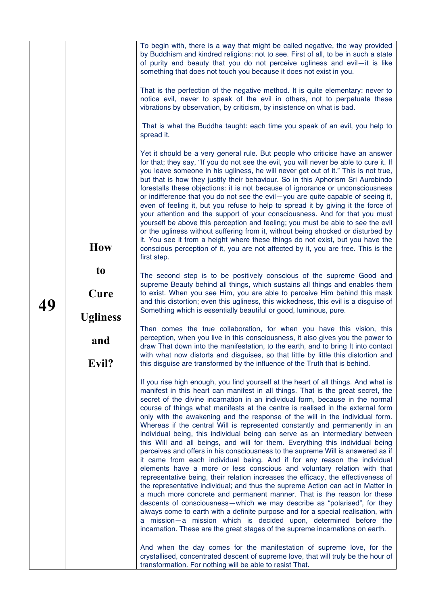|    |                 | To begin with, there is a way that might be called negative, the way provided<br>by Buddhism and kindred religions: not to see. First of all, to be in such a state<br>of purity and beauty that you do not perceive ugliness and evil-it is like<br>something that does not touch you because it does not exist in you.                                                                                                                                                                                                                                                                                                                                                                                                                                                                                                                                                                                                                                                                                                                                                                                                                                                                                                                                                                                                                                                                                                                                                                    |
|----|-----------------|---------------------------------------------------------------------------------------------------------------------------------------------------------------------------------------------------------------------------------------------------------------------------------------------------------------------------------------------------------------------------------------------------------------------------------------------------------------------------------------------------------------------------------------------------------------------------------------------------------------------------------------------------------------------------------------------------------------------------------------------------------------------------------------------------------------------------------------------------------------------------------------------------------------------------------------------------------------------------------------------------------------------------------------------------------------------------------------------------------------------------------------------------------------------------------------------------------------------------------------------------------------------------------------------------------------------------------------------------------------------------------------------------------------------------------------------------------------------------------------------|
|    |                 | That is the perfection of the negative method. It is quite elementary: never to<br>notice evil, never to speak of the evil in others, not to perpetuate these<br>vibrations by observation, by criticism, by insistence on what is bad.                                                                                                                                                                                                                                                                                                                                                                                                                                                                                                                                                                                                                                                                                                                                                                                                                                                                                                                                                                                                                                                                                                                                                                                                                                                     |
|    |                 | That is what the Buddha taught: each time you speak of an evil, you help to<br>spread it.                                                                                                                                                                                                                                                                                                                                                                                                                                                                                                                                                                                                                                                                                                                                                                                                                                                                                                                                                                                                                                                                                                                                                                                                                                                                                                                                                                                                   |
|    | <b>How</b>      | Yet it should be a very general rule. But people who criticise have an answer<br>for that; they say, "If you do not see the evil, you will never be able to cure it. If<br>you leave someone in his ugliness, he will never get out of it." This is not true,<br>but that is how they justify their behaviour. So in this Aphorism Sri Aurobindo<br>forestalls these objections: it is not because of ignorance or unconsciousness<br>or indifference that you do not see the evil-you are quite capable of seeing it,<br>even of feeling it, but you refuse to help to spread it by giving it the force of<br>your attention and the support of your consciousness. And for that you must<br>yourself be above this perception and feeling; you must be able to see the evil<br>or the ugliness without suffering from it, without being shocked or disturbed by<br>it. You see it from a height where these things do not exist, but you have the<br>conscious perception of it, you are not affected by it, you are free. This is the<br>first step.                                                                                                                                                                                                                                                                                                                                                                                                                                     |
|    | t <sub>0</sub>  |                                                                                                                                                                                                                                                                                                                                                                                                                                                                                                                                                                                                                                                                                                                                                                                                                                                                                                                                                                                                                                                                                                                                                                                                                                                                                                                                                                                                                                                                                             |
|    |                 | The second step is to be positively conscious of the supreme Good and<br>supreme Beauty behind all things, which sustains all things and enables them                                                                                                                                                                                                                                                                                                                                                                                                                                                                                                                                                                                                                                                                                                                                                                                                                                                                                                                                                                                                                                                                                                                                                                                                                                                                                                                                       |
|    | Cure            | to exist. When you see Him, you are able to perceive Him behind this mask                                                                                                                                                                                                                                                                                                                                                                                                                                                                                                                                                                                                                                                                                                                                                                                                                                                                                                                                                                                                                                                                                                                                                                                                                                                                                                                                                                                                                   |
| 49 |                 | and this distortion; even this ugliness, this wickedness, this evil is a disguise of<br>Something which is essentially beautiful or good, luminous, pure.                                                                                                                                                                                                                                                                                                                                                                                                                                                                                                                                                                                                                                                                                                                                                                                                                                                                                                                                                                                                                                                                                                                                                                                                                                                                                                                                   |
|    | <b>Ugliness</b> |                                                                                                                                                                                                                                                                                                                                                                                                                                                                                                                                                                                                                                                                                                                                                                                                                                                                                                                                                                                                                                                                                                                                                                                                                                                                                                                                                                                                                                                                                             |
|    |                 | Then comes the true collaboration, for when you have this vision, this<br>perception, when you live in this consciousness, it also gives you the power to                                                                                                                                                                                                                                                                                                                                                                                                                                                                                                                                                                                                                                                                                                                                                                                                                                                                                                                                                                                                                                                                                                                                                                                                                                                                                                                                   |
|    | and             | draw That down into the manifestation, to the earth, and to bring It into contact                                                                                                                                                                                                                                                                                                                                                                                                                                                                                                                                                                                                                                                                                                                                                                                                                                                                                                                                                                                                                                                                                                                                                                                                                                                                                                                                                                                                           |
|    | Evil?           | with what now distorts and disguises, so that little by little this distortion and<br>this disguise are transformed by the influence of the Truth that is behind.                                                                                                                                                                                                                                                                                                                                                                                                                                                                                                                                                                                                                                                                                                                                                                                                                                                                                                                                                                                                                                                                                                                                                                                                                                                                                                                           |
|    |                 |                                                                                                                                                                                                                                                                                                                                                                                                                                                                                                                                                                                                                                                                                                                                                                                                                                                                                                                                                                                                                                                                                                                                                                                                                                                                                                                                                                                                                                                                                             |
|    |                 | If you rise high enough, you find yourself at the heart of all things. And what is<br>manifest in this heart can manifest in all things. That is the great secret, the<br>secret of the divine incarnation in an individual form, because in the normal<br>course of things what manifests at the centre is realised in the external form<br>only with the awakening and the response of the will in the individual form.<br>Whereas if the central Will is represented constantly and permanently in an<br>individual being, this individual being can serve as an intermediary between<br>this Will and all beings, and will for them. Everything this individual being<br>perceives and offers in his consciousness to the supreme Will is answered as if<br>it came from each individual being. And if for any reason the individual<br>elements have a more or less conscious and voluntary relation with that<br>representative being, their relation increases the efficacy, the effectiveness of<br>the representative individual; and thus the supreme Action can act in Matter in<br>a much more concrete and permanent manner. That is the reason for these<br>descents of consciousness-which we may describe as "polarised", for they<br>always come to earth with a definite purpose and for a special realisation, with<br>a mission-a mission which is decided upon, determined before the<br>incarnation. These are the great stages of the supreme incarnations on earth. |
|    |                 | And when the day comes for the manifestation of supreme love, for the<br>crystallised, concentrated descent of supreme love, that will truly be the hour of<br>transformation. For nothing will be able to resist That.                                                                                                                                                                                                                                                                                                                                                                                                                                                                                                                                                                                                                                                                                                                                                                                                                                                                                                                                                                                                                                                                                                                                                                                                                                                                     |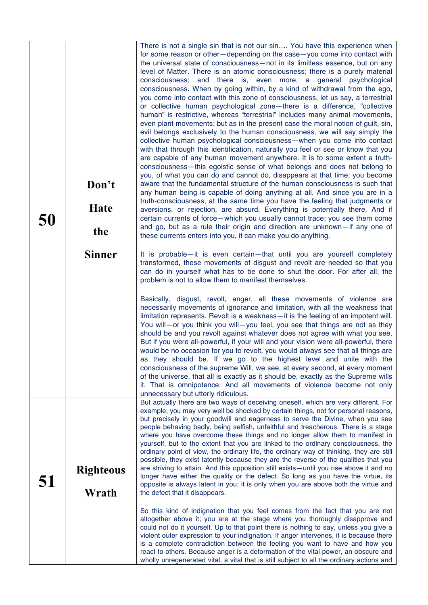| 50 | Don't<br><b>Hate</b><br>the<br><b>Sinner</b> | There is not a single sin that is not our sin You have this experience when<br>for some reason or other-depending on the case-you come into contact with<br>the universal state of consciousness-not in its limitless essence, but on any<br>level of Matter. There is an atomic consciousness; there is a purely material<br>consciousness; and there is, even more, a general psychological<br>consciousness. When by going within, by a kind of withdrawal from the ego,<br>you come into contact with this zone of consciousness, let us say, a terrestrial<br>or collective human psychological zone-there is a difference, "collective<br>human" is restrictive, whereas "terrestrial" includes many animal movements,<br>even plant movements; but as in the present case the moral notion of guilt, sin,<br>evil belongs exclusively to the human consciousness, we will say simply the<br>collective human psychological consciousness-when you come into contact<br>with that through this identification, naturally you feel or see or know that you<br>are capable of any human movement anywhere. It is to some extent a truth-<br>consciousness-this egoistic sense of what belongs and does not belong to<br>you, of what you can do and cannot do, disappears at that time; you become<br>aware that the fundamental structure of the human consciousness is such that<br>any human being is capable of doing anything at all. And since you are in a<br>truth-consciousness, at the same time you have the feeling that judgments or<br>aversions, or rejection, are absurd. Everything is potentially there. And if<br>certain currents of force—which you usually cannot trace; you see them come<br>and go, but as a rule their origin and direction are unknown-if any one of<br>these currents enters into you, it can make you do anything.<br>It is probable—it is even certain—that until you are yourself completely<br>transformed, these movements of disgust and revolt are needed so that you<br>can do in yourself what has to be done to shut the door. For after all, the<br>problem is not to allow them to manifest themselves.<br>Basically, disgust, revolt, anger, all these movements of violence are<br>necessarily movements of ignorance and limitation, with all the weakness that<br>limitation represents. Revolt is a weakness-it is the feeling of an impotent will.<br>You will - or you think you will - you feel, you see that things are not as they<br>should be and you revolt against whatever does not agree with what you see.<br>But if you were all-powerful, if your will and your vision were all-powerful, there<br>would be no occasion for you to revolt, you would always see that all things are<br>as they should be. If we go to the highest level and unite with the<br>consciousness of the supreme Will, we see, at every second, at every moment<br>of the universe, that all is exactly as it should be, exactly as the Supreme wills<br>it. That is omnipotence. And all movements of violence become not only<br>unnecessary but utterly ridiculous. |
|----|----------------------------------------------|--------------------------------------------------------------------------------------------------------------------------------------------------------------------------------------------------------------------------------------------------------------------------------------------------------------------------------------------------------------------------------------------------------------------------------------------------------------------------------------------------------------------------------------------------------------------------------------------------------------------------------------------------------------------------------------------------------------------------------------------------------------------------------------------------------------------------------------------------------------------------------------------------------------------------------------------------------------------------------------------------------------------------------------------------------------------------------------------------------------------------------------------------------------------------------------------------------------------------------------------------------------------------------------------------------------------------------------------------------------------------------------------------------------------------------------------------------------------------------------------------------------------------------------------------------------------------------------------------------------------------------------------------------------------------------------------------------------------------------------------------------------------------------------------------------------------------------------------------------------------------------------------------------------------------------------------------------------------------------------------------------------------------------------------------------------------------------------------------------------------------------------------------------------------------------------------------------------------------------------------------------------------------------------------------------------------------------------------------------------------------------------------------------------------------------------------------------------------------------------------------------------------------------------------------------------------------------------------------------------------------------------------------------------------------------------------------------------------------------------------------------------------------------------------------------------------------------------------------------------------------------------------------------------------------------------------------------------------------------------------------------------------------------------------------------------------------------------------------------------------------------|
| 51 | <b>Righteous</b><br>Wrath                    | But actually there are two ways of deceiving oneself, which are very different. For<br>example, you may very well be shocked by certain things, not for personal reasons,<br>but precisely in your goodwill and eagerness to serve the Divine, when you see<br>people behaving badly, being selfish, unfaithful and treacherous. There is a stage<br>where you have overcome these things and no longer allow them to manifest in<br>yourself, but to the extent that you are linked to the ordinary consciousness, the<br>ordinary point of view, the ordinary life, the ordinary way of thinking, they are still<br>possible, they exist latently because they are the reverse of the qualities that you<br>are striving to attain. And this opposition still exists—until you rise above it and no<br>longer have either the quality or the defect. So long as you have the virtue, its<br>opposite is always latent in you; it is only when you are above both the virtue and<br>the defect that it disappears.<br>So this kind of indignation that you feel comes from the fact that you are not<br>altogether above it; you are at the stage where you thoroughly disapprove and<br>could not do it yourself. Up to that point there is nothing to say, unless you give a<br>violent outer expression to your indignation. If anger intervenes, it is because there<br>is a complete contradiction between the feeling you want to have and how you<br>react to others. Because anger is a deformation of the vital power, an obscure and<br>wholly unregenerated vital, a vital that is still subject to all the ordinary actions and                                                                                                                                                                                                                                                                                                                                                                                                                                                                                                                                                                                                                                                                                                                                                                                                                                                                                                                                                                                                                                                                                                                                                                                                                                                                                                                                                                                                                                                                                   |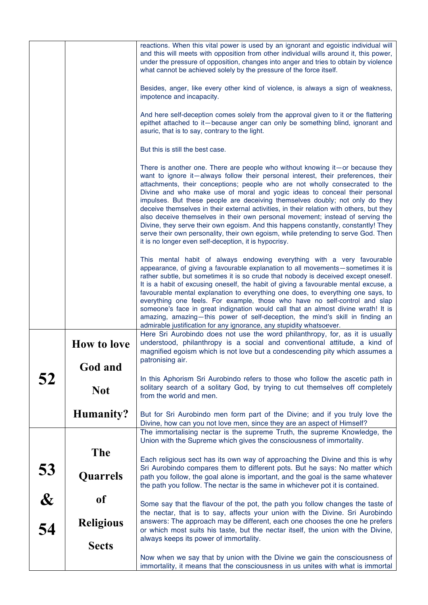|               |                    | reactions. When this vital power is used by an ignorant and egoistic individual will<br>and this will meets with opposition from other individual wills around it, this power,<br>under the pressure of opposition, changes into anger and tries to obtain by violence<br>what cannot be achieved solely by the pressure of the force itself.                                                                                                                                                                                                                                                                                                                                                                                                                                                                                       |
|---------------|--------------------|-------------------------------------------------------------------------------------------------------------------------------------------------------------------------------------------------------------------------------------------------------------------------------------------------------------------------------------------------------------------------------------------------------------------------------------------------------------------------------------------------------------------------------------------------------------------------------------------------------------------------------------------------------------------------------------------------------------------------------------------------------------------------------------------------------------------------------------|
|               |                    | Besides, anger, like every other kind of violence, is always a sign of weakness,<br>impotence and incapacity.                                                                                                                                                                                                                                                                                                                                                                                                                                                                                                                                                                                                                                                                                                                       |
|               |                    | And here self-deception comes solely from the approval given to it or the flattering<br>epithet attached to it-because anger can only be something blind, ignorant and<br>asuric, that is to say, contrary to the light.                                                                                                                                                                                                                                                                                                                                                                                                                                                                                                                                                                                                            |
|               |                    | But this is still the best case.                                                                                                                                                                                                                                                                                                                                                                                                                                                                                                                                                                                                                                                                                                                                                                                                    |
|               |                    | There is another one. There are people who without knowing it—or because they<br>want to ignore it—always follow their personal interest, their preferences, their<br>attachments, their conceptions; people who are not wholly consecrated to the<br>Divine and who make use of moral and yogic ideas to conceal their personal<br>impulses. But these people are deceiving themselves doubly; not only do they<br>deceive themselves in their external activities, in their relation with others, but they<br>also deceive themselves in their own personal movement; instead of serving the<br>Divine, they serve their own egoism. And this happens constantly, constantly! They<br>serve their own personality, their own egoism, while pretending to serve God. Then<br>it is no longer even self-deception, it is hypocrisy. |
|               |                    | This mental habit of always endowing everything with a very favourable<br>appearance, of giving a favourable explanation to all movements-sometimes it is<br>rather subtle, but sometimes it is so crude that nobody is deceived except oneself.<br>It is a habit of excusing oneself, the habit of giving a favourable mental excuse, a<br>favourable mental explanation to everything one does, to everything one says, to<br>everything one feels. For example, those who have no self-control and slap<br>someone's face in great indignation would call that an almost divine wrath! It is<br>amazing, amazing-this power of self-deception, the mind's skill in finding an<br>admirable justification for any ignorance, any stupidity whatsoever.                                                                            |
|               | <b>How to love</b> | Here Sri Aurobindo does not use the word philanthropy, for, as it is usually<br>understood, philanthropy is a social and conventional attitude, a kind of<br>magnified egoism which is not love but a condescending pity which assumes a<br>patronising air.                                                                                                                                                                                                                                                                                                                                                                                                                                                                                                                                                                        |
|               | God and            |                                                                                                                                                                                                                                                                                                                                                                                                                                                                                                                                                                                                                                                                                                                                                                                                                                     |
| 52            | <b>Not</b>         | In this Aphorism Sri Aurobindo refers to those who follow the ascetic path in<br>solitary search of a solitary God, by trying to cut themselves off completely<br>from the world and men.                                                                                                                                                                                                                                                                                                                                                                                                                                                                                                                                                                                                                                           |
|               | Humanity?          | But for Sri Aurobindo men form part of the Divine; and if you truly love the<br>Divine, how can you not love men, since they are an aspect of Himself?<br>The immortalising nectar is the supreme Truth, the supreme Knowledge, the                                                                                                                                                                                                                                                                                                                                                                                                                                                                                                                                                                                                 |
|               |                    | Union with the Supreme which gives the consciousness of immortality.                                                                                                                                                                                                                                                                                                                                                                                                                                                                                                                                                                                                                                                                                                                                                                |
|               | <b>The</b>         | Each religious sect has its own way of approaching the Divine and this is why                                                                                                                                                                                                                                                                                                                                                                                                                                                                                                                                                                                                                                                                                                                                                       |
| <b>53</b>     | Quarrels           | Sri Aurobindo compares them to different pots. But he says: No matter which<br>path you follow, the goal alone is important, and the goal is the same whatever<br>the path you follow. The nectar is the same in whichever pot it is contained.                                                                                                                                                                                                                                                                                                                                                                                                                                                                                                                                                                                     |
| $\mathbf{\&}$ | of                 | Some say that the flavour of the pot, the path you follow changes the taste of                                                                                                                                                                                                                                                                                                                                                                                                                                                                                                                                                                                                                                                                                                                                                      |
|               |                    | the nectar, that is to say, affects your union with the Divine. Sri Aurobindo<br>answers: The approach may be different, each one chooses the one he prefers                                                                                                                                                                                                                                                                                                                                                                                                                                                                                                                                                                                                                                                                        |
| 54            | <b>Religious</b>   | or which most suits his taste, but the nectar itself, the union with the Divine,<br>always keeps its power of immortality.                                                                                                                                                                                                                                                                                                                                                                                                                                                                                                                                                                                                                                                                                                          |
|               | <b>Sects</b>       |                                                                                                                                                                                                                                                                                                                                                                                                                                                                                                                                                                                                                                                                                                                                                                                                                                     |
|               |                    | Now when we say that by union with the Divine we gain the consciousness of<br>immortality, it means that the consciousness in us unites with what is immortal                                                                                                                                                                                                                                                                                                                                                                                                                                                                                                                                                                                                                                                                       |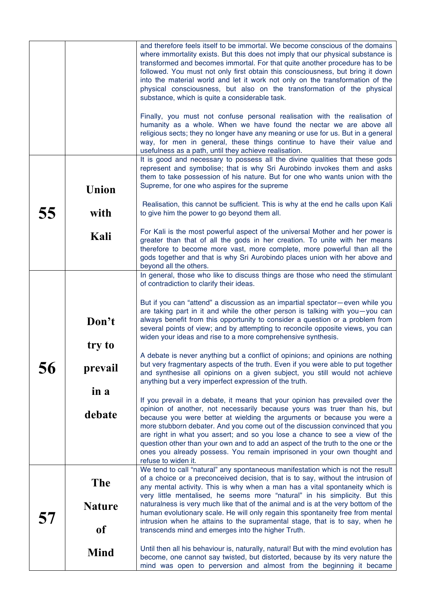|    |                | and therefore feels itself to be immortal. We become conscious of the domains<br>where immortality exists. But this does not imply that our physical substance is<br>transformed and becomes immortal. For that quite another procedure has to be<br>followed. You must not only first obtain this consciousness, but bring it down<br>into the material world and let it work not only on the transformation of the<br>physical consciousness, but also on the transformation of the physical<br>substance, which is quite a considerable task.                                           |
|----|----------------|--------------------------------------------------------------------------------------------------------------------------------------------------------------------------------------------------------------------------------------------------------------------------------------------------------------------------------------------------------------------------------------------------------------------------------------------------------------------------------------------------------------------------------------------------------------------------------------------|
|    |                | Finally, you must not confuse personal realisation with the realisation of<br>humanity as a whole. When we have found the nectar we are above all<br>religious sects; they no longer have any meaning or use for us. But in a general<br>way, for men in general, these things continue to have their value and<br>usefulness as a path, until they achieve realisation.                                                                                                                                                                                                                   |
|    | Union          | It is good and necessary to possess all the divine qualities that these gods<br>represent and symbolise; that is why Sri Aurobindo invokes them and asks<br>them to take possession of his nature. But for one who wants union with the<br>Supreme, for one who aspires for the supreme                                                                                                                                                                                                                                                                                                    |
| 55 | with           | Realisation, this cannot be sufficient. This is why at the end he calls upon Kali<br>to give him the power to go beyond them all.                                                                                                                                                                                                                                                                                                                                                                                                                                                          |
|    | Kali           | For Kali is the most powerful aspect of the universal Mother and her power is<br>greater than that of all the gods in her creation. To unite with her means<br>therefore to become more vast, more complete, more powerful than all the<br>gods together and that is why Sri Aurobindo places union with her above and<br>beyond all the others.                                                                                                                                                                                                                                           |
|    |                | In general, those who like to discuss things are those who need the stimulant<br>of contradiction to clarify their ideas.                                                                                                                                                                                                                                                                                                                                                                                                                                                                  |
|    | Don't          | But if you can "attend" a discussion as an impartial spectator—even while you<br>are taking part in it and while the other person is talking with you-you can<br>always benefit from this opportunity to consider a question or a problem from<br>several points of view; and by attempting to reconcile opposite views, you can<br>widen your ideas and rise to a more comprehensive synthesis.                                                                                                                                                                                           |
|    | try to         | A debate is never anything but a conflict of opinions; and opinions are nothing<br>but very fragmentary aspects of the truth. Even if you were able to put together                                                                                                                                                                                                                                                                                                                                                                                                                        |
| 56 | prevail        | and synthesise all opinions on a given subject, you still would not achieve<br>anything but a very imperfect expression of the truth.                                                                                                                                                                                                                                                                                                                                                                                                                                                      |
|    | in a<br>debate | If you prevail in a debate, it means that your opinion has prevailed over the<br>opinion of another, not necessarily because yours was truer than his, but<br>because you were better at wielding the arguments or because you were a<br>more stubborn debater. And you come out of the discussion convinced that you<br>are right in what you assert; and so you lose a chance to see a view of the<br>question other than your own and to add an aspect of the truth to the one or the<br>ones you already possess. You remain imprisoned in your own thought and<br>refuse to widen it. |
|    | <b>The</b>     | We tend to call "natural" any spontaneous manifestation which is not the result<br>of a choice or a preconceived decision, that is to say, without the intrusion of                                                                                                                                                                                                                                                                                                                                                                                                                        |
| 57 | <b>Nature</b>  | any mental activity. This is why when a man has a vital spontaneity which is<br>very little mentalised, he seems more "natural" in his simplicity. But this<br>naturalness is very much like that of the animal and is at the very bottom of the                                                                                                                                                                                                                                                                                                                                           |
|    | <b>of</b>      | human evolutionary scale. He will only regain this spontaneity free from mental<br>intrusion when he attains to the supramental stage, that is to say, when he<br>transcends mind and emerges into the higher Truth.                                                                                                                                                                                                                                                                                                                                                                       |
|    | <b>Mind</b>    | Until then all his behaviour is, naturally, natural! But with the mind evolution has<br>become, one cannot say twisted, but distorted, because by its very nature the<br>mind was open to perversion and almost from the beginning it became                                                                                                                                                                                                                                                                                                                                               |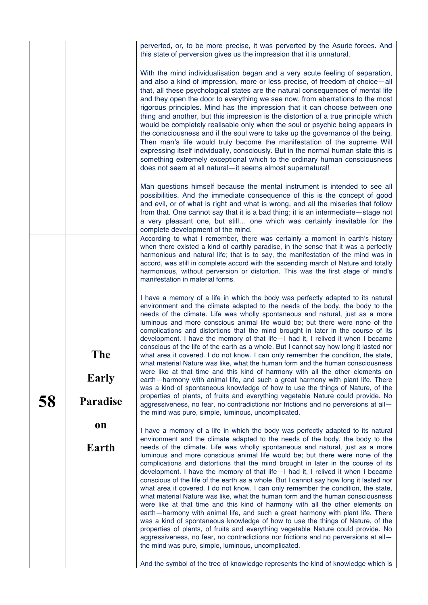|    |                     | perverted, or, to be more precise, it was perverted by the Asuric forces. And<br>this state of perversion gives us the impression that it is unnatural.                                                                                                                                                                                                                                                                                                                                                                                                                                                                                                                                                                                                                                                                                                                                                                                                                                                                                                                                                                                                                                                                                                                 |
|----|---------------------|-------------------------------------------------------------------------------------------------------------------------------------------------------------------------------------------------------------------------------------------------------------------------------------------------------------------------------------------------------------------------------------------------------------------------------------------------------------------------------------------------------------------------------------------------------------------------------------------------------------------------------------------------------------------------------------------------------------------------------------------------------------------------------------------------------------------------------------------------------------------------------------------------------------------------------------------------------------------------------------------------------------------------------------------------------------------------------------------------------------------------------------------------------------------------------------------------------------------------------------------------------------------------|
|    |                     | With the mind individualisation began and a very acute feeling of separation,<br>and also a kind of impression, more or less precise, of freedom of choice-all<br>that, all these psychological states are the natural consequences of mental life<br>and they open the door to everything we see now, from aberrations to the most<br>rigorous principles. Mind has the impression that it can choose between one<br>thing and another, but this impression is the distortion of a true principle which<br>would be completely realisable only when the soul or psychic being appears in<br>the consciousness and if the soul were to take up the governance of the being.<br>Then man's life would truly become the manifestation of the supreme Will<br>expressing itself individually, consciously. But in the normal human state this is<br>something extremely exceptional which to the ordinary human consciousness<br>does not seem at all natural-it seems almost supernatural!                                                                                                                                                                                                                                                                                |
|    |                     | Man questions himself because the mental instrument is intended to see all<br>possibilities. And the immediate consequence of this is the concept of good<br>and evil, or of what is right and what is wrong, and all the miseries that follow<br>from that. One cannot say that it is a bad thing; it is an intermediate—stage not<br>a very pleasant one, but still one which was certainly inevitable for the<br>complete development of the mind.                                                                                                                                                                                                                                                                                                                                                                                                                                                                                                                                                                                                                                                                                                                                                                                                                   |
|    |                     | According to what I remember, there was certainly a moment in earth's history<br>when there existed a kind of earthly paradise, in the sense that it was a perfectly<br>harmonious and natural life; that is to say, the manifestation of the mind was in<br>accord, was still in complete accord with the ascending march of Nature and totally<br>harmonious, without perversion or distortion. This was the first stage of mind's<br>manifestation in material forms.                                                                                                                                                                                                                                                                                                                                                                                                                                                                                                                                                                                                                                                                                                                                                                                                |
|    | The<br><b>Early</b> | I have a memory of a life in which the body was perfectly adapted to its natural<br>environment and the climate adapted to the needs of the body, the body to the<br>needs of the climate. Life was wholly spontaneous and natural, just as a more<br>luminous and more conscious animal life would be; but there were none of the<br>complications and distortions that the mind brought in later in the course of its<br>development. I have the memory of that life-I had it, I relived it when I became<br>conscious of the life of the earth as a whole. But I cannot say how long it lasted nor<br>what area it covered. I do not know. I can only remember the condition, the state,<br>what material Nature was like, what the human form and the human consciousness<br>were like at that time and this kind of harmony with all the other elements on                                                                                                                                                                                                                                                                                                                                                                                                         |
| 58 | <b>Paradise</b>     | earth-harmony with animal life, and such a great harmony with plant life. There<br>was a kind of spontaneous knowledge of how to use the things of Nature, of the<br>properties of plants, of fruits and everything vegetable Nature could provide. No<br>aggressiveness, no fear, no contradictions nor frictions and no perversions at all-<br>the mind was pure, simple, luminous, uncomplicated.                                                                                                                                                                                                                                                                                                                                                                                                                                                                                                                                                                                                                                                                                                                                                                                                                                                                    |
|    | on<br>Earth         | I have a memory of a life in which the body was perfectly adapted to its natural<br>environment and the climate adapted to the needs of the body, the body to the<br>needs of the climate. Life was wholly spontaneous and natural, just as a more<br>luminous and more conscious animal life would be; but there were none of the<br>complications and distortions that the mind brought in later in the course of its<br>development. I have the memory of that life-I had it, I relived it when I became<br>conscious of the life of the earth as a whole. But I cannot say how long it lasted nor<br>what area it covered. I do not know. I can only remember the condition, the state,<br>what material Nature was like, what the human form and the human consciousness<br>were like at that time and this kind of harmony with all the other elements on<br>earth-harmony with animal life, and such a great harmony with plant life. There<br>was a kind of spontaneous knowledge of how to use the things of Nature, of the<br>properties of plants, of fruits and everything vegetable Nature could provide. No<br>aggressiveness, no fear, no contradictions nor frictions and no perversions at all-<br>the mind was pure, simple, luminous, uncomplicated. |
|    |                     | And the symbol of the tree of knowledge represents the kind of knowledge which is                                                                                                                                                                                                                                                                                                                                                                                                                                                                                                                                                                                                                                                                                                                                                                                                                                                                                                                                                                                                                                                                                                                                                                                       |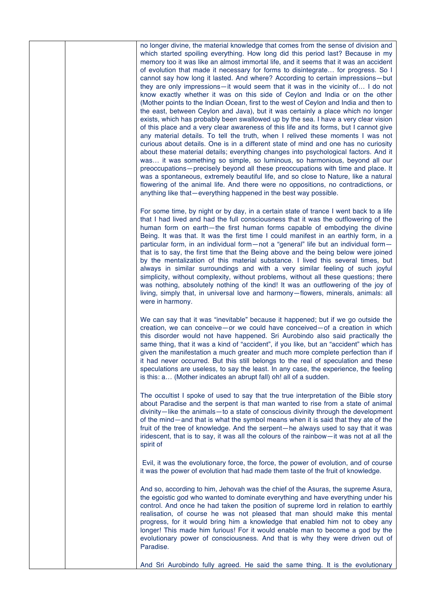no longer divine, the material knowledge that comes from the sense of division and which started spoiling everything. How long did this period last? Because in my memory too it was like an almost immortal life, and it seems that it was an accident of evolution that made it necessary for forms to disintegrate… for progress. So I cannot say how long it lasted. And where? According to certain impressions—but they are only impressions—it would seem that it was in the vicinity of… I do not know exactly whether it was on this side of Ceylon and India or on the other (Mother points to the Indian Ocean, first to the west of Ceylon and India and then to the east, between Ceylon and Java), but it was certainly a place which no longer exists, which has probably been swallowed up by the sea. I have a very clear vision of this place and a very clear awareness of this life and its forms, but I cannot give any material details. To tell the truth, when I relived these moments I was not curious about details. One is in a different state of mind and one has no curiosity about these material details; everything changes into psychological factors. And it was… it was something so simple, so luminous, so harmonious, beyond all our preoccupations—precisely beyond all these preoccupations with time and place. It was a spontaneous, extremely beautiful life, and so close to Nature, like a natural flowering of the animal life. And there were no oppositions, no contradictions, or anything like that—everything happened in the best way possible.

For some time, by night or by day, in a certain state of trance I went back to a life that I had lived and had the full consciousness that it was the outflowering of the human form on earth—the first human forms capable of embodying the divine Being. It was that. It was the first time I could manifest in an earthly form, in a particular form, in an individual form—not a "general" life but an individual form that is to say, the first time that the Being above and the being below were joined by the mentalization of this material substance. I lived this several times, but always in similar surroundings and with a very similar feeling of such joyful simplicity, without complexity, without problems, without all these questions; there was nothing, absolutely nothing of the kind! It was an outflowering of the joy of living, simply that, in universal love and harmony—flowers, minerals, animals: all were in harmony.

We can say that it was "inevitable" because it happened; but if we go outside the creation, we can conceive—or we could have conceived—of a creation in which this disorder would not have happened. Sri Aurobindo also said practically the same thing, that it was a kind of "accident", if you like, but an "accident" which has given the manifestation a much greater and much more complete perfection than if it had never occurred. But this still belongs to the real of speculation and these speculations are useless, to say the least. In any case, the experience, the feeling is this: a… (Mother indicates an abrupt fall) oh! all of a sudden.

The occultist I spoke of used to say that the true interpretation of the Bible story about Paradise and the serpent is that man wanted to rise from a state of animal divinity—like the animals—to a state of conscious divinity through the development of the mind—and that is what the symbol means when it is said that they ate of the fruit of the tree of knowledge. And the serpent—he always used to say that it was iridescent, that is to say, it was all the colours of the rainbow—it was not at all the spirit of

Evil, it was the evolutionary force, the force, the power of evolution, and of course it was the power of evolution that had made them taste of the fruit of knowledge.

And so, according to him, Jehovah was the chief of the Asuras, the supreme Asura, the egoistic god who wanted to dominate everything and have everything under his control. And once he had taken the position of supreme lord in relation to earthly realisation, of course he was not pleased that man should make this mental progress, for it would bring him a knowledge that enabled him not to obey any longer! This made him furious! For it would enable man to become a god by the evolutionary power of consciousness. And that is why they were driven out of Paradise.

And Sri Aurobindo fully agreed. He said the same thing. It is the evolutionary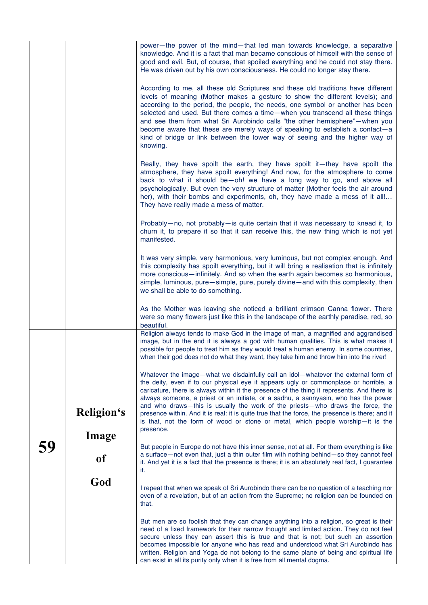|    |                   | power-the power of the mind-that led man towards knowledge, a separative<br>knowledge. And it is a fact that man became conscious of himself with the sense of<br>good and evil. But, of course, that spoiled everything and he could not stay there.<br>He was driven out by his own consciousness. He could no longer stay there.                                                                                                                                                                                                                                                                                                      |
|----|-------------------|------------------------------------------------------------------------------------------------------------------------------------------------------------------------------------------------------------------------------------------------------------------------------------------------------------------------------------------------------------------------------------------------------------------------------------------------------------------------------------------------------------------------------------------------------------------------------------------------------------------------------------------|
|    |                   | According to me, all these old Scriptures and these old traditions have different<br>levels of meaning (Mother makes a gesture to show the different levels); and<br>according to the period, the people, the needs, one symbol or another has been<br>selected and used. But there comes a time-when you transcend all these things<br>and see them from what Sri Aurobindo calls "the other hemisphere"—when you<br>become aware that these are merely ways of speaking to establish a contact-a<br>kind of bridge or link between the lower way of seeing and the higher way of<br>knowing.                                           |
|    |                   | Really, they have spoilt the earth, they have spoilt it—they have spoilt the<br>atmosphere, they have spoilt everything! And now, for the atmosphere to come<br>back to what it should be-oh! we have a long way to go, and above all<br>psychologically. But even the very structure of matter (Mother feels the air around<br>her), with their bombs and experiments, oh, they have made a mess of it all!<br>They have really made a mess of matter.                                                                                                                                                                                  |
|    |                   | Probably-no, not probably-is quite certain that it was necessary to knead it, to<br>churn it, to prepare it so that it can receive this, the new thing which is not yet<br>manifested.                                                                                                                                                                                                                                                                                                                                                                                                                                                   |
|    |                   | It was very simple, very harmonious, very luminous, but not complex enough. And<br>this complexity has spoilt everything, but it will bring a realisation that is infinitely<br>more conscious—infinitely. And so when the earth again becomes so harmonious,<br>simple, luminous, pure-simple, pure, purely divine-and with this complexity, then<br>we shall be able to do something.                                                                                                                                                                                                                                                  |
|    |                   | As the Mother was leaving she noticed a brilliant crimson Canna flower. There<br>were so many flowers just like this in the landscape of the earthly paradise, red, so<br>beautiful.                                                                                                                                                                                                                                                                                                                                                                                                                                                     |
|    |                   | Religion always tends to make God in the image of man, a magnified and aggrandised<br>image, but in the end it is always a god with human qualities. This is what makes it<br>possible for people to treat him as they would treat a human enemy. In some countries,<br>when their god does not do what they want, they take him and throw him into the river!                                                                                                                                                                                                                                                                           |
|    | <b>Religion's</b> | Whatever the image—what we disdainfully call an idol—whatever the external form of<br>the deity, even if to our physical eye it appears ugly or commonplace or horrible, a<br>caricature, there is always within it the presence of the thing it represents. And there is<br>always someone, a priest or an initiate, or a sadhu, a sannyasin, who has the power<br>and who draws—this is usually the work of the priests—who draws the force, the<br>presence within. And it is real: it is quite true that the force, the presence is there; and it<br>is that, not the form of wood or stone or metal, which people worship—it is the |
|    | Image             | presence.                                                                                                                                                                                                                                                                                                                                                                                                                                                                                                                                                                                                                                |
| 59 | <sub>of</sub>     | But people in Europe do not have this inner sense, not at all. For them everything is like<br>a surface—not even that, just a thin outer film with nothing behind—so they cannot feel<br>it. And yet it is a fact that the presence is there; it is an absolutely real fact, I guarantee<br>it.                                                                                                                                                                                                                                                                                                                                          |
|    | God               | I repeat that when we speak of Sri Aurobindo there can be no question of a teaching nor<br>even of a revelation, but of an action from the Supreme; no religion can be founded on<br>that.                                                                                                                                                                                                                                                                                                                                                                                                                                               |
|    |                   | But men are so foolish that they can change anything into a religion, so great is their<br>need of a fixed framework for their narrow thought and limited action. They do not feel<br>secure unless they can assert this is true and that is not; but such an assertion<br>becomes impossible for anyone who has read and understood what Sri Aurobindo has<br>written. Religion and Yoga do not belong to the same plane of being and spiritual life<br>can exist in all its purity only when it is free from all mental dogma.                                                                                                         |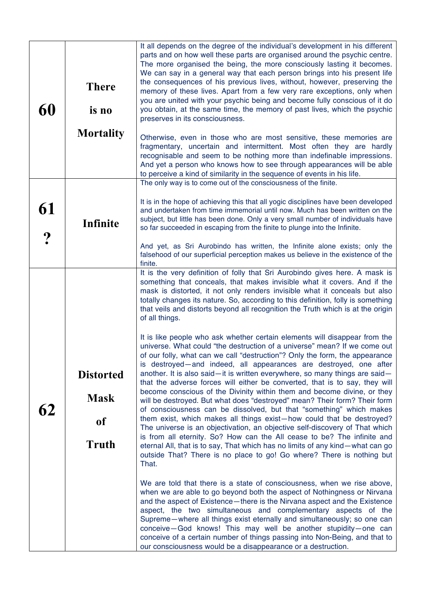| 60                     | <b>There</b><br>is no<br><b>Mortality</b>             | It all depends on the degree of the individual's development in his different<br>parts and on how well these parts are organised around the psychic centre.<br>The more organised the being, the more consciously lasting it becomes.<br>We can say in a general way that each person brings into his present life<br>the consequences of his previous lives, without, however, preserving the<br>memory of these lives. Apart from a few very rare exceptions, only when<br>you are united with your psychic being and become fully conscious of it do<br>you obtain, at the same time, the memory of past lives, which the psychic<br>preserves in its consciousness.<br>Otherwise, even in those who are most sensitive, these memories are<br>fragmentary, uncertain and intermittent. Most often they are hardly<br>recognisable and seem to be nothing more than indefinable impressions.<br>And yet a person who knows how to see through appearances will be able<br>to perceive a kind of similarity in the sequence of events in his life.                                                                                                                                                                                                                                                                                                                                                                                                                                                                                                                                                                                                                                                                                                                                                                                                                                                                                                                                                                                                                                                                                            |
|------------------------|-------------------------------------------------------|-------------------------------------------------------------------------------------------------------------------------------------------------------------------------------------------------------------------------------------------------------------------------------------------------------------------------------------------------------------------------------------------------------------------------------------------------------------------------------------------------------------------------------------------------------------------------------------------------------------------------------------------------------------------------------------------------------------------------------------------------------------------------------------------------------------------------------------------------------------------------------------------------------------------------------------------------------------------------------------------------------------------------------------------------------------------------------------------------------------------------------------------------------------------------------------------------------------------------------------------------------------------------------------------------------------------------------------------------------------------------------------------------------------------------------------------------------------------------------------------------------------------------------------------------------------------------------------------------------------------------------------------------------------------------------------------------------------------------------------------------------------------------------------------------------------------------------------------------------------------------------------------------------------------------------------------------------------------------------------------------------------------------------------------------------------------------------------------------------------------------------------------------|
| 61<br>$\boldsymbol{?}$ | Infinite                                              | The only way is to come out of the consciousness of the finite.<br>It is in the hope of achieving this that all yogic disciplines have been developed<br>and undertaken from time immemorial until now. Much has been written on the<br>subject, but little has been done. Only a very small number of individuals have<br>so far succeeded in escaping from the finite to plunge into the Infinite.<br>And yet, as Sri Aurobindo has written, the Infinite alone exists; only the<br>falsehood of our superficial perception makes us believe in the existence of the<br>finite.                                                                                                                                                                                                                                                                                                                                                                                                                                                                                                                                                                                                                                                                                                                                                                                                                                                                                                                                                                                                                                                                                                                                                                                                                                                                                                                                                                                                                                                                                                                                                               |
| 62                     | <b>Distorted</b><br><b>Mask</b><br>of<br><b>Truth</b> | It is the very definition of folly that Sri Aurobindo gives here. A mask is<br>something that conceals, that makes invisible what it covers. And if the<br>mask is distorted, it not only renders invisible what it conceals but also<br>totally changes its nature. So, according to this definition, folly is something<br>that veils and distorts beyond all recognition the Truth which is at the origin<br>of all things.<br>It is like people who ask whether certain elements will disappear from the<br>universe. What could "the destruction of a universe" mean? If we come out<br>of our folly, what can we call "destruction"? Only the form, the appearance<br>is destroyed—and indeed, all appearances are destroyed, one after<br>another. It is also said-it is written everywhere, so many things are said-<br>that the adverse forces will either be converted, that is to say, they will<br>become conscious of the Divinity within them and become divine, or they<br>will be destroyed. But what does "destroyed" mean? Their form? Their form<br>of consciousness can be dissolved, but that "something" which makes<br>them exist, which makes all things exist-how could that be destroyed?<br>The universe is an objectivation, an objective self-discovery of That which<br>is from all eternity. So? How can the All cease to be? The infinite and<br>eternal All, that is to say, That which has no limits of any kind—what can go<br>outside That? There is no place to go! Go where? There is nothing but<br>That.<br>We are told that there is a state of consciousness, when we rise above,<br>when we are able to go beyond both the aspect of Nothingness or Nirvana<br>and the aspect of Existence-there is the Nirvana aspect and the Existence<br>aspect, the two simultaneous and complementary aspects of the<br>Supreme-where all things exist eternally and simultaneously; so one can<br>conceive-God knows! This may well be another stupidity-one can<br>conceive of a certain number of things passing into Non-Being, and that to<br>our consciousness would be a disappearance or a destruction. |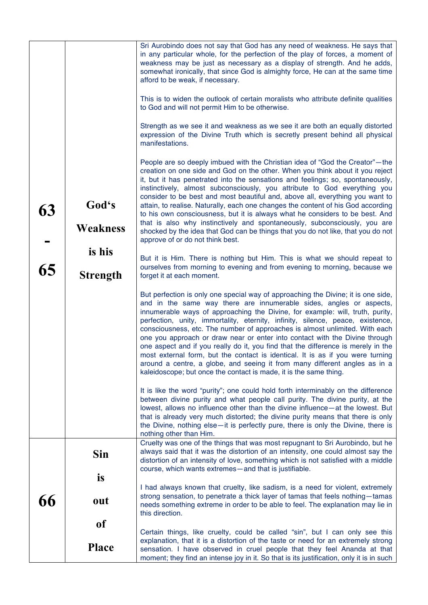|    |                           | Sri Aurobindo does not say that God has any need of weakness. He says that<br>in any particular whole, for the perfection of the play of forces, a moment of<br>weakness may be just as necessary as a display of strength. And he adds,<br>somewhat ironically, that since God is almighty force, He can at the same time<br>afford to be weak, if necessary.<br>This is to widen the outlook of certain moralists who attribute definite qualities<br>to God and will not permit Him to be otherwise.<br>Strength as we see it and weakness as we see it are both an equally distorted<br>expression of the Divine Truth which is secretly present behind all physical<br>manifestations.                                                                                                                         |
|----|---------------------------|---------------------------------------------------------------------------------------------------------------------------------------------------------------------------------------------------------------------------------------------------------------------------------------------------------------------------------------------------------------------------------------------------------------------------------------------------------------------------------------------------------------------------------------------------------------------------------------------------------------------------------------------------------------------------------------------------------------------------------------------------------------------------------------------------------------------|
| 63 | God's<br><b>Weakness</b>  | People are so deeply imbued with the Christian idea of "God the Creator"—the<br>creation on one side and God on the other. When you think about it you reject<br>it, but it has penetrated into the sensations and feelings; so, spontaneously,<br>instinctively, almost subconsciously, you attribute to God everything you<br>consider to be best and most beautiful and, above all, everything you want to<br>attain, to realise. Naturally, each one changes the content of his God according<br>to his own consciousness, but it is always what he considers to be best. And<br>that is also why instinctively and spontaneously, subconsciously, you are<br>shocked by the idea that God can be things that you do not like, that you do not<br>approve of or do not think best.                              |
| 65 | is his<br><b>Strength</b> | But it is Him. There is nothing but Him. This is what we should repeat to<br>ourselves from morning to evening and from evening to morning, because we<br>forget it at each moment.                                                                                                                                                                                                                                                                                                                                                                                                                                                                                                                                                                                                                                 |
|    |                           | But perfection is only one special way of approaching the Divine; it is one side,<br>and in the same way there are innumerable sides, angles or aspects,<br>innumerable ways of approaching the Divine, for example: will, truth, purity,<br>perfection, unity, immortality, eternity, infinity, silence, peace, existence,<br>consciousness, etc. The number of approaches is almost unlimited. With each<br>one you approach or draw near or enter into contact with the Divine through<br>one aspect and if you really do it, you find that the difference is merely in the<br>most external form, but the contact is identical. It is as if you were turning<br>around a centre, a globe, and seeing it from many different angles as in a<br>kaleidoscope; but once the contact is made, it is the same thing. |
|    |                           | It is like the word "purity"; one could hold forth interminably on the difference<br>between divine purity and what people call purity. The divine purity, at the<br>lowest, allows no influence other than the divine influence—at the lowest. But<br>that is already very much distorted; the divine purity means that there is only<br>the Divine, nothing else-it is perfectly pure, there is only the Divine, there is<br>nothing other than Him.                                                                                                                                                                                                                                                                                                                                                              |
|    | <b>Sin</b>                | Cruelty was one of the things that was most repugnant to Sri Aurobindo, but he<br>always said that it was the distortion of an intensity, one could almost say the<br>distortion of an intensity of love, something which is not satisfied with a middle<br>course, which wants extremes-and that is justifiable.                                                                                                                                                                                                                                                                                                                                                                                                                                                                                                   |
| 66 | is<br>out                 | I had always known that cruelty, like sadism, is a need for violent, extremely<br>strong sensation, to penetrate a thick layer of tamas that feels nothing-tamas<br>needs something extreme in order to be able to feel. The explanation may lie in<br>this direction.                                                                                                                                                                                                                                                                                                                                                                                                                                                                                                                                              |
|    | <b>of</b>                 | Certain things, like cruelty, could be called "sin", but I can only see this                                                                                                                                                                                                                                                                                                                                                                                                                                                                                                                                                                                                                                                                                                                                        |
|    | <b>Place</b>              | explanation, that it is a distortion of the taste or need for an extremely strong<br>sensation. I have observed in cruel people that they feel Ananda at that<br>moment; they find an intense joy in it. So that is its justification, only it is in such                                                                                                                                                                                                                                                                                                                                                                                                                                                                                                                                                           |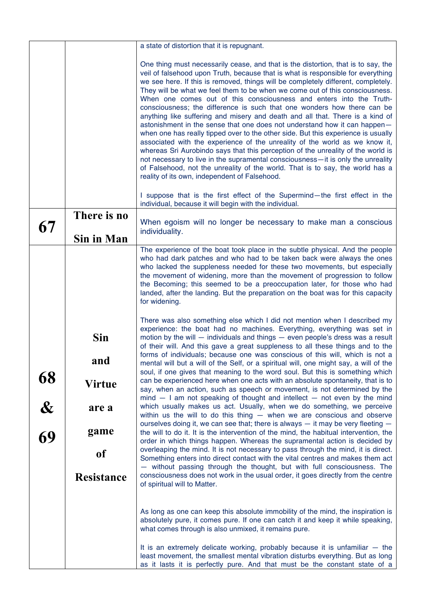|                   |                           | a state of distortion that it is repugnant.                                                                                                                                                                                                                                                                                                                                                                                                                                                                                                                                                                                                                                                                                                                                                                                                                                                                                                                                                                                                                                                                                             |
|-------------------|---------------------------|-----------------------------------------------------------------------------------------------------------------------------------------------------------------------------------------------------------------------------------------------------------------------------------------------------------------------------------------------------------------------------------------------------------------------------------------------------------------------------------------------------------------------------------------------------------------------------------------------------------------------------------------------------------------------------------------------------------------------------------------------------------------------------------------------------------------------------------------------------------------------------------------------------------------------------------------------------------------------------------------------------------------------------------------------------------------------------------------------------------------------------------------|
|                   |                           | One thing must necessarily cease, and that is the distortion, that is to say, the<br>veil of falsehood upon Truth, because that is what is responsible for everything<br>we see here. If this is removed, things will be completely different, completely.<br>They will be what we feel them to be when we come out of this consciousness.<br>When one comes out of this consciousness and enters into the Truth-<br>consciousness; the difference is such that one wonders how there can be<br>anything like suffering and misery and death and all that. There is a kind of<br>astonishment in the sense that one does not understand how it can happen-<br>when one has really tipped over to the other side. But this experience is usually<br>associated with the experience of the unreality of the world as we know it,<br>whereas Sri Aurobindo says that this perception of the unreality of the world is<br>not necessary to live in the supramental consciousness-it is only the unreality<br>of Falsehood, not the unreality of the world. That is to say, the world has a<br>reality of its own, independent of Falsehood. |
|                   |                           | I suppose that is the first effect of the Supermind—the first effect in the<br>individual, because it will begin with the individual.                                                                                                                                                                                                                                                                                                                                                                                                                                                                                                                                                                                                                                                                                                                                                                                                                                                                                                                                                                                                   |
| 67                | There is no<br>Sin in Man | When egoism will no longer be necessary to make man a conscious<br>individuality.                                                                                                                                                                                                                                                                                                                                                                                                                                                                                                                                                                                                                                                                                                                                                                                                                                                                                                                                                                                                                                                       |
|                   |                           | The experience of the boat took place in the subtle physical. And the people<br>who had dark patches and who had to be taken back were always the ones<br>who lacked the suppleness needed for these two movements, but especially<br>the movement of widening, more than the movement of progression to follow<br>the Becoming; this seemed to be a preoccupation later, for those who had<br>landed, after the landing. But the preparation on the boat was for this capacity<br>for widening.                                                                                                                                                                                                                                                                                                                                                                                                                                                                                                                                                                                                                                        |
|                   | <b>Sin</b>                | There was also something else which I did not mention when I described my<br>experience: the boat had no machines. Everything, everything was set in<br>motion by the will $-$ individuals and things $-$ even people's dress was a result<br>of their will. And this gave a great suppleness to all these things and to the                                                                                                                                                                                                                                                                                                                                                                                                                                                                                                                                                                                                                                                                                                                                                                                                            |
|                   | and                       | forms of individuals; because one was conscious of this will, which is not a<br>mental will but a will of the Self, or a spiritual will, one might say, a will of the                                                                                                                                                                                                                                                                                                                                                                                                                                                                                                                                                                                                                                                                                                                                                                                                                                                                                                                                                                   |
| 68                | <b>Virtue</b>             | soul, if one gives that meaning to the word soul. But this is something which<br>can be experienced here when one acts with an absolute spontaneity, that is to<br>say, when an action, such as speech or movement, is not determined by the<br>$mind - 1$ am not speaking of thought and intellect $-$ not even by the mind                                                                                                                                                                                                                                                                                                                                                                                                                                                                                                                                                                                                                                                                                                                                                                                                            |
| $\boldsymbol{\&}$ | are a                     | which usually makes us act. Usually, when we do something, we perceive<br>within us the will to do this thing $-$ when we are conscious and observe                                                                                                                                                                                                                                                                                                                                                                                                                                                                                                                                                                                                                                                                                                                                                                                                                                                                                                                                                                                     |
| 69                | game                      | ourselves doing it, we can see that; there is always $-$ it may be very fleeting $-$<br>the will to do it. It is the intervention of the mind, the habitual intervention, the<br>order in which things happen. Whereas the supramental action is decided by                                                                                                                                                                                                                                                                                                                                                                                                                                                                                                                                                                                                                                                                                                                                                                                                                                                                             |
|                   | 0f                        | overleaping the mind. It is not necessary to pass through the mind, it is direct.<br>Something enters into direct contact with the vital centres and makes them act<br>without passing through the thought, but with full consciousness. The                                                                                                                                                                                                                                                                                                                                                                                                                                                                                                                                                                                                                                                                                                                                                                                                                                                                                            |
|                   | <b>Resistance</b>         | consciousness does not work in the usual order, it goes directly from the centre<br>of spiritual will to Matter.                                                                                                                                                                                                                                                                                                                                                                                                                                                                                                                                                                                                                                                                                                                                                                                                                                                                                                                                                                                                                        |
|                   |                           | As long as one can keep this absolute immobility of the mind, the inspiration is<br>absolutely pure, it comes pure. If one can catch it and keep it while speaking,<br>what comes through is also unmixed, it remains pure.                                                                                                                                                                                                                                                                                                                                                                                                                                                                                                                                                                                                                                                                                                                                                                                                                                                                                                             |
|                   |                           | It is an extremely delicate working, probably because it is unfamiliar $-$ the<br>least movement, the smallest mental vibration disturbs everything. But as long<br>as it lasts it is perfectly pure. And that must be the constant state of a                                                                                                                                                                                                                                                                                                                                                                                                                                                                                                                                                                                                                                                                                                                                                                                                                                                                                          |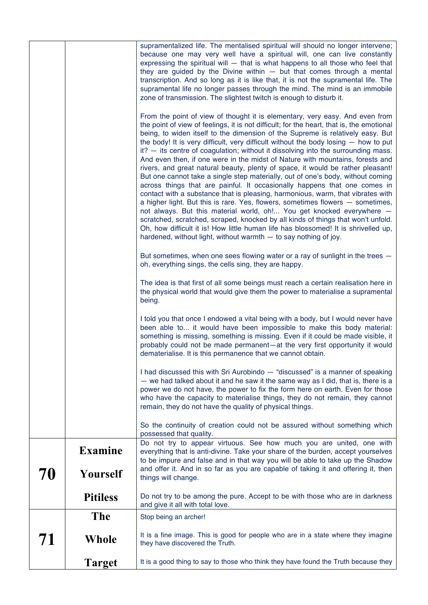|    |                 | supramentalized life. The mentalised spiritual will should no longer intervene;<br>because one may very well have a spiritual will, one can live constantly<br>expressing the spiritual will $-$ that is what happens to all those who feel that<br>they are guided by the Divine within $-$ but that comes through a mental<br>transcription. And so long as it is like that, it is not the supramental life. The<br>supramental life no longer passes through the mind. The mind is an immobile<br>zone of transmission. The slightest twitch is enough to disturb it.<br>From the point of view of thought it is elementary, very easy. And even from                                                                                                                                                                                                                                                                                                                                                                                                                                                                                                                                    |
|----|-----------------|---------------------------------------------------------------------------------------------------------------------------------------------------------------------------------------------------------------------------------------------------------------------------------------------------------------------------------------------------------------------------------------------------------------------------------------------------------------------------------------------------------------------------------------------------------------------------------------------------------------------------------------------------------------------------------------------------------------------------------------------------------------------------------------------------------------------------------------------------------------------------------------------------------------------------------------------------------------------------------------------------------------------------------------------------------------------------------------------------------------------------------------------------------------------------------------------|
|    |                 | the point of view of feelings, it is not difficult; for the heart, that is, the emotional<br>being, to widen itself to the dimension of the Supreme is relatively easy. But<br>the body! It is very difficult, very difficult without the body losing $-$ how to put<br>it? - its centre of coagulation; without it dissolving into the surrounding mass.<br>And even then, if one were in the midst of Nature with mountains, forests and<br>rivers, and great natural beauty, plenty of space, it would be rather pleasant!<br>But one cannot take a single step materially, out of one's body, without coming<br>across things that are painful. It occasionally happens that one comes in<br>contact with a substance that is pleasing, harmonious, warm, that vibrates with<br>a higher light. But this is rare. Yes, flowers, sometimes flowers - sometimes,<br>not always. But this material world, oh! You get knocked everywhere -<br>scratched, scratched, scraped, knocked by all kinds of things that won't unfold.<br>Oh, how difficult it is! How little human life has blossomed! It is shrivelled up,<br>hardened, without light, without warmth $-$ to say nothing of joy. |
|    |                 | But sometimes, when one sees flowing water or a ray of sunlight in the trees –<br>oh, everything sings, the cells sing, they are happy.                                                                                                                                                                                                                                                                                                                                                                                                                                                                                                                                                                                                                                                                                                                                                                                                                                                                                                                                                                                                                                                     |
|    |                 | The idea is that first of all some beings must reach a certain realisation here in<br>the physical world that would give them the power to materialise a supramental<br>being.                                                                                                                                                                                                                                                                                                                                                                                                                                                                                                                                                                                                                                                                                                                                                                                                                                                                                                                                                                                                              |
|    |                 | I told you that once I endowed a vital being with a body, but I would never have<br>been able to it would have been impossible to make this body material:<br>something is missing, something is missing. Even if it could be made visible, it<br>probably could not be made permanent—at the very first opportunity it would<br>dematerialise. It is this permanence that we cannot obtain.                                                                                                                                                                                                                                                                                                                                                                                                                                                                                                                                                                                                                                                                                                                                                                                                |
|    |                 | I had discussed this with Sri Aurobindo - "discussed" is a manner of speaking<br>- we had talked about it and he saw it the same way as I did, that is, there is a<br>power we do not have, the power to fix the form here on earth. Even for those<br>who have the capacity to materialise things, they do not remain, they cannot<br>remain, they do not have the quality of physical things.                                                                                                                                                                                                                                                                                                                                                                                                                                                                                                                                                                                                                                                                                                                                                                                             |
|    |                 | So the continuity of creation could not be assured without something which<br>possessed that quality.                                                                                                                                                                                                                                                                                                                                                                                                                                                                                                                                                                                                                                                                                                                                                                                                                                                                                                                                                                                                                                                                                       |
|    | <b>Examine</b>  | Do not try to appear virtuous. See how much you are united, one with<br>everything that is anti-divine. Take your share of the burden, accept yourselves<br>to be impure and false and in that way you will be able to take up the Shadow                                                                                                                                                                                                                                                                                                                                                                                                                                                                                                                                                                                                                                                                                                                                                                                                                                                                                                                                                   |
| 70 | Yourself        | and offer it. And in so far as you are capable of taking it and offering it, then<br>things will change.                                                                                                                                                                                                                                                                                                                                                                                                                                                                                                                                                                                                                                                                                                                                                                                                                                                                                                                                                                                                                                                                                    |
|    | <b>Pitiless</b> | Do not try to be among the pure. Accept to be with those who are in darkness<br>and give it all with total love.                                                                                                                                                                                                                                                                                                                                                                                                                                                                                                                                                                                                                                                                                                                                                                                                                                                                                                                                                                                                                                                                            |
|    | <b>The</b>      | Stop being an archer!                                                                                                                                                                                                                                                                                                                                                                                                                                                                                                                                                                                                                                                                                                                                                                                                                                                                                                                                                                                                                                                                                                                                                                       |
| 71 | Whole           | It is a fine image. This is good for people who are in a state where they imagine<br>they have discovered the Truth.                                                                                                                                                                                                                                                                                                                                                                                                                                                                                                                                                                                                                                                                                                                                                                                                                                                                                                                                                                                                                                                                        |
|    | <b>Target</b>   | It is a good thing to say to those who think they have found the Truth because they                                                                                                                                                                                                                                                                                                                                                                                                                                                                                                                                                                                                                                                                                                                                                                                                                                                                                                                                                                                                                                                                                                         |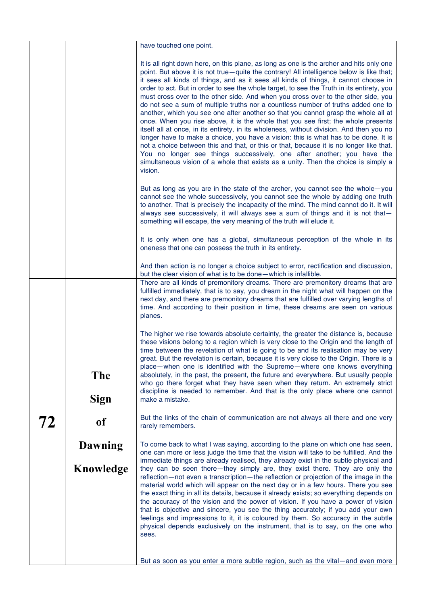|    |                           | have touched one point.                                                                                                                                                                                                                                                                                                                                                                                                                                                                                                                                                                                                                                                                                                                                                                                                                                                                                                                                                                                                                                                                                                                                                                 |
|----|---------------------------|-----------------------------------------------------------------------------------------------------------------------------------------------------------------------------------------------------------------------------------------------------------------------------------------------------------------------------------------------------------------------------------------------------------------------------------------------------------------------------------------------------------------------------------------------------------------------------------------------------------------------------------------------------------------------------------------------------------------------------------------------------------------------------------------------------------------------------------------------------------------------------------------------------------------------------------------------------------------------------------------------------------------------------------------------------------------------------------------------------------------------------------------------------------------------------------------|
|    |                           | It is all right down here, on this plane, as long as one is the archer and hits only one<br>point. But above it is not true-quite the contrary! All intelligence below is like that;<br>it sees all kinds of things, and as it sees all kinds of things, it cannot choose in<br>order to act. But in order to see the whole target, to see the Truth in its entirety, you<br>must cross over to the other side. And when you cross over to the other side, you<br>do not see a sum of multiple truths nor a countless number of truths added one to<br>another, which you see one after another so that you cannot grasp the whole all at<br>once. When you rise above, it is the whole that you see first; the whole presents<br>itself all at once, in its entirety, in its wholeness, without division. And then you no<br>longer have to make a choice, you have a vision: this is what has to be done. It is<br>not a choice between this and that, or this or that, because it is no longer like that.<br>You no longer see things successively, one after another; you have the<br>simultaneous vision of a whole that exists as a unity. Then the choice is simply a<br>vision. |
|    |                           | But as long as you are in the state of the archer, you cannot see the whole-you<br>cannot see the whole successively, you cannot see the whole by adding one truth<br>to another. That is precisely the incapacity of the mind. The mind cannot do it. It will<br>always see successively, it will always see a sum of things and it is not that-<br>something will escape, the very meaning of the truth will elude it.                                                                                                                                                                                                                                                                                                                                                                                                                                                                                                                                                                                                                                                                                                                                                                |
|    |                           | It is only when one has a global, simultaneous perception of the whole in its<br>oneness that one can possess the truth in its entirety.                                                                                                                                                                                                                                                                                                                                                                                                                                                                                                                                                                                                                                                                                                                                                                                                                                                                                                                                                                                                                                                |
|    |                           | And then action is no longer a choice subject to error, rectification and discussion,<br>but the clear vision of what is to be done-which is infallible.                                                                                                                                                                                                                                                                                                                                                                                                                                                                                                                                                                                                                                                                                                                                                                                                                                                                                                                                                                                                                                |
|    |                           | There are all kinds of premonitory dreams. There are premonitory dreams that are<br>fulfilled immediately, that is to say, you dream in the night what will happen on the<br>next day, and there are premonitory dreams that are fulfilled over varying lengths of<br>time. And according to their position in time, these dreams are seen on various<br>planes.                                                                                                                                                                                                                                                                                                                                                                                                                                                                                                                                                                                                                                                                                                                                                                                                                        |
|    | <b>The</b><br><b>Sign</b> | The higher we rise towards absolute certainty, the greater the distance is, because<br>these visions belong to a region which is very close to the Origin and the length of<br>time between the revelation of what is going to be and its realisation may be very<br>great. But the revelation is certain, because it is very close to the Origin. There is a<br>place—when one is identified with the Supreme—where one knows everything<br>absolutely, in the past, the present, the future and everywhere. But usually people<br>who go there forget what they have seen when they return. An extremely strict<br>discipline is needed to remember. And that is the only place where one cannot<br>make a mistake.                                                                                                                                                                                                                                                                                                                                                                                                                                                                   |
|    |                           |                                                                                                                                                                                                                                                                                                                                                                                                                                                                                                                                                                                                                                                                                                                                                                                                                                                                                                                                                                                                                                                                                                                                                                                         |
| 72 | <sub>of</sub>             | But the links of the chain of communication are not always all there and one very<br>rarely remembers.                                                                                                                                                                                                                                                                                                                                                                                                                                                                                                                                                                                                                                                                                                                                                                                                                                                                                                                                                                                                                                                                                  |
|    | Dawning                   | To come back to what I was saying, according to the plane on which one has seen,<br>one can more or less judge the time that the vision will take to be fulfilled. And the                                                                                                                                                                                                                                                                                                                                                                                                                                                                                                                                                                                                                                                                                                                                                                                                                                                                                                                                                                                                              |
|    | Knowledge                 | immediate things are already realised, they already exist in the subtle physical and<br>they can be seen there—they simply are, they exist there. They are only the<br>reflection—not even a transcription—the reflection or projection of the image in the<br>material world which will appear on the next day or in a few hours. There you see<br>the exact thing in all its details, because it already exists; so everything depends on<br>the accuracy of the vision and the power of vision. If you have a power of vision<br>that is objective and sincere, you see the thing accurately; if you add your own<br>feelings and impressions to it, it is coloured by them. So accuracy in the subtle<br>physical depends exclusively on the instrument, that is to say, on the one who<br>sees.                                                                                                                                                                                                                                                                                                                                                                                    |
|    |                           | But as soon as you enter a more subtle region, such as the vital—and even more                                                                                                                                                                                                                                                                                                                                                                                                                                                                                                                                                                                                                                                                                                                                                                                                                                                                                                                                                                                                                                                                                                          |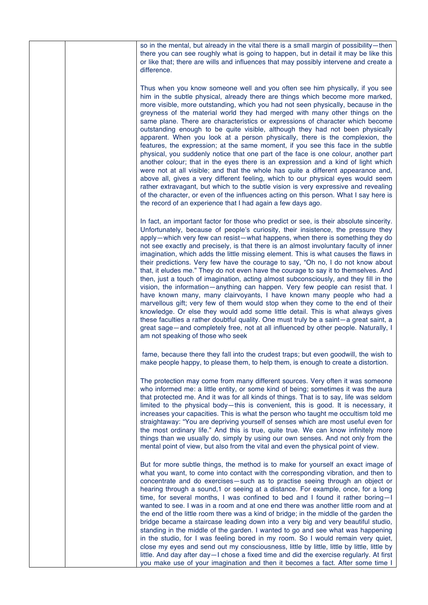so in the mental, but already in the vital there is a small margin of possibility—then there you can see roughly what is going to happen, but in detail it may be like this or like that; there are wills and influences that may possibly intervene and create a difference.

Thus when you know someone well and you often see him physically, if you see him in the subtle physical, already there are things which become more marked, more visible, more outstanding, which you had not seen physically, because in the greyness of the material world they had merged with many other things on the same plane. There are characteristics or expressions of character which become outstanding enough to be quite visible, although they had not been physically apparent. When you look at a person physically, there is the complexion, the features, the expression; at the same moment, if you see this face in the subtle physical, you suddenly notice that one part of the face is one colour, another part another colour; that in the eyes there is an expression and a kind of light which were not at all visible; and that the whole has quite a different appearance and, above all, gives a very different feeling, which to our physical eyes would seem rather extravagant, but which to the subtle vision is very expressive and revealing of the character, or even of the influences acting on this person. What I say here is the record of an experience that I had again a few days ago.

In fact, an important factor for those who predict or see, is their absolute sincerity. Unfortunately, because of people's curiosity, their insistence, the pressure they apply—which very few can resist—what happens, when there is something they do not see exactly and precisely, is that there is an almost involuntary faculty of inner imagination, which adds the little missing element. This is what causes the flaws in their predictions. Very few have the courage to say, "Oh no, I do not know about that, it eludes me." They do not even have the courage to say it to themselves. And then, just a touch of imagination, acting almost subconsciously, and they fill in the vision, the information—anything can happen. Very few people can resist that. I have known many, many clairvoyants, I have known many people who had a marvellous gift; very few of them would stop when they come to the end of their knowledge. Or else they would add some little detail. This is what always gives these faculties a rather doubtful quality. One must truly be a saint—a great saint, a great sage—and completely free, not at all influenced by other people. Naturally, I am not speaking of those who seek

fame, because there they fall into the crudest traps; but even goodwill, the wish to make people happy, to please them, to help them, is enough to create a distortion.

The protection may come from many different sources. Very often it was someone who informed me: a little entity, or some kind of being; sometimes it was the aura that protected me. And it was for all kinds of things. That is to say, life was seldom limited to the physical body—this is convenient, this is good. It is necessary, it increases your capacities. This is what the person who taught me occultism told me straightaway: "You are depriving yourself of senses which are most useful even for the most ordinary life." And this is true, quite true. We can know infinitely more things than we usually do, simply by using our own senses. And not only from the mental point of view, but also from the vital and even the physical point of view.

But for more subtle things, the method is to make for yourself an exact image of what you want, to come into contact with the corresponding vibration, and then to concentrate and do exercises—such as to practise seeing through an object or hearing through a sound,1 or seeing at a distance. For example, once, for a long time, for several months, I was confined to bed and I found it rather boring—I wanted to see. I was in a room and at one end there was another little room and at the end of the little room there was a kind of bridge; in the middle of the garden the bridge became a staircase leading down into a very big and very beautiful studio, standing in the middle of the garden. I wanted to go and see what was happening in the studio, for I was feeling bored in my room. So I would remain very quiet, close my eyes and send out my consciousness, little by little, little by little, little by little. And day after day—I chose a fixed time and did the exercise regularly. At first you make use of your imagination and then it becomes a fact. After some time I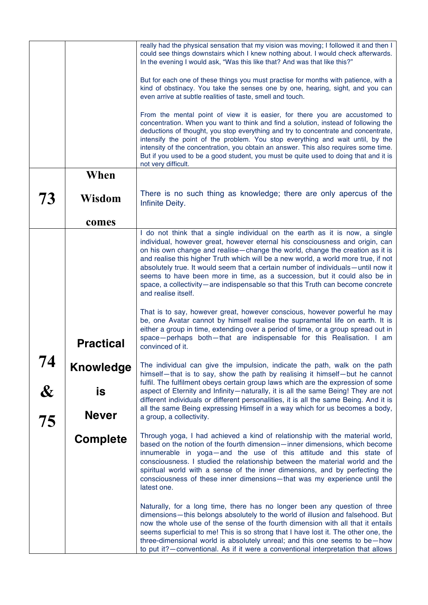|                               |                                                            | really had the physical sensation that my vision was moving; I followed it and then I<br>could see things downstairs which I knew nothing about. I would check afterwards.<br>In the evening I would ask, "Was this like that? And was that like this?"<br>But for each one of these things you must practise for months with patience, with a<br>kind of obstinacy. You take the senses one by one, hearing, sight, and you can<br>even arrive at subtle realities of taste, smell and touch.<br>From the mental point of view it is easier, for there you are accustomed to<br>concentration. When you want to think and find a solution, instead of following the<br>deductions of thought, you stop everything and try to concentrate and concentrate,<br>intensify the point of the problem. You stop everything and wait until, by the<br>intensity of the concentration, you obtain an answer. This also requires some time.<br>But if you used to be a good student, you must be quite used to doing that and it is<br>not very difficult.                                                                                                                                                                                                                                                                                                                                                                                                                                                   |
|-------------------------------|------------------------------------------------------------|------------------------------------------------------------------------------------------------------------------------------------------------------------------------------------------------------------------------------------------------------------------------------------------------------------------------------------------------------------------------------------------------------------------------------------------------------------------------------------------------------------------------------------------------------------------------------------------------------------------------------------------------------------------------------------------------------------------------------------------------------------------------------------------------------------------------------------------------------------------------------------------------------------------------------------------------------------------------------------------------------------------------------------------------------------------------------------------------------------------------------------------------------------------------------------------------------------------------------------------------------------------------------------------------------------------------------------------------------------------------------------------------------------------------------------------------------------------------------------------------------|
|                               | When                                                       |                                                                                                                                                                                                                                                                                                                                                                                                                                                                                                                                                                                                                                                                                                                                                                                                                                                                                                                                                                                                                                                                                                                                                                                                                                                                                                                                                                                                                                                                                                      |
| 73                            | Wisdom                                                     | There is no such thing as knowledge; there are only apercus of the<br>Infinite Deity.                                                                                                                                                                                                                                                                                                                                                                                                                                                                                                                                                                                                                                                                                                                                                                                                                                                                                                                                                                                                                                                                                                                                                                                                                                                                                                                                                                                                                |
|                               | comes                                                      |                                                                                                                                                                                                                                                                                                                                                                                                                                                                                                                                                                                                                                                                                                                                                                                                                                                                                                                                                                                                                                                                                                                                                                                                                                                                                                                                                                                                                                                                                                      |
| 74<br>$\boldsymbol{\&}$<br>75 | <b>Practical</b><br><b>Knowledge</b><br>is<br><b>Never</b> | I do not think that a single individual on the earth as it is now, a single<br>individual, however great, however eternal his consciousness and origin, can<br>on his own change and realise-change the world, change the creation as it is<br>and realise this higher Truth which will be a new world, a world more true, if not<br>absolutely true. It would seem that a certain number of individuals—until now it<br>seems to have been more in time, as a succession, but it could also be in<br>space, a collectivity—are indispensable so that this Truth can become concrete<br>and realise itself.<br>That is to say, however great, however conscious, however powerful he may<br>be, one Avatar cannot by himself realise the supramental life on earth. It is<br>either a group in time, extending over a period of time, or a group spread out in<br>space-perhaps both-that are indispensable for this Realisation. I am<br>convinced of it.<br>The individual can give the impulsion, indicate the path, walk on the path<br>himself-that is to say, show the path by realising it himself-but he cannot<br>fulfil. The fulfilment obeys certain group laws which are the expression of some<br>aspect of Eternity and Infinity-naturally, it is all the same Being! They are not<br>different individuals or different personalities, it is all the same Being. And it is<br>all the same Being expressing Himself in a way which for us becomes a body,<br>a group, a collectivity. |
|                               | <b>Complete</b>                                            | Through yoga, I had achieved a kind of relationship with the material world,<br>based on the notion of the fourth dimension—inner dimensions, which become<br>innumerable in yoga-and the use of this attitude and this state of<br>consciousness. I studied the relationship between the material world and the<br>spiritual world with a sense of the inner dimensions, and by perfecting the<br>consciousness of these inner dimensions-that was my experience until the<br>latest one.<br>Naturally, for a long time, there has no longer been any question of three<br>dimensions-this belongs absolutely to the world of illusion and falsehood. But<br>now the whole use of the sense of the fourth dimension with all that it entails<br>seems superficial to me! This is so strong that I have lost it. The other one, the<br>three-dimensional world is absolutely unreal; and this one seems to be-how<br>to put it? - conventional. As if it were a conventional interpretation that allows                                                                                                                                                                                                                                                                                                                                                                                                                                                                                              |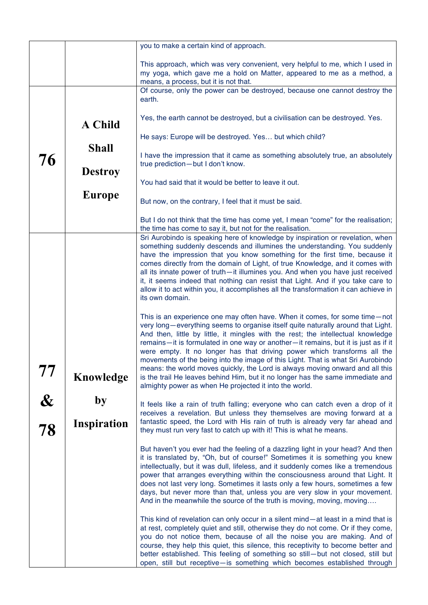|                     |                   | you to make a certain kind of approach.                                                                                                                                                                                                                                                                                                                                                                                                                                                                                                                                                                                                                                                                                              |
|---------------------|-------------------|--------------------------------------------------------------------------------------------------------------------------------------------------------------------------------------------------------------------------------------------------------------------------------------------------------------------------------------------------------------------------------------------------------------------------------------------------------------------------------------------------------------------------------------------------------------------------------------------------------------------------------------------------------------------------------------------------------------------------------------|
|                     |                   | This approach, which was very convenient, very helpful to me, which I used in<br>my yoga, which gave me a hold on Matter, appeared to me as a method, a<br>means, a process, but it is not that.                                                                                                                                                                                                                                                                                                                                                                                                                                                                                                                                     |
|                     |                   | Of course, only the power can be destroyed, because one cannot destroy the<br>earth.                                                                                                                                                                                                                                                                                                                                                                                                                                                                                                                                                                                                                                                 |
|                     | <b>A Child</b>    | Yes, the earth cannot be destroyed, but a civilisation can be destroyed. Yes.                                                                                                                                                                                                                                                                                                                                                                                                                                                                                                                                                                                                                                                        |
|                     | <b>Shall</b>      | He says: Europe will be destroyed. Yes but which child?                                                                                                                                                                                                                                                                                                                                                                                                                                                                                                                                                                                                                                                                              |
| 76                  | <b>Destroy</b>    | I have the impression that it came as something absolutely true, an absolutely<br>true prediction-but I don't know.                                                                                                                                                                                                                                                                                                                                                                                                                                                                                                                                                                                                                  |
|                     |                   | You had said that it would be better to leave it out.                                                                                                                                                                                                                                                                                                                                                                                                                                                                                                                                                                                                                                                                                |
|                     | <b>Europe</b>     | But now, on the contrary, I feel that it must be said.                                                                                                                                                                                                                                                                                                                                                                                                                                                                                                                                                                                                                                                                               |
|                     |                   | But I do not think that the time has come yet, I mean "come" for the realisation;<br>the time has come to say it, but not for the realisation.                                                                                                                                                                                                                                                                                                                                                                                                                                                                                                                                                                                       |
|                     |                   | Sri Aurobindo is speaking here of knowledge by inspiration or revelation, when<br>something suddenly descends and illumines the understanding. You suddenly<br>have the impression that you know something for the first time, because it<br>comes directly from the domain of Light, of true Knowledge, and it comes with<br>all its innate power of truth-it illumines you. And when you have just received<br>it, it seems indeed that nothing can resist that Light. And if you take care to<br>allow it to act within you, it accomplishes all the transformation it can achieve in<br>its own domain.                                                                                                                          |
| 77                  | Knowledge         | This is an experience one may often have. When it comes, for some time—not<br>very long-everything seems to organise itself quite naturally around that Light.<br>And then, little by little, it mingles with the rest; the intellectual knowledge<br>remains-it is formulated in one way or another-it remains, but it is just as if it<br>were empty. It no longer has that driving power which transforms all the<br>movements of the being into the image of this Light. That is what Sri Aurobindo<br>means: the world moves quickly, the Lord is always moving onward and all this<br>is the trail He leaves behind Him, but it no longer has the same immediate and<br>almighty power as when He projected it into the world. |
| $\mathbf{\&}$<br>78 | by<br>Inspiration | It feels like a rain of truth falling; everyone who can catch even a drop of it<br>receives a revelation. But unless they themselves are moving forward at a<br>fantastic speed, the Lord with His rain of truth is already very far ahead and<br>they must run very fast to catch up with it! This is what he means.                                                                                                                                                                                                                                                                                                                                                                                                                |
|                     |                   | But haven't you ever had the feeling of a dazzling light in your head? And then<br>it is translated by, "Oh, but of course!" Sometimes it is something you knew<br>intellectually, but it was dull, lifeless, and it suddenly comes like a tremendous<br>power that arranges everything within the consciousness around that Light. It<br>does not last very long. Sometimes it lasts only a few hours, sometimes a few<br>days, but never more than that, unless you are very slow in your movement.<br>And in the meanwhile the source of the truth is moving, moving, moving                                                                                                                                                      |
|                     |                   | This kind of revelation can only occur in a silent mind—at least in a mind that is<br>at rest, completely quiet and still, otherwise they do not come. Or if they come,<br>you do not notice them, because of all the noise you are making. And of<br>course, they help this quiet, this silence, this receptivity to become better and<br>better established. This feeling of something so still—but not closed, still but<br>open, still but receptive-is something which becomes established through                                                                                                                                                                                                                              |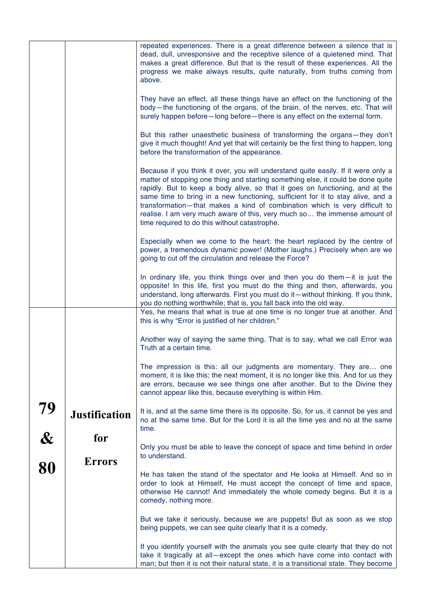|         |                             | repeated experiences. There is a great difference between a silence that is<br>dead, dull, unresponsive and the receptive silence of a quietened mind. That<br>makes a great difference. But that is the result of these experiences. All the<br>progress we make always results, quite naturally, from truths coming from<br>above.                                                                                                                                                                                                                  |
|---------|-----------------------------|-------------------------------------------------------------------------------------------------------------------------------------------------------------------------------------------------------------------------------------------------------------------------------------------------------------------------------------------------------------------------------------------------------------------------------------------------------------------------------------------------------------------------------------------------------|
|         |                             | They have an effect, all these things have an effect on the functioning of the<br>body-the functioning of the organs, of the brain, of the nerves, etc. That will<br>surely happen before—long before—there is any effect on the external form.                                                                                                                                                                                                                                                                                                       |
|         |                             | But this rather unaesthetic business of transforming the organs—they don't<br>give it much thought! And yet that will certainly be the first thing to happen, long<br>before the transformation of the appearance.                                                                                                                                                                                                                                                                                                                                    |
|         |                             | Because if you think it over, you will understand quite easily. If it were only a<br>matter of stopping one thing and starting something else, it could be done quite<br>rapidly. But to keep a body alive, so that it goes on functioning, and at the<br>same time to bring in a new functioning, sufficient for it to stay alive, and a<br>transformation-that makes a kind of combination which is very difficult to<br>realise. I am very much aware of this, very much so the immense amount of<br>time required to do this without catastrophe. |
|         |                             | Especially when we come to the heart: the heart replaced by the centre of<br>power, a tremendous dynamic power! (Mother laughs.) Precisely when are we<br>going to cut off the circulation and release the Force?                                                                                                                                                                                                                                                                                                                                     |
|         |                             | In ordinary life, you think things over and then you do them-it is just the<br>opposite! In this life, first you must do the thing and then, afterwards, you<br>understand, long afterwards. First you must do it—without thinking. If you think,<br>you do nothing worthwhile; that is, you fall back into the old way.                                                                                                                                                                                                                              |
|         |                             | Yes, he means that what is true at one time is no longer true at another. And<br>this is why "Error is justified of her children."                                                                                                                                                                                                                                                                                                                                                                                                                    |
|         |                             | Another way of saying the same thing. That is to say, what we call Error was<br>Truth at a certain time.                                                                                                                                                                                                                                                                                                                                                                                                                                              |
|         |                             | The impression is this: all our judgments are momentary. They are one<br>moment, it is like this; the next moment, it is no longer like this. And for us they<br>are errors, because we see things one after another. But to the Divine they<br>cannot appear like this, because everything is within Him.                                                                                                                                                                                                                                            |
| 79<br>& | <b>Justification</b><br>for | It is, and at the same time there is its opposite. So, for us, it cannot be yes and<br>no at the same time. But for the Lord it is all the time yes and no at the same<br>time.                                                                                                                                                                                                                                                                                                                                                                       |
|         | <b>Errors</b>               | Only you must be able to leave the concept of space and time behind in order<br>to understand.                                                                                                                                                                                                                                                                                                                                                                                                                                                        |
| 80      |                             | He has taken the stand of the spectator and He looks at Himself. And so in<br>order to look at Himself, He must accept the concept of time and space,<br>otherwise He cannot! And immediately the whole comedy begins. But it is a<br>comedy, nothing more.                                                                                                                                                                                                                                                                                           |
|         |                             | But we take it seriously, because we are puppets! But as soon as we stop<br>being puppets, we can see quite clearly that it is a comedy.                                                                                                                                                                                                                                                                                                                                                                                                              |
|         |                             | If you identify yourself with the animals you see quite clearly that they do not<br>take it tragically at all-except the ones which have come into contact with<br>man; but then it is not their natural state, it is a transitional state. They become                                                                                                                                                                                                                                                                                               |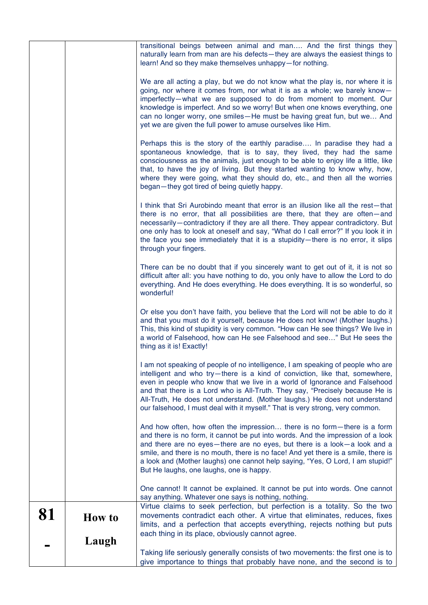|    |               | transitional beings between animal and man And the first things they<br>naturally learn from man are his defects-they are always the easiest things to<br>learn! And so they make themselves unhappy-for nothing.                                                                                                                                                                                                                                                                             |
|----|---------------|-----------------------------------------------------------------------------------------------------------------------------------------------------------------------------------------------------------------------------------------------------------------------------------------------------------------------------------------------------------------------------------------------------------------------------------------------------------------------------------------------|
|    |               | We are all acting a play, but we do not know what the play is, nor where it is<br>going, nor where it comes from, nor what it is as a whole; we barely know-<br>imperfectly-what we are supposed to do from moment to moment. Our<br>knowledge is imperfect. And so we worry! But when one knows everything, one<br>can no longer worry, one smiles—He must be having great fun, but we And<br>yet we are given the full power to amuse ourselves like Him.                                   |
|    |               | Perhaps this is the story of the earthly paradise In paradise they had a<br>spontaneous knowledge, that is to say, they lived, they had the same<br>consciousness as the animals, just enough to be able to enjoy life a little, like<br>that, to have the joy of living. But they started wanting to know why, how,<br>where they were going, what they should do, etc., and then all the worries<br>began-they got tired of being quietly happy.                                            |
|    |               | I think that Sri Aurobindo meant that error is an illusion like all the rest—that<br>there is no error, that all possibilities are there, that they are often—and<br>necessarily-contradictory if they are all there. They appear contradictory. But<br>one only has to look at oneself and say, "What do I call error?" If you look it in<br>the face you see immediately that it is a stupidity—there is no error, it slips<br>through your fingers.                                        |
|    |               | There can be no doubt that if you sincerely want to get out of it, it is not so<br>difficult after all: you have nothing to do, you only have to allow the Lord to do<br>everything. And He does everything. He does everything. It is so wonderful, so<br>wonderful!                                                                                                                                                                                                                         |
|    |               | Or else you don't have faith, you believe that the Lord will not be able to do it<br>and that you must do it yourself, because He does not know! (Mother laughs.)<br>This, this kind of stupidity is very common. "How can He see things? We live in<br>a world of Falsehood, how can He see Falsehood and see" But He sees the<br>thing as it is! Exactly!                                                                                                                                   |
|    |               | I am not speaking of people of no intelligence, I am speaking of people who are<br>intelligent and who try-there is a kind of conviction, like that, somewhere,<br>even in people who know that we live in a world of Ignorance and Falsehood<br>and that there is a Lord who is All-Truth. They say, "Precisely because He is<br>All-Truth, He does not understand. (Mother laughs.) He does not understand<br>our falsehood, I must deal with it myself." That is very strong, very common. |
|    |               | And how often, how often the impression there is no form—there is a form<br>and there is no form, it cannot be put into words. And the impression of a look<br>and there are no eyes—there are no eyes, but there is a look—a look and a<br>smile, and there is no mouth, there is no face! And yet there is a smile, there is<br>a look and (Mother laughs) one cannot help saying, "Yes, O Lord, I am stupid!"<br>But He laughs, one laughs, one is happy.                                  |
|    |               | One cannot! It cannot be explained. It cannot be put into words. One cannot<br>say anything. Whatever one says is nothing, nothing.                                                                                                                                                                                                                                                                                                                                                           |
| 81 | <b>How to</b> | Virtue claims to seek perfection, but perfection is a totality. So the two<br>movements contradict each other. A virtue that eliminates, reduces, fixes<br>limits, and a perfection that accepts everything, rejects nothing but puts<br>each thing in its place, obviously cannot agree.                                                                                                                                                                                                     |
|    | Laugh         | Taking life seriously generally consists of two movements: the first one is to<br>give importance to things that probably have none, and the second is to                                                                                                                                                                                                                                                                                                                                     |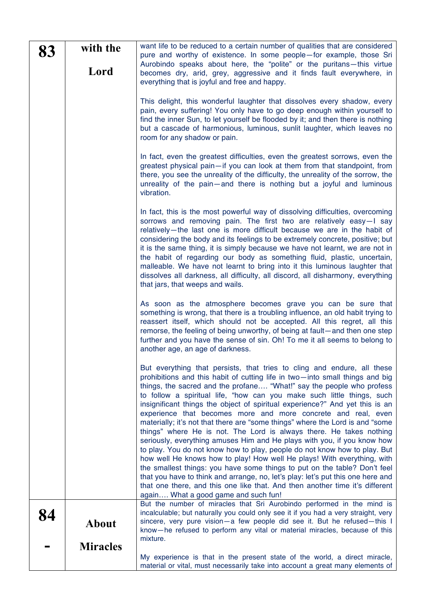| 83 | with the<br>Lord | want life to be reduced to a certain number of qualities that are considered<br>pure and worthy of existence. In some people-for example, those Sri<br>Aurobindo speaks about here, the "polite" or the puritans-this virtue<br>becomes dry, arid, grey, aggressive and it finds fault everywhere, in<br>everything that is joyful and free and happy.                                                                                                                                                                                                                                                                                                                                                                                                                                                                                                                                                                                                                                                                                                                                                                                         |
|----|------------------|------------------------------------------------------------------------------------------------------------------------------------------------------------------------------------------------------------------------------------------------------------------------------------------------------------------------------------------------------------------------------------------------------------------------------------------------------------------------------------------------------------------------------------------------------------------------------------------------------------------------------------------------------------------------------------------------------------------------------------------------------------------------------------------------------------------------------------------------------------------------------------------------------------------------------------------------------------------------------------------------------------------------------------------------------------------------------------------------------------------------------------------------|
|    |                  | This delight, this wonderful laughter that dissolves every shadow, every<br>pain, every suffering! You only have to go deep enough within yourself to<br>find the inner Sun, to let yourself be flooded by it; and then there is nothing<br>but a cascade of harmonious, luminous, sunlit laughter, which leaves no<br>room for any shadow or pain.                                                                                                                                                                                                                                                                                                                                                                                                                                                                                                                                                                                                                                                                                                                                                                                            |
|    |                  | In fact, even the greatest difficulties, even the greatest sorrows, even the<br>greatest physical pain-if you can look at them from that standpoint, from<br>there, you see the unreality of the difficulty, the unreality of the sorrow, the<br>unreality of the pain-and there is nothing but a joyful and luminous<br>vibration.                                                                                                                                                                                                                                                                                                                                                                                                                                                                                                                                                                                                                                                                                                                                                                                                            |
|    |                  | In fact, this is the most powerful way of dissolving difficulties, overcoming<br>sorrows and removing pain. The first two are relatively easy-I say<br>relatively-the last one is more difficult because we are in the habit of<br>considering the body and its feelings to be extremely concrete, positive; but<br>it is the same thing, it is simply because we have not learnt, we are not in<br>the habit of regarding our body as something fluid, plastic, uncertain,<br>malleable. We have not learnt to bring into it this luminous laughter that<br>dissolves all darkness, all difficulty, all discord, all disharmony, everything<br>that jars, that weeps and wails.                                                                                                                                                                                                                                                                                                                                                                                                                                                               |
|    |                  | As soon as the atmosphere becomes grave you can be sure that<br>something is wrong, that there is a troubling influence, an old habit trying to<br>reassert itself, which should not be accepted. All this regret, all this<br>remorse, the feeling of being unworthy, of being at fault-and then one step<br>further and you have the sense of sin. Oh! To me it all seems to belong to<br>another age, an age of darkness.                                                                                                                                                                                                                                                                                                                                                                                                                                                                                                                                                                                                                                                                                                                   |
|    |                  | But everything that persists, that tries to cling and endure, all these<br>prohibitions and this habit of cutting life in two-into small things and big<br>things, the sacred and the profane "What!" say the people who profess<br>to follow a spiritual life, "how can you make such little things, such<br>insignificant things the object of spiritual experience?" And yet this is an<br>experience that becomes more and more concrete and real, even<br>materially; it's not that there are "some things" where the Lord is and "some<br>things" where He is not. The Lord is always there. He takes nothing<br>seriously, everything amuses Him and He plays with you, if you know how<br>to play. You do not know how to play, people do not know how to play. But<br>how well He knows how to play! How well He plays! With everything, with<br>the smallest things: you have some things to put on the table? Don't feel<br>that you have to think and arrange, no, let's play: let's put this one here and<br>that one there, and this one like that. And then another time it's different<br>again What a good game and such fun! |
| 84 | About            | But the number of miracles that Sri Aurobindo performed in the mind is<br>incalculable; but naturally you could only see it if you had a very straight, very<br>sincere, very pure vision-a few people did see it. But he refused-this I<br>know-he refused to perform any vital or material miracles, because of this                                                                                                                                                                                                                                                                                                                                                                                                                                                                                                                                                                                                                                                                                                                                                                                                                         |
|    | <b>Miracles</b>  | mixture.<br>My experience is that in the present state of the world, a direct miracle,<br>material or vital, must necessarily take into account a great many elements of                                                                                                                                                                                                                                                                                                                                                                                                                                                                                                                                                                                                                                                                                                                                                                                                                                                                                                                                                                       |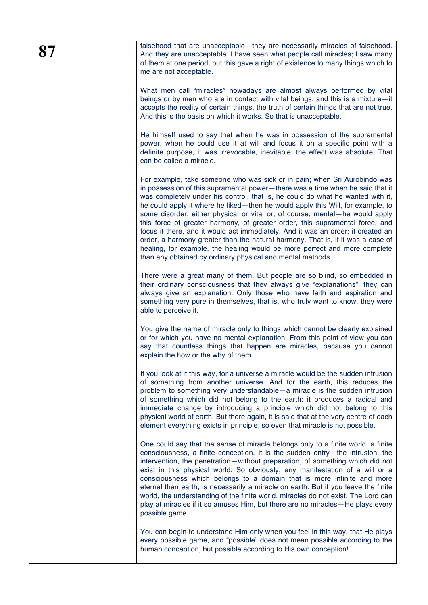| 87 | falsehood that are unacceptable-they are necessarily miracles of falsehood.<br>And they are unacceptable. I have seen what people call miracles; I saw many<br>of them at one period, but this gave a right of existence to many things which to<br>me are not acceptable.                                                                                                                                                                                                                                                                                                                                                                                                                                                                                                                                        |
|----|-------------------------------------------------------------------------------------------------------------------------------------------------------------------------------------------------------------------------------------------------------------------------------------------------------------------------------------------------------------------------------------------------------------------------------------------------------------------------------------------------------------------------------------------------------------------------------------------------------------------------------------------------------------------------------------------------------------------------------------------------------------------------------------------------------------------|
|    | What men call "miracles" nowadays are almost always performed by vital<br>beings or by men who are in contact with vital beings, and this is a mixture-it<br>accepts the reality of certain things, the truth of certain things that are not true.<br>And this is the basis on which it works. So that is unacceptable.                                                                                                                                                                                                                                                                                                                                                                                                                                                                                           |
|    | He himself used to say that when he was in possession of the supramental<br>power, when he could use it at will and focus it on a specific point with a<br>definite purpose, it was irrevocable, inevitable: the effect was absolute. That<br>can be called a miracle.                                                                                                                                                                                                                                                                                                                                                                                                                                                                                                                                            |
|    | For example, take someone who was sick or in pain; when Sri Aurobindo was<br>in possession of this supramental power-there was a time when he said that it<br>was completely under his control, that is, he could do what he wanted with it,<br>he could apply it where he liked—then he would apply this Will, for example, to<br>some disorder, either physical or vital or, of course, mental—he would apply<br>this force of greater harmony, of greater order, this supramental force, and<br>focus it there, and it would act immediately. And it was an order: it created an<br>order, a harmony greater than the natural harmony. That is, if it was a case of<br>healing, for example, the healing would be more perfect and more complete<br>than any obtained by ordinary physical and mental methods. |
|    | There were a great many of them. But people are so blind, so embedded in<br>their ordinary consciousness that they always give "explanations", they can<br>always give an explanation. Only those who have faith and aspiration and<br>something very pure in themselves, that is, who truly want to know, they were<br>able to perceive it.                                                                                                                                                                                                                                                                                                                                                                                                                                                                      |
|    | You give the name of miracle only to things which cannot be clearly explained<br>or for which you have no mental explanation. From this point of view you can<br>say that countless things that happen are miracles, because you cannot<br>explain the how or the why of them.                                                                                                                                                                                                                                                                                                                                                                                                                                                                                                                                    |
|    | If you look at it this way, for a universe a miracle would be the sudden intrusion<br>of something from another universe. And for the earth, this reduces the<br>problem to something very understandable - a miracle is the sudden intrusion<br>of something which did not belong to the earth: it produces a radical and<br>immediate change by introducing a principle which did not belong to this<br>physical world of earth. But there again, it is said that at the very centre of each<br>element everything exists in principle; so even that miracle is not possible.                                                                                                                                                                                                                                   |
|    | One could say that the sense of miracle belongs only to a finite world, a finite<br>consciousness, a finite conception. It is the sudden entry-the intrusion, the<br>intervention, the penetration-without preparation, of something which did not<br>exist in this physical world. So obviously, any manifestation of a will or a<br>consciousness which belongs to a domain that is more infinite and more<br>eternal than earth, is necessarily a miracle on earth. But if you leave the finite<br>world, the understanding of the finite world, miracles do not exist. The Lord can<br>play at miracles if it so amuses Him, but there are no miracles-He plays every<br>possible game.                                                                                                                       |
|    | You can begin to understand Him only when you feel in this way, that He plays<br>every possible game, and "possible" does not mean possible according to the<br>human conception, but possible according to His own conception!                                                                                                                                                                                                                                                                                                                                                                                                                                                                                                                                                                                   |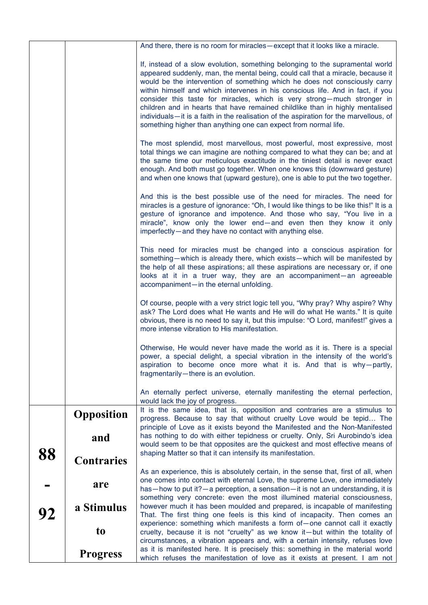|    |                   | And there, there is no room for miracles - except that it looks like a miracle.                                                                                                                                                                                                                                                                                                                                                                                                                                                                                                                                                                          |
|----|-------------------|----------------------------------------------------------------------------------------------------------------------------------------------------------------------------------------------------------------------------------------------------------------------------------------------------------------------------------------------------------------------------------------------------------------------------------------------------------------------------------------------------------------------------------------------------------------------------------------------------------------------------------------------------------|
|    |                   | If, instead of a slow evolution, something belonging to the supramental world<br>appeared suddenly, man, the mental being, could call that a miracle, because it<br>would be the intervention of something which he does not consciously carry<br>within himself and which intervenes in his conscious life. And in fact, if you<br>consider this taste for miracles, which is very strong-much stronger in<br>children and in hearts that have remained childlike than in highly mentalised<br>individuals-it is a faith in the realisation of the aspiration for the marvellous, of<br>something higher than anything one can expect from normal life. |
|    |                   | The most splendid, most marvellous, most powerful, most expressive, most<br>total things we can imagine are nothing compared to what they can be; and at<br>the same time our meticulous exactitude in the tiniest detail is never exact<br>enough. And both must go together. When one knows this (downward gesture)<br>and when one knows that (upward gesture), one is able to put the two together.                                                                                                                                                                                                                                                  |
|    |                   | And this is the best possible use of the need for miracles. The need for<br>miracles is a gesture of ignorance: "Oh, I would like things to be like this!" It is a<br>gesture of ignorance and impotence. And those who say, "You live in a<br>miracle", know only the lower end-and even then they know it only<br>imperfectly-and they have no contact with anything else.                                                                                                                                                                                                                                                                             |
|    |                   | This need for miracles must be changed into a conscious aspiration for<br>something-which is already there, which exists-which will be manifested by<br>the help of all these aspirations; all these aspirations are necessary or, if one<br>looks at it in a truer way, they are an accompaniment—an agreeable<br>accompaniment-in the eternal unfolding.                                                                                                                                                                                                                                                                                               |
|    |                   | Of course, people with a very strict logic tell you, "Why pray? Why aspire? Why<br>ask? The Lord does what He wants and He will do what He wants." It is quite<br>obvious, there is no need to say it, but this impulse: "O Lord, manifest!" gives a<br>more intense vibration to His manifestation.                                                                                                                                                                                                                                                                                                                                                     |
|    |                   | Otherwise, He would never have made the world as it is. There is a special<br>power, a special delight, a special vibration in the intensity of the world's<br>aspiration to become once more what it is. And that is why-partly,<br>fragmentarily-there is an evolution.                                                                                                                                                                                                                                                                                                                                                                                |
|    |                   | An eternally perfect universe, eternally manifesting the eternal perfection,<br>would lack the joy of progress.                                                                                                                                                                                                                                                                                                                                                                                                                                                                                                                                          |
|    | Opposition        | It is the same idea, that is, opposition and contraries are a stimulus to<br>progress. Because to say that without cruelty Love would be tepid The                                                                                                                                                                                                                                                                                                                                                                                                                                                                                                       |
|    | and               | principle of Love as it exists beyond the Manifested and the Non-Manifested<br>has nothing to do with either tepidness or cruelty. Only, Sri Aurobindo's idea<br>would seem to be that opposites are the quickest and most effective means of                                                                                                                                                                                                                                                                                                                                                                                                            |
| 88 | <b>Contraries</b> | shaping Matter so that it can intensify its manifestation.                                                                                                                                                                                                                                                                                                                                                                                                                                                                                                                                                                                               |
|    | are               | As an experience, this is absolutely certain, in the sense that, first of all, when<br>one comes into contact with eternal Love, the supreme Love, one immediately<br>has—how to put it?—a perception, a sensation—it is not an understanding, it is<br>something very concrete: even the most illumined material consciousness,                                                                                                                                                                                                                                                                                                                         |
| 92 | a Stimulus        | however much it has been moulded and prepared, is incapable of manifesting<br>That. The first thing one feels is this kind of incapacity. Then comes an<br>experience: something which manifests a form of-one cannot call it exactly                                                                                                                                                                                                                                                                                                                                                                                                                    |
|    | t <sub>o</sub>    | cruelty, because it is not "cruelty" as we know it—but within the totality of<br>circumstances, a vibration appears and, with a certain intensity, refuses love                                                                                                                                                                                                                                                                                                                                                                                                                                                                                          |
|    | <b>Progress</b>   | as it is manifested here. It is precisely this: something in the material world<br>which refuses the manifestation of love as it exists at present. I am not                                                                                                                                                                                                                                                                                                                                                                                                                                                                                             |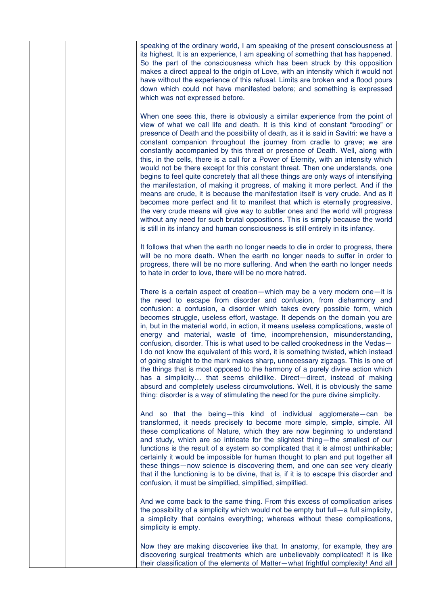| speaking of the ordinary world, I am speaking of the present consciousness at<br>its highest. It is an experience, I am speaking of something that has happened.<br>So the part of the consciousness which has been struck by this opposition<br>makes a direct appeal to the origin of Love, with an intensity which it would not<br>have without the experience of this refusal. Limits are broken and a flood pours<br>down which could not have manifested before; and something is expressed<br>which was not expressed before.                                                                                                                                                                                                                                                                                                                                                                                                                                                                                                                                                                                                                                                              |
|---------------------------------------------------------------------------------------------------------------------------------------------------------------------------------------------------------------------------------------------------------------------------------------------------------------------------------------------------------------------------------------------------------------------------------------------------------------------------------------------------------------------------------------------------------------------------------------------------------------------------------------------------------------------------------------------------------------------------------------------------------------------------------------------------------------------------------------------------------------------------------------------------------------------------------------------------------------------------------------------------------------------------------------------------------------------------------------------------------------------------------------------------------------------------------------------------|
| When one sees this, there is obviously a similar experience from the point of<br>view of what we call life and death. It is this kind of constant "brooding" or<br>presence of Death and the possibility of death, as it is said in Savitri: we have a<br>constant companion throughout the journey from cradle to grave; we are<br>constantly accompanied by this threat or presence of Death. Well, along with<br>this, in the cells, there is a call for a Power of Eternity, with an intensity which<br>would not be there except for this constant threat. Then one understands, one<br>begins to feel quite concretely that all these things are only ways of intensifying<br>the manifestation, of making it progress, of making it more perfect. And if the<br>means are crude, it is because the manifestation itself is very crude. And as it<br>becomes more perfect and fit to manifest that which is eternally progressive,<br>the very crude means will give way to subtler ones and the world will progress<br>without any need for such brutal oppositions. This is simply because the world<br>is still in its infancy and human consciousness is still entirely in its infancy. |
| It follows that when the earth no longer needs to die in order to progress, there<br>will be no more death. When the earth no longer needs to suffer in order to<br>progress, there will be no more suffering. And when the earth no longer needs<br>to hate in order to love, there will be no more hatred.                                                                                                                                                                                                                                                                                                                                                                                                                                                                                                                                                                                                                                                                                                                                                                                                                                                                                      |
| There is a certain aspect of creation—which may be a very modern one—it is<br>the need to escape from disorder and confusion, from disharmony and<br>confusion: a confusion, a disorder which takes every possible form, which<br>becomes struggle, useless effort, wastage. It depends on the domain you are<br>in, but in the material world, in action, it means useless complications, waste of<br>energy and material, waste of time, incomprehension, misunderstanding,<br>confusion, disorder. This is what used to be called crookedness in the Vedas-<br>I do not know the equivalent of this word, it is something twisted, which instead<br>of going straight to the mark makes sharp, unnecessary zigzags. This is one of<br>the things that is most opposed to the harmony of a purely divine action which<br>has a simplicity that seems childlike. Direct-direct, instead of making<br>absurd and completely useless circumvolutions. Well, it is obviously the same<br>thing: disorder is a way of stimulating the need for the pure divine simplicity.                                                                                                                           |
| And so that the being-this kind of individual agglomerate-can be<br>transformed, it needs precisely to become more simple, simple, simple. All<br>these complications of Nature, which they are now beginning to understand<br>and study, which are so intricate for the slightest thing-the smallest of our<br>functions is the result of a system so complicated that it is almost unthinkable;<br>certainly it would be impossible for human thought to plan and put together all<br>these things—now science is discovering them, and one can see very clearly<br>that if the functioning is to be divine, that is, if it is to escape this disorder and<br>confusion, it must be simplified, simplified, simplified.                                                                                                                                                                                                                                                                                                                                                                                                                                                                         |
| And we come back to the same thing. From this excess of complication arises<br>the possibility of a simplicity which would not be empty but full-a full simplicity,<br>a simplicity that contains everything; whereas without these complications,<br>simplicity is empty.                                                                                                                                                                                                                                                                                                                                                                                                                                                                                                                                                                                                                                                                                                                                                                                                                                                                                                                        |
| Now they are making discoveries like that. In anatomy, for example, they are<br>discovering surgical treatments which are unbelievably complicated! It is like<br>their classification of the elements of Matter-what frightful complexity! And all                                                                                                                                                                                                                                                                                                                                                                                                                                                                                                                                                                                                                                                                                                                                                                                                                                                                                                                                               |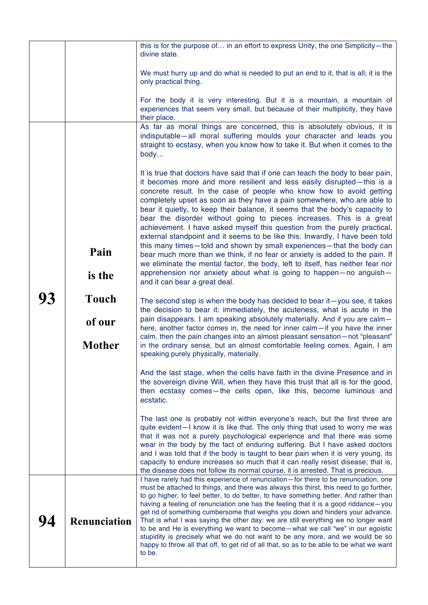|    |                                         | this is for the purpose of in an effort to express Unity, the one Simplicity-the<br>divine state.                                                                                                                                                                                                                                                                                                                                                                                                                                                                                                                                                                                                                                                                                                                                                                                                                                                                                  |
|----|-----------------------------------------|------------------------------------------------------------------------------------------------------------------------------------------------------------------------------------------------------------------------------------------------------------------------------------------------------------------------------------------------------------------------------------------------------------------------------------------------------------------------------------------------------------------------------------------------------------------------------------------------------------------------------------------------------------------------------------------------------------------------------------------------------------------------------------------------------------------------------------------------------------------------------------------------------------------------------------------------------------------------------------|
|    |                                         | We must hurry up and do what is needed to put an end to it, that is all; it is the<br>only practical thing.                                                                                                                                                                                                                                                                                                                                                                                                                                                                                                                                                                                                                                                                                                                                                                                                                                                                        |
|    |                                         | For the body it is very interesting. But it is a mountain, a mountain of<br>experiences that seem very small, but because of their multiplicity, they have<br>their place.                                                                                                                                                                                                                                                                                                                                                                                                                                                                                                                                                                                                                                                                                                                                                                                                         |
|    |                                         | As far as moral things are concerned, this is absolutely obvious, it is<br>indisputable-all moral suffering moulds your character and leads you<br>straight to ecstasy, when you know how to take it. But when it comes to the<br>body                                                                                                                                                                                                                                                                                                                                                                                                                                                                                                                                                                                                                                                                                                                                             |
| 93 | Pain<br>is the                          | It is true that doctors have said that if one can teach the body to bear pain,<br>it becomes more and more resilient and less easily disrupted—this is a<br>concrete result. In the case of people who know how to avoid getting<br>completely upset as soon as they have a pain somewhere, who are able to<br>bear it quietly, to keep their balance, it seems that the body's capacity to<br>bear the disorder without going to pieces increases. This is a great<br>achievement. I have asked myself this question from the purely practical,<br>external standpoint and it seems to be like this. Inwardly, I have been told<br>this many times-told and shown by small experiences-that the body can<br>bear much more than we think, if no fear or anxiety is added to the pain. If<br>we eliminate the mental factor, the body, left to itself, has neither fear nor<br>apprehension nor anxiety about what is going to happen-no anguish-<br>and it can bear a great deal. |
|    | <b>Touch</b><br>of our<br><b>Mother</b> | The second step is when the body has decided to bear it—you see, it takes<br>the decision to bear it: immediately, the acuteness, what is acute in the<br>pain disappears. I am speaking absolutely materially. And if you are calm-<br>here, another factor comes in, the need for inner calm-if you have the inner<br>calm, then the pain changes into an almost pleasant sensation-not "pleasant"<br>in the ordinary sense, but an almost comfortable feeling comes. Again, I am<br>speaking purely physically, materially.                                                                                                                                                                                                                                                                                                                                                                                                                                                     |
|    |                                         | And the last stage, when the cells have faith in the divine Presence and in<br>the sovereign divine Will, when they have this trust that all is for the good,<br>then ecstasy comes—the cells open, like this, become luminous and<br>ecstatic.                                                                                                                                                                                                                                                                                                                                                                                                                                                                                                                                                                                                                                                                                                                                    |
|    |                                         | The last one is probably not within everyone's reach, but the first three are<br>quite evident-I know it is like that. The only thing that used to worry me was<br>that it was not a purely psychological experience and that there was some<br>wear in the body by the fact of enduring suffering. But I have asked doctors<br>and I was told that if the body is taught to bear pain when it is very young, its<br>capacity to endure increases so much that it can really resist disease; that is,<br>the disease does not follow its normal course, it is arrested. That is precious.                                                                                                                                                                                                                                                                                                                                                                                          |
| 94 | Renunciation                            | I have rarely had this experience of renunciation—for there to be renunciation, one<br>must be attached to things, and there was always this thirst, this need to go further,<br>to go higher, to feel better, to do better, to have something better. And rather than<br>having a feeling of renunciation one has the feeling that it is a good riddance-you<br>get rid of something cumbersome that weighs you down and hinders your advance.<br>That is what I was saying the other day: we are still everything we no longer want<br>to be and He is everything we want to become—what we call "we" in our egoistic<br>stupidity is precisely what we do not want to be any more, and we would be so<br>happy to throw all that off, to get rid of all that, so as to be able to be what we want<br>to be.                                                                                                                                                                     |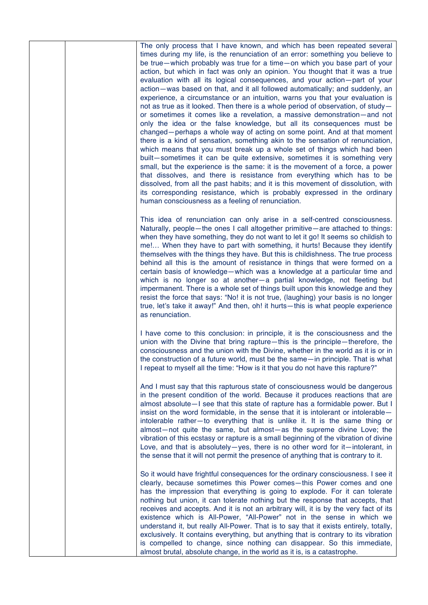The only process that I have known, and which has been repeated several times during my life, is the renunciation of an error: something you believe to be true—which probably was true for a time—on which you base part of your action, but which in fact was only an opinion. You thought that it was a true evaluation with all its logical consequences, and your action—part of your action—was based on that, and it all followed automatically; and suddenly, an experience, a circumstance or an intuition, warns you that your evaluation is not as true as it looked. Then there is a whole period of observation, of study or sometimes it comes like a revelation, a massive demonstration—and not only the idea or the false knowledge, but all its consequences must be changed—perhaps a whole way of acting on some point. And at that moment there is a kind of sensation, something akin to the sensation of renunciation, which means that you must break up a whole set of things which had been built—sometimes it can be quite extensive, sometimes it is something very small, but the experience is the same: it is the movement of a force, a power that dissolves, and there is resistance from everything which has to be dissolved, from all the past habits; and it is this movement of dissolution, with its corresponding resistance, which is probably expressed in the ordinary human consciousness as a feeling of renunciation.

This idea of renunciation can only arise in a self-centred consciousness. Naturally, people—the ones I call altogether primitive—are attached to things: when they have something, they do not want to let it go! It seems so childish to me!… When they have to part with something, it hurts! Because they identify themselves with the things they have. But this is childishness. The true process behind all this is the amount of resistance in things that were formed on a certain basis of knowledge—which was a knowledge at a particular time and which is no longer so at another—a partial knowledge, not fleeting but impermanent. There is a whole set of things built upon this knowledge and they resist the force that says: "No! it is not true, (laughing) your basis is no longer true, let's take it away!" And then, oh! it hurts—this is what people experience as renunciation.

I have come to this conclusion: in principle, it is the consciousness and the union with the Divine that bring rapture—this is the principle—therefore, the consciousness and the union with the Divine, whether in the world as it is or in the construction of a future world, must be the same—in principle. That is what I repeat to myself all the time: "How is it that you do not have this rapture?"

And I must say that this rapturous state of consciousness would be dangerous in the present condition of the world. Because it produces reactions that are almost absolute—I see that this state of rapture has a formidable power. But I insist on the word formidable, in the sense that it is intolerant or intolerable intolerable rather—to everything that is unlike it. It is the same thing or almost—not quite the same, but almost—as the supreme divine Love; the vibration of this ecstasy or rapture is a small beginning of the vibration of divine Love, and that is absolutely—yes, there is no other word for it—intolerant, in the sense that it will not permit the presence of anything that is contrary to it.

So it would have frightful consequences for the ordinary consciousness. I see it clearly, because sometimes this Power comes—this Power comes and one has the impression that everything is going to explode. For it can tolerate nothing but union, it can tolerate nothing but the response that accepts, that receives and accepts. And it is not an arbitrary will, it is by the very fact of its existence which is All-Power, "All-Power" not in the sense in which we understand it, but really All-Power. That is to say that it exists entirely, totally, exclusively. It contains everything, but anything that is contrary to its vibration is compelled to change, since nothing can disappear. So this immediate, almost brutal, absolute change, in the world as it is, is a catastrophe.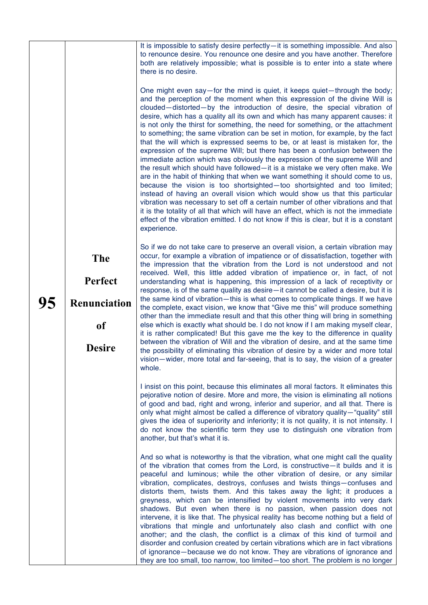| 95 |                                                                         | It is impossible to satisfy desire perfectly-it is something impossible. And also<br>to renounce desire. You renounce one desire and you have another. Therefore<br>both are relatively impossible; what is possible is to enter into a state where<br>there is no desire.<br>One might even say—for the mind is quiet, it keeps quiet—through the body;<br>and the perception of the moment when this expression of the divine Will is<br>clouded-distorted-by the introduction of desire, the special vibration of<br>desire, which has a quality all its own and which has many apparent causes: it<br>is not only the thirst for something, the need for something, or the attachment<br>to something; the same vibration can be set in motion, for example, by the fact<br>that the will which is expressed seems to be, or at least is mistaken for, the<br>expression of the supreme Will; but there has been a confusion between the<br>immediate action which was obviously the expression of the supreme Will and<br>the result which should have followed-it is a mistake we very often make. We<br>are in the habit of thinking that when we want something it should come to us,<br>because the vision is too shortsighted-too shortsighted and too limited;<br>instead of having an overall vision which would show us that this particular<br>vibration was necessary to set off a certain number of other vibrations and that<br>it is the totality of all that which will have an effect, which is not the immediate<br>effect of the vibration emitted. I do not know if this is clear, but it is a constant<br>experience. |
|----|-------------------------------------------------------------------------|-----------------------------------------------------------------------------------------------------------------------------------------------------------------------------------------------------------------------------------------------------------------------------------------------------------------------------------------------------------------------------------------------------------------------------------------------------------------------------------------------------------------------------------------------------------------------------------------------------------------------------------------------------------------------------------------------------------------------------------------------------------------------------------------------------------------------------------------------------------------------------------------------------------------------------------------------------------------------------------------------------------------------------------------------------------------------------------------------------------------------------------------------------------------------------------------------------------------------------------------------------------------------------------------------------------------------------------------------------------------------------------------------------------------------------------------------------------------------------------------------------------------------------------------------------------------------------------------------------------------------------------------------|
|    | <b>The</b><br>Perfect<br>Renunciation<br><sub>of</sub><br><b>Desire</b> | So if we do not take care to preserve an overall vision, a certain vibration may<br>occur, for example a vibration of impatience or of dissatisfaction, together with<br>the impression that the vibration from the Lord is not understood and not<br>received. Well, this little added vibration of impatience or, in fact, of not<br>understanding what is happening, this impression of a lack of receptivity or<br>response, is of the same quality as desire-it cannot be called a desire, but it is<br>the same kind of vibration—this is what comes to complicate things. If we have<br>the complete, exact vision, we know that "Give me this" will produce something<br>other than the immediate result and that this other thing will bring in something<br>else which is exactly what should be. I do not know if I am making myself clear,<br>it is rather complicated! But this gave me the key to the difference in quality<br>between the vibration of Will and the vibration of desire, and at the same time<br>the possibility of eliminating this vibration of desire by a wider and more total<br>vision—wider, more total and far-seeing, that is to say, the vision of a greater<br>whole.                                                                                                                                                                                                                                                                                                                                                                                                                               |
|    |                                                                         | I insist on this point, because this eliminates all moral factors. It eliminates this<br>pejorative notion of desire. More and more, the vision is eliminating all notions<br>of good and bad, right and wrong, inferior and superior, and all that. There is<br>only what might almost be called a difference of vibratory quality-"quality" still<br>gives the idea of superiority and inferiority; it is not quality, it is not intensity. I<br>do not know the scientific term they use to distinguish one vibration from<br>another, but that's what it is.                                                                                                                                                                                                                                                                                                                                                                                                                                                                                                                                                                                                                                                                                                                                                                                                                                                                                                                                                                                                                                                                              |
|    |                                                                         | And so what is noteworthy is that the vibration, what one might call the quality<br>of the vibration that comes from the Lord, is constructive-it builds and it is<br>peaceful and luminous; while the other vibration of desire, or any similar<br>vibration, complicates, destroys, confuses and twists things-confuses and<br>distorts them, twists them. And this takes away the light; it produces a<br>greyness, which can be intensified by violent movements into very dark<br>shadows. But even when there is no passion, when passion does not<br>intervene, it is like that. The physical reality has become nothing but a field of<br>vibrations that mingle and unfortunately also clash and conflict with one<br>another; and the clash, the conflict is a climax of this kind of turmoil and<br>disorder and confusion created by certain vibrations which are in fact vibrations<br>of ignorance—because we do not know. They are vibrations of ignorance and<br>they are too small, too narrow, too limited-too short. The problem is no longer                                                                                                                                                                                                                                                                                                                                                                                                                                                                                                                                                                              |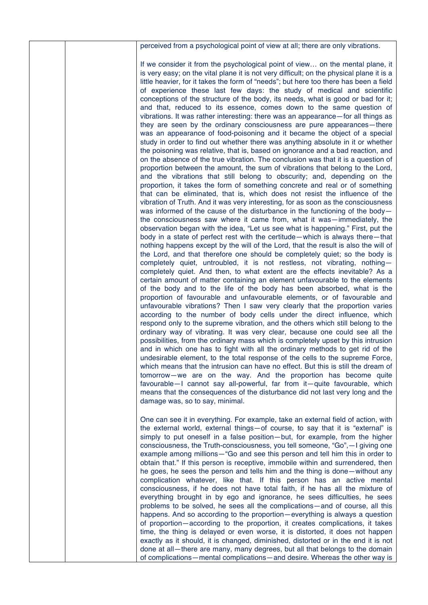|  | perceived from a psychological point of view at all; there are only vibrations.                                                                                                                                                                                                                                                                                                                                                                                                                                                                                                                                                                                                                                                                                                                                                                                                                                                                                                                                                                                                                                                                                                                                                                                                                                                                                                                                                                                                                                                                                                                                                                                                                                                                                                                                                                                                                                                                                                                                                                                                                                                                                                                                                                                                                                                                                                                                                                                                                                                                                                                                                                                                                                                                                                                                                                                                                                                                                                                                                                                                                                                                                                                                                                                                   |
|--|-----------------------------------------------------------------------------------------------------------------------------------------------------------------------------------------------------------------------------------------------------------------------------------------------------------------------------------------------------------------------------------------------------------------------------------------------------------------------------------------------------------------------------------------------------------------------------------------------------------------------------------------------------------------------------------------------------------------------------------------------------------------------------------------------------------------------------------------------------------------------------------------------------------------------------------------------------------------------------------------------------------------------------------------------------------------------------------------------------------------------------------------------------------------------------------------------------------------------------------------------------------------------------------------------------------------------------------------------------------------------------------------------------------------------------------------------------------------------------------------------------------------------------------------------------------------------------------------------------------------------------------------------------------------------------------------------------------------------------------------------------------------------------------------------------------------------------------------------------------------------------------------------------------------------------------------------------------------------------------------------------------------------------------------------------------------------------------------------------------------------------------------------------------------------------------------------------------------------------------------------------------------------------------------------------------------------------------------------------------------------------------------------------------------------------------------------------------------------------------------------------------------------------------------------------------------------------------------------------------------------------------------------------------------------------------------------------------------------------------------------------------------------------------------------------------------------------------------------------------------------------------------------------------------------------------------------------------------------------------------------------------------------------------------------------------------------------------------------------------------------------------------------------------------------------------------------------------------------------------------------------------------------------------|
|  | If we consider it from the psychological point of view on the mental plane, it<br>is very easy; on the vital plane it is not very difficult; on the physical plane it is a<br>little heavier, for it takes the form of "needs"; but here too there has been a field<br>of experience these last few days: the study of medical and scientific<br>conceptions of the structure of the body, its needs, what is good or bad for it;<br>and that, reduced to its essence, comes down to the same question of<br>vibrations. It was rather interesting: there was an appearance-for all things as<br>they are seen by the ordinary consciousness are pure appearances—there<br>was an appearance of food-poisoning and it became the object of a special<br>study in order to find out whether there was anything absolute in it or whether<br>the poisoning was relative, that is, based on ignorance and a bad reaction, and<br>on the absence of the true vibration. The conclusion was that it is a question of<br>proportion between the amount, the sum of vibrations that belong to the Lord,<br>and the vibrations that still belong to obscurity; and, depending on the<br>proportion, it takes the form of something concrete and real or of something<br>that can be eliminated, that is, which does not resist the influence of the<br>vibration of Truth. And it was very interesting, for as soon as the consciousness<br>was informed of the cause of the disturbance in the functioning of the body-<br>the consciousness saw where it came from, what it was-immediately, the<br>observation began with the idea, "Let us see what is happening." First, put the<br>body in a state of perfect rest with the certitude—which is always there—that<br>nothing happens except by the will of the Lord, that the result is also the will of<br>the Lord, and that therefore one should be completely quiet; so the body is<br>completely quiet, untroubled, it is not restless, not vibrating, nothing-<br>completely quiet. And then, to what extent are the effects inevitable? As a<br>certain amount of matter containing an element unfavourable to the elements<br>of the body and to the life of the body has been absorbed, what is the<br>proportion of favourable and unfavourable elements, or of favourable and<br>unfavourable vibrations? Then I saw very clearly that the proportion varies<br>according to the number of body cells under the direct influence, which<br>respond only to the supreme vibration, and the others which still belong to the<br>ordinary way of vibrating. It was very clear, because one could see all the<br>possibilities, from the ordinary mass which is completely upset by this intrusion<br>and in which one has to fight with all the ordinary methods to get rid of the<br>undesirable element, to the total response of the cells to the supreme Force,<br>which means that the intrusion can have no effect. But this is still the dream of<br>tomorrow-we are on the way. And the proportion has become quite<br>favourable-I cannot say all-powerful, far from it-quite favourable, which<br>means that the consequences of the disturbance did not last very long and the<br>damage was, so to say, minimal. |
|  | One can see it in everything. For example, take an external field of action, with<br>the external world, external things-of course, to say that it is "external" is<br>simply to put oneself in a false position-but, for example, from the higher<br>consciousness, the Truth-consciousness, you tell someone, "Go", - I giving one<br>example among millions-"Go and see this person and tell him this in order to<br>obtain that." If this person is receptive, immobile within and surrendered, then<br>he goes, he sees the person and tells him and the thing is done—without any<br>complication whatever, like that. If this person has an active mental<br>consciousness, if he does not have total faith, if he has all the mixture of<br>everything brought in by ego and ignorance, he sees difficulties, he sees<br>problems to be solved, he sees all the complications-and of course, all this<br>happens. And so according to the proportion—everything is always a question<br>of proportion-according to the proportion, it creates complications, it takes<br>time, the thing is delayed or even worse, it is distorted, it does not happen<br>exactly as it should, it is changed, diminished, distorted or in the end it is not                                                                                                                                                                                                                                                                                                                                                                                                                                                                                                                                                                                                                                                                                                                                                                                                                                                                                                                                                                                                                                                                                                                                                                                                                                                                                                                                                                                                                                                                                                                                                                                                                                                                                                                                                                                                                                                                                                                                                                                                                              |

done at all—there are many, many degrees, but all that belongs to the domain of complications—mental complications—and desire. Whereas the other way is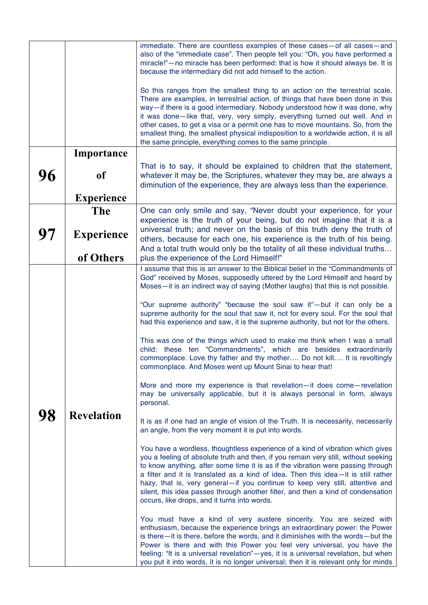|    |                   | immediate. There are countless examples of these cases-of all cases-and<br>also of the "immediate case". Then people tell you: "Oh, you have performed a<br>miracle!" - no miracle has been performed: that is how it should always be. It is<br>because the intermediary did not add himself to the action.                                                                                                                                                                                                                                                                                                                                                                                                                                                                                                                                                                                                                                                                                                                                                                                                                                                                                                                                                                                                                                                                                                                                                                                                                                                                                                                                                                                                                                                                                                                                                                                                                                                                                                                                                                                                                                                                                     |
|----|-------------------|--------------------------------------------------------------------------------------------------------------------------------------------------------------------------------------------------------------------------------------------------------------------------------------------------------------------------------------------------------------------------------------------------------------------------------------------------------------------------------------------------------------------------------------------------------------------------------------------------------------------------------------------------------------------------------------------------------------------------------------------------------------------------------------------------------------------------------------------------------------------------------------------------------------------------------------------------------------------------------------------------------------------------------------------------------------------------------------------------------------------------------------------------------------------------------------------------------------------------------------------------------------------------------------------------------------------------------------------------------------------------------------------------------------------------------------------------------------------------------------------------------------------------------------------------------------------------------------------------------------------------------------------------------------------------------------------------------------------------------------------------------------------------------------------------------------------------------------------------------------------------------------------------------------------------------------------------------------------------------------------------------------------------------------------------------------------------------------------------------------------------------------------------------------------------------------------------|
|    |                   | So this ranges from the smallest thing to an action on the terrestrial scale.<br>There are examples, in terrestrial action, of things that have been done in this<br>way-if there is a good intermediary. Nobody understood how it was done, why<br>it was done-like that, very, very simply, everything turned out well. And in<br>other cases, to get a visa or a permit one has to move mountains. So, from the<br>smallest thing, the smallest physical indisposition to a worldwide action, it is all<br>the same principle, everything comes to the same principle.                                                                                                                                                                                                                                                                                                                                                                                                                                                                                                                                                                                                                                                                                                                                                                                                                                                                                                                                                                                                                                                                                                                                                                                                                                                                                                                                                                                                                                                                                                                                                                                                                        |
|    | Importance        |                                                                                                                                                                                                                                                                                                                                                                                                                                                                                                                                                                                                                                                                                                                                                                                                                                                                                                                                                                                                                                                                                                                                                                                                                                                                                                                                                                                                                                                                                                                                                                                                                                                                                                                                                                                                                                                                                                                                                                                                                                                                                                                                                                                                  |
| 96 | <b>of</b>         | That is to say, it should be explained to children that the statement,<br>whatever it may be, the Scriptures, whatever they may be, are always a<br>diminution of the experience, they are always less than the experience.                                                                                                                                                                                                                                                                                                                                                                                                                                                                                                                                                                                                                                                                                                                                                                                                                                                                                                                                                                                                                                                                                                                                                                                                                                                                                                                                                                                                                                                                                                                                                                                                                                                                                                                                                                                                                                                                                                                                                                      |
|    | <b>Experience</b> |                                                                                                                                                                                                                                                                                                                                                                                                                                                                                                                                                                                                                                                                                                                                                                                                                                                                                                                                                                                                                                                                                                                                                                                                                                                                                                                                                                                                                                                                                                                                                                                                                                                                                                                                                                                                                                                                                                                                                                                                                                                                                                                                                                                                  |
|    | <b>The</b>        | One can only smile and say, "Never doubt your experience, for your                                                                                                                                                                                                                                                                                                                                                                                                                                                                                                                                                                                                                                                                                                                                                                                                                                                                                                                                                                                                                                                                                                                                                                                                                                                                                                                                                                                                                                                                                                                                                                                                                                                                                                                                                                                                                                                                                                                                                                                                                                                                                                                               |
| 97 | <b>Experience</b> | experience is the truth of your being, but do not imagine that it is a<br>universal truth; and never on the basis of this truth deny the truth of<br>others, because for each one, his experience is the truth of his being.<br>And a total truth would only be the totality of all these individual truths                                                                                                                                                                                                                                                                                                                                                                                                                                                                                                                                                                                                                                                                                                                                                                                                                                                                                                                                                                                                                                                                                                                                                                                                                                                                                                                                                                                                                                                                                                                                                                                                                                                                                                                                                                                                                                                                                      |
|    | of Others         | plus the experience of the Lord Himself!"                                                                                                                                                                                                                                                                                                                                                                                                                                                                                                                                                                                                                                                                                                                                                                                                                                                                                                                                                                                                                                                                                                                                                                                                                                                                                                                                                                                                                                                                                                                                                                                                                                                                                                                                                                                                                                                                                                                                                                                                                                                                                                                                                        |
| 98 | <b>Revelation</b> | I assume that this is an answer to the Biblical belief in the "Commandments of<br>God" received by Moses, supposedly uttered by the Lord Himself and heard by<br>Moses-it is an indirect way of saying (Mother laughs) that this is not possible.<br>"Our supreme authority" "because the soul saw it"—but it can only be a<br>supreme authority for the soul that saw it, not for every soul. For the soul that<br>had this experience and saw, it is the supreme authority, but not for the others.<br>This was one of the things which used to make me think when I was a small<br>child: these ten "Commandments", which are besides extraordinarily<br>commonplace. Love thy father and thy mother Do not kill It is revoltingly<br>commonplace. And Moses went up Mount Sinai to hear that!<br>More and more my experience is that revelation-it does come-revelation<br>may be universally applicable, but it is always personal in form, always<br>personal.<br>It is as if one had an angle of vision of the Truth. It is necessarily, necessarily<br>an angle, from the very moment it is put into words.<br>You have a wordless, thoughtless experience of a kind of vibration which gives<br>you a feeling of absolute truth and then, if you remain very still, without seeking<br>to know anything, after some time it is as if the vibration were passing through<br>a filter and it is translated as a kind of idea. Then this idea-it is still rather<br>hazy, that is, very general-if you continue to keep very still, attentive and<br>silent, this idea passes through another filter, and then a kind of condensation<br>occurs, like drops, and it turns into words.<br>You must have a kind of very austere sincerity. You are seized with<br>enthusiasm, because the experience brings an extraordinary power: the Power<br>is there-it is there, before the words, and it diminishes with the words-but the<br>Power is there and with this Power you feel very universal, you have the<br>feeling: "It is a universal revelation"-yes, it is a universal revelation, but when<br>you put it into words, it is no longer universal; then it is relevant only for minds |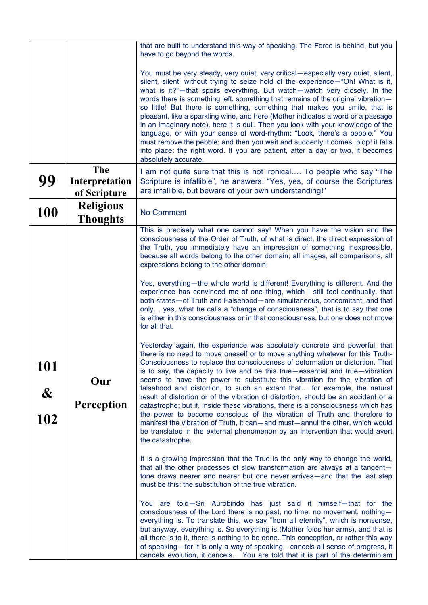|                                 |                                       | that are built to understand this way of speaking. The Force is behind, but you<br>have to go beyond the words.                                                                                                                                                                                                                                                                                                                                                                                                                                                                                                                                                                                                                                                                                                                                                                                                                                                                                                                                                                                                                                                                                                                                                                                                                                                                                                                                                                                                                                                                                                                                                                                                                                                                                                                                                                                                                                                                                                                                                                                                                                                                                                                                                                                                                                                                                                                                                                                                                                                                                                                                   |
|---------------------------------|---------------------------------------|---------------------------------------------------------------------------------------------------------------------------------------------------------------------------------------------------------------------------------------------------------------------------------------------------------------------------------------------------------------------------------------------------------------------------------------------------------------------------------------------------------------------------------------------------------------------------------------------------------------------------------------------------------------------------------------------------------------------------------------------------------------------------------------------------------------------------------------------------------------------------------------------------------------------------------------------------------------------------------------------------------------------------------------------------------------------------------------------------------------------------------------------------------------------------------------------------------------------------------------------------------------------------------------------------------------------------------------------------------------------------------------------------------------------------------------------------------------------------------------------------------------------------------------------------------------------------------------------------------------------------------------------------------------------------------------------------------------------------------------------------------------------------------------------------------------------------------------------------------------------------------------------------------------------------------------------------------------------------------------------------------------------------------------------------------------------------------------------------------------------------------------------------------------------------------------------------------------------------------------------------------------------------------------------------------------------------------------------------------------------------------------------------------------------------------------------------------------------------------------------------------------------------------------------------------------------------------------------------------------------------------------------------|
|                                 |                                       | You must be very steady, very quiet, very critical—especially very quiet, silent,<br>silent, silent, without trying to seize hold of the experience-"Oh! What is it,<br>what is it?"-that spoils everything. But watch-watch very closely. In the<br>words there is something left, something that remains of the original vibration-<br>so little! But there is something, something that makes you smile, that is<br>pleasant, like a sparkling wine, and here (Mother indicates a word or a passage<br>in an imaginary note), here it is dull. Then you look with your knowledge of the<br>language, or with your sense of word-rhythm: "Look, there's a pebble." You<br>must remove the pebble; and then you wait and suddenly it comes, plop! it falls<br>into place: the right word. If you are patient, after a day or two, it becomes<br>absolutely accurate.                                                                                                                                                                                                                                                                                                                                                                                                                                                                                                                                                                                                                                                                                                                                                                                                                                                                                                                                                                                                                                                                                                                                                                                                                                                                                                                                                                                                                                                                                                                                                                                                                                                                                                                                                                             |
| 99                              | The<br>Interpretation<br>of Scripture | I am not quite sure that this is not ironical To people who say "The<br>Scripture is infallible", he answers: "Yes, yes, of course the Scriptures<br>are infallible, but beware of your own understanding!"                                                                                                                                                                                                                                                                                                                                                                                                                                                                                                                                                                                                                                                                                                                                                                                                                                                                                                                                                                                                                                                                                                                                                                                                                                                                                                                                                                                                                                                                                                                                                                                                                                                                                                                                                                                                                                                                                                                                                                                                                                                                                                                                                                                                                                                                                                                                                                                                                                       |
| 100                             | <b>Religious</b><br><b>Thoughts</b>   | No Comment                                                                                                                                                                                                                                                                                                                                                                                                                                                                                                                                                                                                                                                                                                                                                                                                                                                                                                                                                                                                                                                                                                                                                                                                                                                                                                                                                                                                                                                                                                                                                                                                                                                                                                                                                                                                                                                                                                                                                                                                                                                                                                                                                                                                                                                                                                                                                                                                                                                                                                                                                                                                                                        |
| 101<br>$\boldsymbol{\&}$<br>102 | Our<br><b>Perception</b>              | This is precisely what one cannot say! When you have the vision and the<br>consciousness of the Order of Truth, of what is direct, the direct expression of<br>the Truth, you immediately have an impression of something inexpressible,<br>because all words belong to the other domain; all images, all comparisons, all<br>expressions belong to the other domain.<br>Yes, everything-the whole world is different! Everything is different. And the<br>experience has convinced me of one thing, which I still feel continually, that<br>both states-of Truth and Falsehood-are simultaneous, concomitant, and that<br>only yes, what he calls a "change of consciousness", that is to say that one<br>is either in this consciousness or in that consciousness, but one does not move<br>for all that.<br>Yesterday again, the experience was absolutely concrete and powerful, that<br>there is no need to move oneself or to move anything whatever for this Truth-<br>Consciousness to replace the consciousness of deformation or distortion. That<br>is to say, the capacity to live and be this true—essential and true—vibration<br>seems to have the power to substitute this vibration for the vibration of<br>falsehood and distortion, to such an extent that for example, the natural<br>result of distortion or of the vibration of distortion, should be an accident or a<br>catastrophe; but if, inside these vibrations, there is a consciousness which has<br>the power to become conscious of the vibration of Truth and therefore to<br>manifest the vibration of Truth, it can - and must - annul the other, which would<br>be translated in the external phenomenon by an intervention that would avert<br>the catastrophe.<br>It is a growing impression that the True is the only way to change the world,<br>that all the other processes of slow transformation are always at a tangent-<br>tone draws nearer and nearer but one never arrives—and that the last step<br>must be this: the substitution of the true vibration.<br>You are told-Sri Aurobindo has just said it himself-that for the<br>consciousness of the Lord there is no past, no time, no movement, nothing-<br>everything is. To translate this, we say "from all eternity", which is nonsense,<br>but anyway, everything is. So everything is (Mother folds her arms), and that is<br>all there is to it, there is nothing to be done. This conception, or rather this way<br>of speaking-for it is only a way of speaking-cancels all sense of progress, it<br>cancels evolution, it cancels You are told that it is part of the determinism |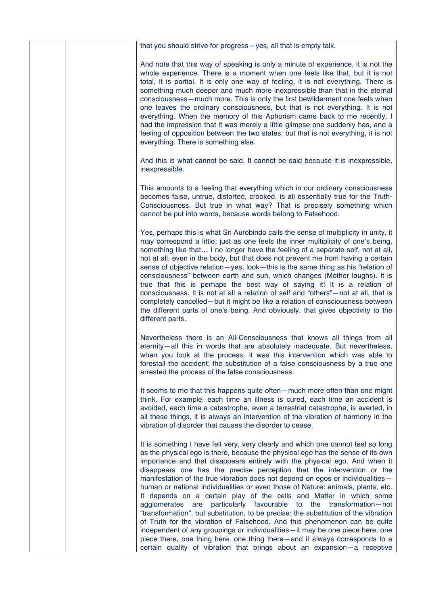|  | that you should strive for progress-yes, all that is empty talk.                                                                                                                                                                                                                                                                                                                                                                                                                                                                                                                                                                                                                                                                                                                                                                                                                                                                                                                                                                                               |
|--|----------------------------------------------------------------------------------------------------------------------------------------------------------------------------------------------------------------------------------------------------------------------------------------------------------------------------------------------------------------------------------------------------------------------------------------------------------------------------------------------------------------------------------------------------------------------------------------------------------------------------------------------------------------------------------------------------------------------------------------------------------------------------------------------------------------------------------------------------------------------------------------------------------------------------------------------------------------------------------------------------------------------------------------------------------------|
|  | And note that this way of speaking is only a minute of experience, it is not the<br>whole experience. There is a moment when one feels like that, but it is not<br>total, it is partial. It is only one way of feeling, it is not everything. There is<br>something much deeper and much more inexpressible than that in the eternal<br>consciousness—much more. This is only the first bewilderment one feels when<br>one leaves the ordinary consciousness, but that is not everything. It is not<br>everything. When the memory of this Aphorism came back to me recently, I<br>had the impression that it was merely a little glimpse one suddenly has, and a<br>feeling of opposition between the two states, but that is not everything, it is not<br>everything. There is something else.                                                                                                                                                                                                                                                               |
|  | And this is what cannot be said. It cannot be said because it is inexpressible,<br>inexpressible.                                                                                                                                                                                                                                                                                                                                                                                                                                                                                                                                                                                                                                                                                                                                                                                                                                                                                                                                                              |
|  | This amounts to a feeling that everything which in our ordinary consciousness<br>becomes false, untrue, distorted, crooked, is all essentially true for the Truth-<br>Consciousness. But true in what way? That is precisely something which<br>cannot be put into words, because words belong to Falsehood.                                                                                                                                                                                                                                                                                                                                                                                                                                                                                                                                                                                                                                                                                                                                                   |
|  | Yes, perhaps this is what Sri Aurobindo calls the sense of multiplicity in unity, it<br>may correspond a little; just as one feels the inner multiplicity of one's being,<br>something like that I no longer have the feeling of a separate self, not at all,<br>not at all, even in the body, but that does not prevent me from having a certain<br>sense of objective relation-yes, look-this is the same thing as his "relation of<br>consciousness" between earth and sun, which changes (Mother laughs). It is<br>true that this is perhaps the best way of saying it! It is a relation of<br>consciousness. It is not at all a relation of self and "others"-not at all, that is<br>completely cancelled-but it might be like a relation of consciousness between<br>the different parts of one's being. And obviously, that gives objectivity to the<br>different parts.                                                                                                                                                                                |
|  | Nevertheless there is an All-Consciousness that knows all things from all<br>eternity-all this in words that are absolutely inadequate. But nevertheless,<br>when you look at the process, it was this intervention which was able to<br>forestall the accident: the substitution of a false consciousness by a true one<br>arrested the process of the false consciousness.                                                                                                                                                                                                                                                                                                                                                                                                                                                                                                                                                                                                                                                                                   |
|  | It seems to me that this happens quite often—much more often than one might<br>think. For example, each time an illness is cured, each time an accident is<br>avoided, each time a catastrophe, even a terrestrial catastrophe, is averted, in<br>all these things, it is always an intervention of the vibration of harmony in the<br>vibration of disorder that causes the disorder to cease.                                                                                                                                                                                                                                                                                                                                                                                                                                                                                                                                                                                                                                                                |
|  | It is something I have felt very, very clearly and which one cannot feel so long<br>as the physical ego is there, because the physical ego has the sense of its own<br>importance and that disappears entirely with the physical ego. And when it<br>disappears one has the precise perception that the intervention or the<br>manifestation of the true vibration does not depend on egos or individualities-<br>human or national individualities or even those of Nature: animals, plants, etc.<br>It depends on a certain play of the cells and Matter in which some<br>agglomerates are particularly favourable to the transformation-not<br>"transformation", but substitution, to be precise: the substitution of the vibration<br>of Truth for the vibration of Falsehood. And this phenomenon can be quite<br>independent of any groupings or individualities-it may be one piece here, one<br>piece there, one thing here, one thing there-and it always corresponds to a<br>certain quality of vibration that brings about an expansion-a receptive |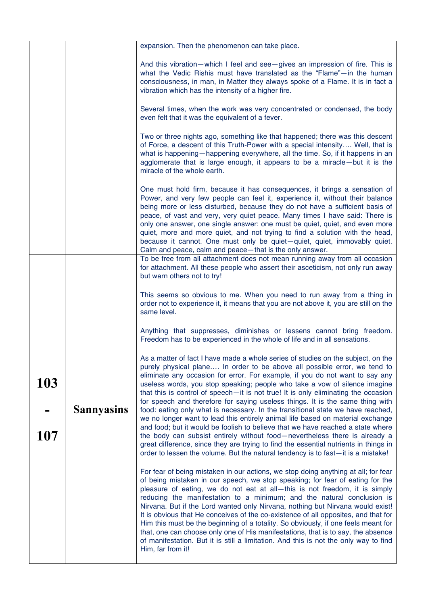|            |                   | expansion. Then the phenomenon can take place.                                                                                                                                                                                                                                                                                                                                                                                                                                                                                                                                                                                                                                                                                                                                                                                                                                                                                                                                                                       |
|------------|-------------------|----------------------------------------------------------------------------------------------------------------------------------------------------------------------------------------------------------------------------------------------------------------------------------------------------------------------------------------------------------------------------------------------------------------------------------------------------------------------------------------------------------------------------------------------------------------------------------------------------------------------------------------------------------------------------------------------------------------------------------------------------------------------------------------------------------------------------------------------------------------------------------------------------------------------------------------------------------------------------------------------------------------------|
|            |                   | And this vibration-which I feel and see-gives an impression of fire. This is<br>what the Vedic Rishis must have translated as the "Flame"-in the human<br>consciousness, in man, in Matter they always spoke of a Flame. It is in fact a<br>vibration which has the intensity of a higher fire.                                                                                                                                                                                                                                                                                                                                                                                                                                                                                                                                                                                                                                                                                                                      |
|            |                   | Several times, when the work was very concentrated or condensed, the body<br>even felt that it was the equivalent of a fever.                                                                                                                                                                                                                                                                                                                                                                                                                                                                                                                                                                                                                                                                                                                                                                                                                                                                                        |
|            |                   | Two or three nights ago, something like that happened; there was this descent<br>of Force, a descent of this Truth-Power with a special intensity Well, that is<br>what is happening—happening everywhere, all the time. So, if it happens in an<br>agglomerate that is large enough, it appears to be a miracle-but it is the<br>miracle of the whole earth.                                                                                                                                                                                                                                                                                                                                                                                                                                                                                                                                                                                                                                                        |
|            |                   | One must hold firm, because it has consequences, it brings a sensation of<br>Power, and very few people can feel it, experience it, without their balance<br>being more or less disturbed, because they do not have a sufficient basis of<br>peace, of vast and very, very quiet peace. Many times I have said: There is<br>only one answer, one single answer: one must be quiet, quiet, and even more<br>quiet, more and more quiet, and not trying to find a solution with the head,<br>because it cannot. One must only be quiet-quiet, quiet, immovably quiet.<br>Calm and peace, calm and peace-that is the only answer.                                                                                                                                                                                                                                                                                                                                                                                       |
|            |                   | To be free from all attachment does not mean running away from all occasion<br>for attachment. All these people who assert their asceticism, not only run away<br>but warn others not to try!                                                                                                                                                                                                                                                                                                                                                                                                                                                                                                                                                                                                                                                                                                                                                                                                                        |
|            |                   | This seems so obvious to me. When you need to run away from a thing in<br>order not to experience it, it means that you are not above it, you are still on the<br>same level.                                                                                                                                                                                                                                                                                                                                                                                                                                                                                                                                                                                                                                                                                                                                                                                                                                        |
|            |                   | Anything that suppresses, diminishes or lessens cannot bring freedom.<br>Freedom has to be experienced in the whole of life and in all sensations.                                                                                                                                                                                                                                                                                                                                                                                                                                                                                                                                                                                                                                                                                                                                                                                                                                                                   |
| 103<br>107 | <b>Sannyasins</b> | As a matter of fact I have made a whole series of studies on the subject, on the<br>purely physical plane In order to be above all possible error, we tend to<br>eliminate any occasion for error. For example, if you do not want to say any<br>useless words, you stop speaking; people who take a vow of silence imagine<br>that this is control of speech-it is not true! It is only eliminating the occasion<br>for speech and therefore for saying useless things. It is the same thing with<br>food: eating only what is necessary. In the transitional state we have reached,<br>we no longer want to lead this entirely animal life based on material exchange<br>and food; but it would be foolish to believe that we have reached a state where<br>the body can subsist entirely without food—nevertheless there is already a<br>great difference, since they are trying to find the essential nutrients in things in<br>order to lessen the volume. But the natural tendency is to fast-it is a mistake! |
|            |                   | For fear of being mistaken in our actions, we stop doing anything at all; for fear<br>of being mistaken in our speech, we stop speaking; for fear of eating for the<br>pleasure of eating, we do not eat at all-this is not freedom, it is simply<br>reducing the manifestation to a minimum; and the natural conclusion is<br>Nirvana. But if the Lord wanted only Nirvana, nothing but Nirvana would exist!<br>It is obvious that He conceives of the co-existence of all opposites, and that for<br>Him this must be the beginning of a totality. So obviously, if one feels meant for<br>that, one can choose only one of His manifestations, that is to say, the absence<br>of manifestation. But it is still a limitation. And this is not the only way to find<br>Him, far from it!                                                                                                                                                                                                                           |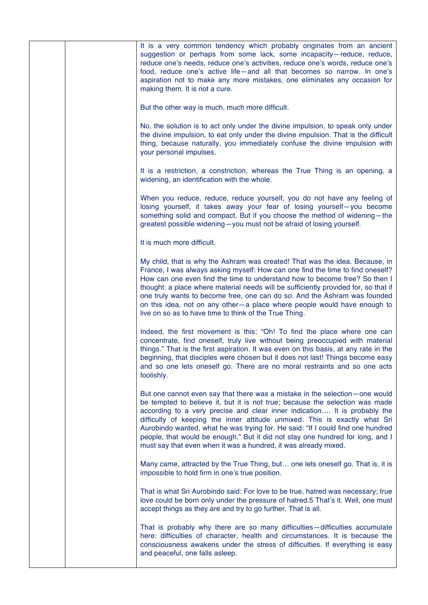|  | It is a very common tendency which probably originates from an ancient<br>suggestion or perhaps from some lack, some incapacity-reduce, reduce,<br>reduce one's needs, reduce one's activities, reduce one's words, reduce one's<br>food, reduce one's active life-and all that becomes so narrow. In one's<br>aspiration not to make any more mistakes, one eliminates any occasion for<br>making them. It is not a cure.                                                                                                                                     |
|--|----------------------------------------------------------------------------------------------------------------------------------------------------------------------------------------------------------------------------------------------------------------------------------------------------------------------------------------------------------------------------------------------------------------------------------------------------------------------------------------------------------------------------------------------------------------|
|  | But the other way is much, much more difficult.                                                                                                                                                                                                                                                                                                                                                                                                                                                                                                                |
|  | No, the solution is to act only under the divine impulsion, to speak only under<br>the divine impulsion, to eat only under the divine impulsion. That is the difficult<br>thing, because naturally, you immediately confuse the divine impulsion with<br>your personal impulses.                                                                                                                                                                                                                                                                               |
|  | It is a restriction, a constriction, whereas the True Thing is an opening, a<br>widening, an identification with the whole.                                                                                                                                                                                                                                                                                                                                                                                                                                    |
|  | When you reduce, reduce, reduce yourself, you do not have any feeling of<br>losing yourself, it takes away your fear of losing yourself-you become<br>something solid and compact. But if you choose the method of widening-the<br>greatest possible widening-you must not be afraid of losing yourself.                                                                                                                                                                                                                                                       |
|  | It is much more difficult.                                                                                                                                                                                                                                                                                                                                                                                                                                                                                                                                     |
|  | My child, that is why the Ashram was created! That was the idea. Because, in<br>France, I was always asking myself: How can one find the time to find oneself?<br>How can one even find the time to understand how to become free? So then I<br>thought: a place where material needs will be sufficiently provided for, so that if<br>one truly wants to become free, one can do so. And the Ashram was founded<br>on this idea, not on any other-a place where people would have enough to<br>live on so as to have time to think of the True Thing.         |
|  | Indeed, the first movement is this: "Oh! To find the place where one can<br>concentrate, find oneself, truly live without being preoccupied with material<br>things." That is the first aspiration. It was even on this basis, at any rate in the<br>beginning, that disciples were chosen but it does not last! Things become easy<br>and so one lets oneself go. There are no moral restraints and so one acts<br>foolishly.                                                                                                                                 |
|  | But one cannot even say that there was a mistake in the selection-one would<br>be tempted to believe it, but it is not true; because the selection was made<br>according to a very precise and clear inner indication It is probably the<br>difficulty of keeping the inner attitude unmixed. This is exactly what Sri<br>Aurobindo wanted, what he was trying for. He said: "If I could find one hundred<br>people, that would be enough." But it did not stay one hundred for long, and I<br>must say that even when it was a hundred, it was already mixed. |
|  | Many came, attracted by the True Thing, but one lets oneself go. That is, it is<br>impossible to hold firm in one's true position.                                                                                                                                                                                                                                                                                                                                                                                                                             |
|  | That is what Sri Aurobindo said: For love to be true, hatred was necessary; true<br>love could be born only under the pressure of hatred.5 That's it. Well, one must<br>accept things as they are and try to go further. That is all.                                                                                                                                                                                                                                                                                                                          |
|  | That is probably why there are so many difficulties-difficulties accumulate<br>here: difficulties of character, health and circumstances. It is because the<br>consciousness awakens under the stress of difficulties. If everything is easy<br>and peaceful, one falls asleep.                                                                                                                                                                                                                                                                                |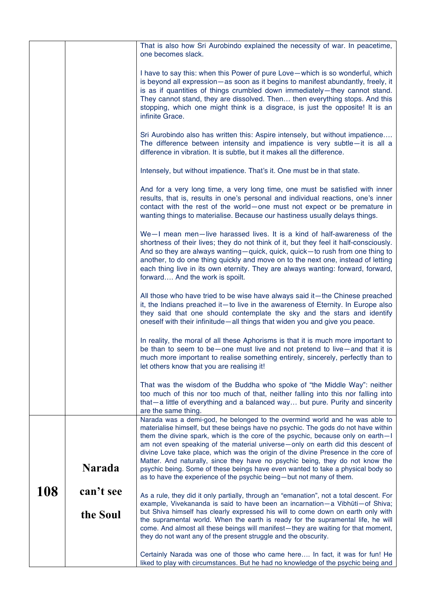|            |               | That is also how Sri Aurobindo explained the necessity of war. In peacetime,<br>one becomes slack.                                                                                                                                                                                                                                                                                                                                                                                                                                                                                                 |
|------------|---------------|----------------------------------------------------------------------------------------------------------------------------------------------------------------------------------------------------------------------------------------------------------------------------------------------------------------------------------------------------------------------------------------------------------------------------------------------------------------------------------------------------------------------------------------------------------------------------------------------------|
|            |               | I have to say this: when this Power of pure Love - which is so wonderful, which<br>is beyond all expression-as soon as it begins to manifest abundantly, freely, it<br>is as if quantities of things crumbled down immediately—they cannot stand.<br>They cannot stand, they are dissolved. Then then everything stops. And this<br>stopping, which one might think is a disgrace, is just the opposite! It is an<br>infinite Grace.                                                                                                                                                               |
|            |               | Sri Aurobindo also has written this: Aspire intensely, but without impatience<br>The difference between intensity and impatience is very subtle-it is all a<br>difference in vibration. It is subtle, but it makes all the difference.                                                                                                                                                                                                                                                                                                                                                             |
|            |               | Intensely, but without impatience. That's it. One must be in that state.                                                                                                                                                                                                                                                                                                                                                                                                                                                                                                                           |
|            |               | And for a very long time, a very long time, one must be satisfied with inner<br>results, that is, results in one's personal and individual reactions, one's inner<br>contact with the rest of the world-one must not expect or be premature in<br>wanting things to materialise. Because our hastiness usually delays things.                                                                                                                                                                                                                                                                      |
|            |               | We-I mean men-live harassed lives. It is a kind of half-awareness of the<br>shortness of their lives; they do not think of it, but they feel it half-consciously.<br>And so they are always wanting - quick, quick, quick - to rush from one thing to<br>another, to do one thing quickly and move on to the next one, instead of letting<br>each thing live in its own eternity. They are always wanting: forward, forward,<br>forward And the work is spoilt.                                                                                                                                    |
|            |               | All those who have tried to be wise have always said it—the Chinese preached<br>it, the Indians preached it-to live in the awareness of Eternity. In Europe also<br>they said that one should contemplate the sky and the stars and identify<br>oneself with their infinitude-all things that widen you and give you peace.                                                                                                                                                                                                                                                                        |
|            |               | In reality, the moral of all these Aphorisms is that it is much more important to<br>be than to seem to be—one must live and not pretend to live—and that it is<br>much more important to realise something entirely, sincerely, perfectly than to<br>let others know that you are realising it!                                                                                                                                                                                                                                                                                                   |
|            |               | That was the wisdom of the Buddha who spoke of "the Middle Way": neither<br>too much of this nor too much of that, neither falling into this nor falling into<br>that - a little of everything and a balanced way but pure. Purity and sincerity<br>are the same thing.                                                                                                                                                                                                                                                                                                                            |
|            | <b>Narada</b> | Narada was a demi-god, he belonged to the overmind world and he was able to<br>materialise himself, but these beings have no psychic. The gods do not have within<br>them the divine spark, which is the core of the psychic, because only on earth-1<br>am not even speaking of the material universe-only on earth did this descent of<br>divine Love take place, which was the origin of the divine Presence in the core of<br>Matter. And naturally, since they have no psychic being, they do not know the<br>psychic being. Some of these beings have even wanted to take a physical body so |
|            |               | as to have the experience of the psychic being-but not many of them.                                                                                                                                                                                                                                                                                                                                                                                                                                                                                                                               |
| <b>108</b> | can't see     | As a rule, they did it only partially, through an "emanation", not a total descent. For<br>example, Vivekananda is said to have been an incarnation-a Vibhūti-of Shiva;                                                                                                                                                                                                                                                                                                                                                                                                                            |
|            | the Soul      | but Shiva himself has clearly expressed his will to come down on earth only with<br>the supramental world. When the earth is ready for the supramental life, he will<br>come. And almost all these beings will manifest—they are waiting for that moment,<br>they do not want any of the present struggle and the obscurity.                                                                                                                                                                                                                                                                       |
|            |               | Certainly Narada was one of those who came here In fact, it was for fun! He<br>liked to play with circumstances. But he had no knowledge of the psychic being and                                                                                                                                                                                                                                                                                                                                                                                                                                  |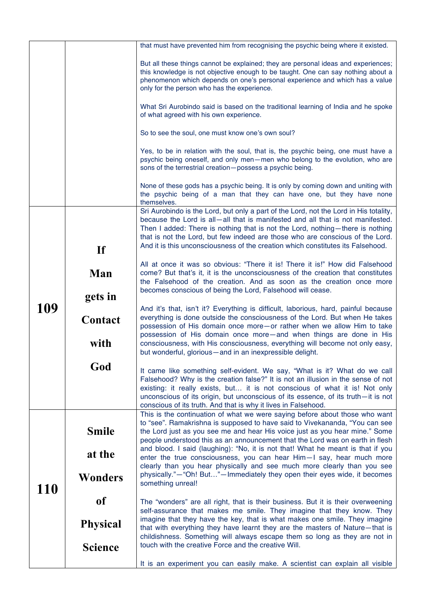|            |                 | that must have prevented him from recognising the psychic being where it existed.                                                                                                                                                                                                                                                                                                                                            |
|------------|-----------------|------------------------------------------------------------------------------------------------------------------------------------------------------------------------------------------------------------------------------------------------------------------------------------------------------------------------------------------------------------------------------------------------------------------------------|
|            |                 | But all these things cannot be explained; they are personal ideas and experiences;<br>this knowledge is not objective enough to be taught. One can say nothing about a<br>phenomenon which depends on one's personal experience and which has a value<br>only for the person who has the experience.                                                                                                                         |
|            |                 | What Sri Aurobindo said is based on the traditional learning of India and he spoke<br>of what agreed with his own experience.                                                                                                                                                                                                                                                                                                |
|            |                 | So to see the soul, one must know one's own soul?                                                                                                                                                                                                                                                                                                                                                                            |
|            |                 | Yes, to be in relation with the soul, that is, the psychic being, one must have a<br>psychic being oneself, and only men-men who belong to the evolution, who are<br>sons of the terrestrial creation-possess a psychic being.                                                                                                                                                                                               |
|            |                 | None of these gods has a psychic being. It is only by coming down and uniting with<br>the psychic being of a man that they can have one, but they have none<br>themselves.                                                                                                                                                                                                                                                   |
|            | If              | Sri Aurobindo is the Lord, but only a part of the Lord, not the Lord in His totality,<br>because the Lord is all—all that is manifested and all that is not manifested.<br>Then I added: There is nothing that is not the Lord, nothing—there is nothing<br>that is not the Lord, but few indeed are those who are conscious of the Lord.<br>And it is this unconsciousness of the creation which constitutes its Falsehood. |
|            | Man             | All at once it was so obvious: "There it is! There it is!" How did Falsehood<br>come? But that's it, it is the unconsciousness of the creation that constitutes<br>the Falsehood of the creation. And as soon as the creation once more<br>becomes conscious of being the Lord, Falsehood will cease.                                                                                                                        |
|            | gets in         |                                                                                                                                                                                                                                                                                                                                                                                                                              |
| 109        | Contact         | And it's that, isn't it? Everything is difficult, laborious, hard, painful because<br>everything is done outside the consciousness of the Lord. But when He takes<br>possession of His domain once more - or rather when we allow Him to take<br>possession of His domain once more—and when things are done in His                                                                                                          |
|            | with            | consciousness, with His consciousness, everything will become not only easy,<br>but wonderful, glorious-and in an inexpressible delight.                                                                                                                                                                                                                                                                                     |
|            | God             | It came like something self-evident. We say, "What is it? What do we call<br>Falsehood? Why is the creation false?" It is not an illusion in the sense of not<br>existing: it really exists, but it is not conscious of what it is! Not only<br>unconscious of its origin, but unconscious of its essence, of its truth-it is not<br>conscious of its truth. And that is why it lives in Falsehood.                          |
|            | <b>Smile</b>    | This is the continuation of what we were saying before about those who want<br>to "see". Ramakrishna is supposed to have said to Vivekananda, "You can see<br>the Lord just as you see me and hear His voice just as you hear mine." Some                                                                                                                                                                                    |
|            | at the          | people understood this as an announcement that the Lord was on earth in flesh<br>and blood. I said (laughing): "No, it is not that! What he meant is that if you<br>enter the true consciousness, you can hear Him-I say, hear much more<br>clearly than you hear physically and see much more clearly than you see                                                                                                          |
| <b>110</b> | <b>Wonders</b>  | physically."-"Oh! But"-Immediately they open their eyes wide, it becomes<br>something unreal!                                                                                                                                                                                                                                                                                                                                |
|            | of              | The "wonders" are all right, that is their business. But it is their overweening<br>self-assurance that makes me smile. They imagine that they know. They                                                                                                                                                                                                                                                                    |
|            | <b>Physical</b> | imagine that they have the key, that is what makes one smile. They imagine<br>that with everything they have learnt they are the masters of Nature-that is<br>childishness. Something will always escape them so long as they are not in                                                                                                                                                                                     |
|            | <b>Science</b>  | touch with the creative Force and the creative Will.                                                                                                                                                                                                                                                                                                                                                                         |
|            |                 | It is an experiment you can easily make. A scientist can explain all visible                                                                                                                                                                                                                                                                                                                                                 |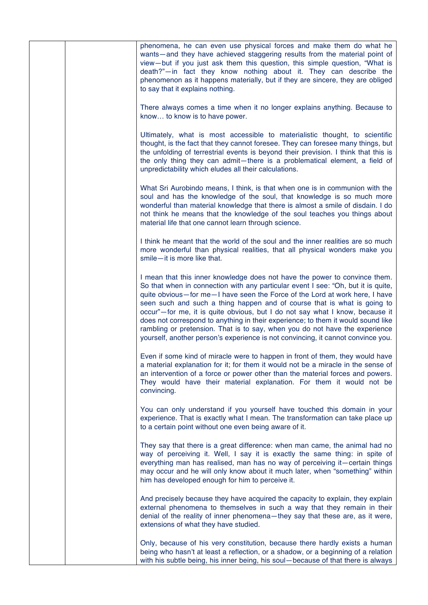| phenomena, he can even use physical forces and make them do what he<br>wants—and they have achieved staggering results from the material point of<br>view-but if you just ask them this question, this simple question, "What is<br>death?"-in fact they know nothing about it. They can describe the<br>phenomenon as it happens materially, but if they are sincere, they are obliged<br>to say that it explains nothing.                                                                                                                                                                                                                                       |
|-------------------------------------------------------------------------------------------------------------------------------------------------------------------------------------------------------------------------------------------------------------------------------------------------------------------------------------------------------------------------------------------------------------------------------------------------------------------------------------------------------------------------------------------------------------------------------------------------------------------------------------------------------------------|
| There always comes a time when it no longer explains anything. Because to<br>know to know is to have power.                                                                                                                                                                                                                                                                                                                                                                                                                                                                                                                                                       |
| Ultimately, what is most accessible to materialistic thought, to scientific<br>thought, is the fact that they cannot foresee. They can foresee many things, but<br>the unfolding of terrestrial events is beyond their prevision. I think that this is<br>the only thing they can admit-there is a problematical element, a field of<br>unpredictability which eludes all their calculations.                                                                                                                                                                                                                                                                     |
| What Sri Aurobindo means, I think, is that when one is in communion with the<br>soul and has the knowledge of the soul, that knowledge is so much more<br>wonderful than material knowledge that there is almost a smile of disdain. I do<br>not think he means that the knowledge of the soul teaches you things about<br>material life that one cannot learn through science.                                                                                                                                                                                                                                                                                   |
| I think he meant that the world of the soul and the inner realities are so much<br>more wonderful than physical realities, that all physical wonders make you<br>smile-it is more like that.                                                                                                                                                                                                                                                                                                                                                                                                                                                                      |
| I mean that this inner knowledge does not have the power to convince them.<br>So that when in connection with any particular event I see: "Oh, but it is quite,<br>quite obvious-for me-I have seen the Force of the Lord at work here, I have<br>seen such and such a thing happen and of course that is what is going to<br>occur"-for me, it is quite obvious, but I do not say what I know, because it<br>does not correspond to anything in their experience; to them it would sound like<br>rambling or pretension. That is to say, when you do not have the experience<br>yourself, another person's experience is not convincing, it cannot convince you. |
| Even if some kind of miracle were to happen in front of them, they would have<br>a material explanation for it; for them it would not be a miracle in the sense of<br>an intervention of a force or power other than the material forces and powers.<br>They would have their material explanation. For them it would not be<br>convincing.                                                                                                                                                                                                                                                                                                                       |
| You can only understand if you yourself have touched this domain in your<br>experience. That is exactly what I mean. The transformation can take place up<br>to a certain point without one even being aware of it.                                                                                                                                                                                                                                                                                                                                                                                                                                               |
| They say that there is a great difference: when man came, the animal had no<br>way of perceiving it. Well, I say it is exactly the same thing: in spite of<br>everything man has realised, man has no way of perceiving it-certain things<br>may occur and he will only know about it much later, when "something" within<br>him has developed enough for him to perceive it.                                                                                                                                                                                                                                                                                     |
| And precisely because they have acquired the capacity to explain, they explain<br>external phenomena to themselves in such a way that they remain in their<br>denial of the reality of inner phenomena—they say that these are, as it were,<br>extensions of what they have studied.                                                                                                                                                                                                                                                                                                                                                                              |
| Only, because of his very constitution, because there hardly exists a human<br>being who hasn't at least a reflection, or a shadow, or a beginning of a relation<br>with his subtle being, his inner being, his soul-because of that there is always                                                                                                                                                                                                                                                                                                                                                                                                              |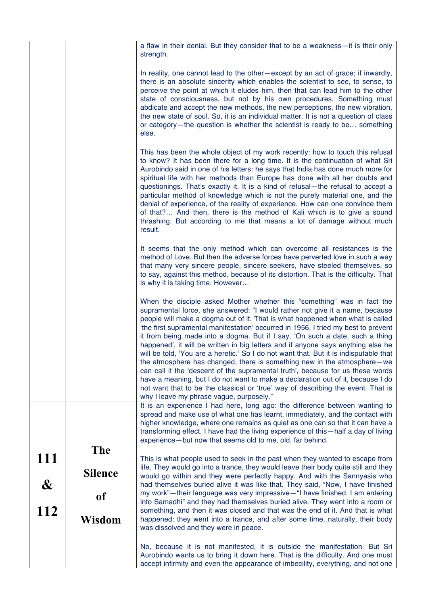|                          |                              | a flaw in their denial. But they consider that to be a weakness-it is their only<br>strength.                                                                                                                                                                                                                                                                                                                                                                                                                                                                                                                                                                                                                                                                                                                                                                                                                                                                               |
|--------------------------|------------------------------|-----------------------------------------------------------------------------------------------------------------------------------------------------------------------------------------------------------------------------------------------------------------------------------------------------------------------------------------------------------------------------------------------------------------------------------------------------------------------------------------------------------------------------------------------------------------------------------------------------------------------------------------------------------------------------------------------------------------------------------------------------------------------------------------------------------------------------------------------------------------------------------------------------------------------------------------------------------------------------|
|                          |                              | In reality, one cannot lead to the other-except by an act of grace; if inwardly,<br>there is an absolute sincerity which enables the scientist to see, to sense, to<br>perceive the point at which it eludes him, then that can lead him to the other<br>state of consciousness, but not by his own procedures. Something must<br>abdicate and accept the new methods, the new perceptions, the new vibration,<br>the new state of soul. So, it is an individual matter. It is not a question of class<br>or category-the question is whether the scientist is ready to be something<br>else.                                                                                                                                                                                                                                                                                                                                                                               |
|                          |                              | This has been the whole object of my work recently: how to touch this refusal<br>to know? It has been there for a long time. It is the continuation of what Sri<br>Aurobindo said in one of his letters: he says that India has done much more for<br>spiritual life with her methods than Europe has done with all her doubts and<br>questionings. That's exactly it. It is a kind of refusal—the refusal to accept a<br>particular method of knowledge which is not the purely material one, and the<br>denial of experience, of the reality of experience. How can one convince them<br>of that? And then, there is the method of Kali which is to give a sound<br>thrashing. But according to me that means a lot of damage without much<br>result.                                                                                                                                                                                                                     |
|                          |                              | It seems that the only method which can overcome all resistances is the<br>method of Love. But then the adverse forces have perverted love in such a way<br>that many very sincere people, sincere seekers, have steeled themselves, so<br>to say, against this method, because of its distortion. That is the difficulty. That<br>is why it is taking time. However                                                                                                                                                                                                                                                                                                                                                                                                                                                                                                                                                                                                        |
|                          |                              | When the disciple asked Mother whether this "something" was in fact the<br>supramental force, she answered: "I would rather not give it a name, because<br>people will make a dogma out of it. That is what happened when what is called<br>'the first supramental manifestation' occurred in 1956. I tried my best to prevent<br>it from being made into a dogma. But if I say, 'On such a date, such a thing<br>happened', it will be written in big letters and if anyone says anything else he<br>will be told, 'You are a heretic.' So I do not want that. But it is indisputable that<br>the atmosphere has changed, there is something new in the atmosphere-we<br>can call it the 'descent of the supramental truth', because for us these words<br>have a meaning, but I do not want to make a declaration out of it, because I do<br>not want that to be the classical or 'true' way of describing the event. That is<br>why I leave my phrase vague, purposely." |
|                          |                              | It is an experience I had here, long ago: the difference between wanting to<br>spread and make use of what one has learnt, immediately, and the contact with<br>higher knowledge, where one remains as quiet as one can so that it can have a<br>transforming effect. I have had the living experience of this-half a day of living<br>experience - but now that seems old to me, old, far behind.                                                                                                                                                                                                                                                                                                                                                                                                                                                                                                                                                                          |
| 111<br>$\boldsymbol{\&}$ | <b>The</b><br><b>Silence</b> | This is what people used to seek in the past when they wanted to escape from<br>life. They would go into a trance, they would leave their body quite still and they<br>would go within and they were perfectly happy. And with the Sannyasis who<br>had themselves buried alive it was like that. They said, "Now, I have finished                                                                                                                                                                                                                                                                                                                                                                                                                                                                                                                                                                                                                                          |
| 112                      | <b>of</b><br>Wisdom          | my work"—their language was very impressive—"I have finished, I am entering<br>into Samadhi" and they had themselves buried alive. They went into a room or<br>something, and then it was closed and that was the end of it. And that is what<br>happened: they went into a trance, and after some time, naturally, their body<br>was dissolved and they were in peace.                                                                                                                                                                                                                                                                                                                                                                                                                                                                                                                                                                                                     |
|                          |                              | No, because it is not manifested, it is outside the manifestation. But Sri<br>Aurobindo wants us to bring it down here. That is the difficulty. And one must<br>accept infirmity and even the appearance of imbecility, everything, and not one                                                                                                                                                                                                                                                                                                                                                                                                                                                                                                                                                                                                                                                                                                                             |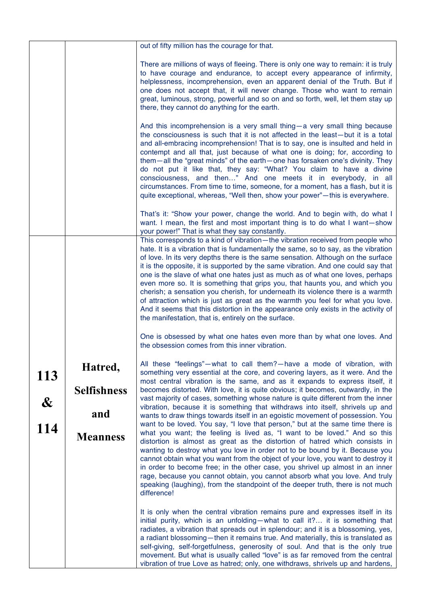|                                 |                               | out of fifty million has the courage for that.                                                                                                                                                                                                                                                                                                                                                                                                                                                                                                                                                                                                                                                                                                                                                                                     |
|---------------------------------|-------------------------------|------------------------------------------------------------------------------------------------------------------------------------------------------------------------------------------------------------------------------------------------------------------------------------------------------------------------------------------------------------------------------------------------------------------------------------------------------------------------------------------------------------------------------------------------------------------------------------------------------------------------------------------------------------------------------------------------------------------------------------------------------------------------------------------------------------------------------------|
|                                 |                               | There are millions of ways of fleeing. There is only one way to remain: it is truly<br>to have courage and endurance, to accept every appearance of infirmity,<br>helplessness, incomprehension, even an apparent denial of the Truth. But if<br>one does not accept that, it will never change. Those who want to remain<br>great, luminous, strong, powerful and so on and so forth, well, let them stay up<br>there, they cannot do anything for the earth.                                                                                                                                                                                                                                                                                                                                                                     |
|                                 |                               | And this incomprehension is a very small thing - a very small thing because<br>the consciousness is such that it is not affected in the least-but it is a total<br>and all-embracing incomprehension! That is to say, one is insulted and held in<br>contempt and all that, just because of what one is doing; for, according to<br>them-all the "great minds" of the earth-one has forsaken one's divinity. They<br>do not put it like that, they say: "What? You claim to have a divine<br>consciousness, and then" And one meets it in everybody, in all<br>circumstances. From time to time, someone, for a moment, has a flash, but it is<br>quite exceptional, whereas, "Well then, show your power"-this is everywhere.                                                                                                     |
|                                 |                               | That's it: "Show your power, change the world. And to begin with, do what I<br>want. I mean, the first and most important thing is to do what I want-show<br>your power!" That is what they say constantly.                                                                                                                                                                                                                                                                                                                                                                                                                                                                                                                                                                                                                        |
|                                 |                               | This corresponds to a kind of vibration-the vibration received from people who<br>hate. It is a vibration that is fundamentally the same, so to say, as the vibration<br>of love. In its very depths there is the same sensation. Although on the surface<br>it is the opposite, it is supported by the same vibration. And one could say that<br>one is the slave of what one hates just as much as of what one loves, perhaps<br>even more so. It is something that grips you, that haunts you, and which you<br>cherish; a sensation you cherish, for underneath its violence there is a warmth<br>of attraction which is just as great as the warmth you feel for what you love.<br>And it seems that this distortion in the appearance only exists in the activity of<br>the manifestation, that is, entirely on the surface. |
|                                 |                               | One is obsessed by what one hates even more than by what one loves. And<br>the obsession comes from this inner vibration.                                                                                                                                                                                                                                                                                                                                                                                                                                                                                                                                                                                                                                                                                                          |
| 113<br>$\boldsymbol{\&}$<br>114 | Hatred,<br><b>Selfishness</b> | All these "feelings"—what to call them?—have a mode of vibration, with<br>something very essential at the core, and covering layers, as it were. And the<br>most central vibration is the same, and as it expands to express itself, it<br>becomes distorted. With love, it is quite obvious; it becomes, outwardly, in the<br>vast majority of cases, something whose nature is quite different from the inner<br>vibration, because it is something that withdraws into itself, shrivels up and                                                                                                                                                                                                                                                                                                                                  |
|                                 | and<br><b>Meanness</b>        | wants to draw things towards itself in an egoistic movement of possession. You<br>want to be loved. You say, "I love that person," but at the same time there is<br>what you want; the feeling is lived as, "I want to be loved." And so this<br>distortion is almost as great as the distortion of hatred which consists in<br>wanting to destroy what you love in order not to be bound by it. Because you<br>cannot obtain what you want from the object of your love, you want to destroy it<br>in order to become free; in the other case, you shrivel up almost in an inner<br>rage, because you cannot obtain, you cannot absorb what you love. And truly<br>speaking (laughing), from the standpoint of the deeper truth, there is not much<br>difference!                                                                 |
|                                 |                               | It is only when the central vibration remains pure and expresses itself in its<br>initial purity, which is an unfolding—what to call it? it is something that<br>radiates, a vibration that spreads out in splendour; and it is a blossoming, yes,<br>a radiant blossoming-then it remains true. And materially, this is translated as<br>self-giving, self-forgetfulness, generosity of soul. And that is the only true<br>movement. But what is usually called "love" is as far removed from the central<br>vibration of true Love as hatred; only, one withdraws, shrivels up and hardens,                                                                                                                                                                                                                                      |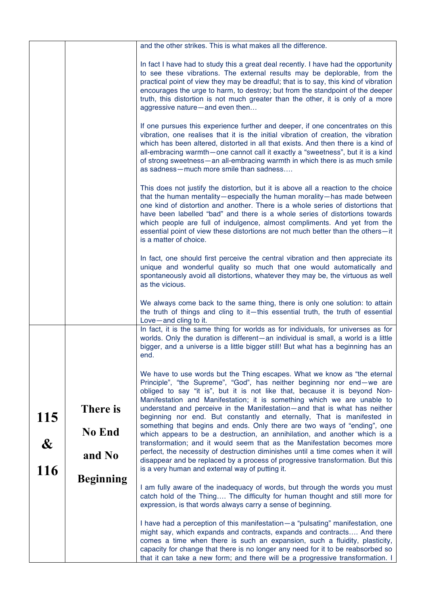|                                 |                                     | and the other strikes. This is what makes all the difference.                                                                                                                                                                                                                                                                                                                                                                                                                                                                                                                                                                                                                                                                                                                                                                                                                                                                     |
|---------------------------------|-------------------------------------|-----------------------------------------------------------------------------------------------------------------------------------------------------------------------------------------------------------------------------------------------------------------------------------------------------------------------------------------------------------------------------------------------------------------------------------------------------------------------------------------------------------------------------------------------------------------------------------------------------------------------------------------------------------------------------------------------------------------------------------------------------------------------------------------------------------------------------------------------------------------------------------------------------------------------------------|
|                                 |                                     | In fact I have had to study this a great deal recently. I have had the opportunity<br>to see these vibrations. The external results may be deplorable, from the<br>practical point of view they may be dreadful; that is to say, this kind of vibration<br>encourages the urge to harm, to destroy; but from the standpoint of the deeper<br>truth, this distortion is not much greater than the other, it is only of a more<br>aggressive nature-and even then                                                                                                                                                                                                                                                                                                                                                                                                                                                                   |
|                                 |                                     | If one pursues this experience further and deeper, if one concentrates on this<br>vibration, one realises that it is the initial vibration of creation, the vibration<br>which has been altered, distorted in all that exists. And then there is a kind of<br>all-embracing warmth-one cannot call it exactly a "sweetness", but it is a kind<br>of strong sweetness—an all-embracing warmth in which there is as much smile<br>as sadness-much more smile than sadness                                                                                                                                                                                                                                                                                                                                                                                                                                                           |
|                                 |                                     | This does not justify the distortion, but it is above all a reaction to the choice<br>that the human mentality-especially the human morality-has made between<br>one kind of distortion and another. There is a whole series of distortions that<br>have been labelled "bad" and there is a whole series of distortions towards<br>which people are full of indulgence, almost compliments. And yet from the<br>essential point of view these distortions are not much better than the others-it<br>is a matter of choice.                                                                                                                                                                                                                                                                                                                                                                                                        |
|                                 |                                     | In fact, one should first perceive the central vibration and then appreciate its<br>unique and wonderful quality so much that one would automatically and<br>spontaneously avoid all distortions, whatever they may be, the virtuous as well<br>as the vicious.                                                                                                                                                                                                                                                                                                                                                                                                                                                                                                                                                                                                                                                                   |
|                                 |                                     | We always come back to the same thing, there is only one solution: to attain<br>the truth of things and cling to it—this essential truth, the truth of essential<br>Love-and cling to it.                                                                                                                                                                                                                                                                                                                                                                                                                                                                                                                                                                                                                                                                                                                                         |
|                                 |                                     | In fact, it is the same thing for worlds as for individuals, for universes as for<br>worlds. Only the duration is different-an individual is small, a world is a little<br>bigger, and a universe is a little bigger still! But what has a beginning has an<br>end.                                                                                                                                                                                                                                                                                                                                                                                                                                                                                                                                                                                                                                                               |
| 115<br>$\boldsymbol{\&}$<br>116 | There is<br><b>No End</b><br>and No | We have to use words but the Thing escapes. What we know as "the eternal<br>Principle", "the Supreme", "God", has neither beginning nor end-we are<br>obliged to say "it is", but it is not like that, because it is beyond Non-<br>Manifestation and Manifestation; it is something which we are unable to<br>understand and perceive in the Manifestation-and that is what has neither<br>beginning nor end. But constantly and eternally, That is manifested in<br>something that begins and ends. Only there are two ways of "ending", one<br>which appears to be a destruction, an annihilation, and another which is a<br>transformation; and it would seem that as the Manifestation becomes more<br>perfect, the necessity of destruction diminishes until a time comes when it will<br>disappear and be replaced by a process of progressive transformation. But this<br>is a very human and external way of putting it. |
|                                 | <b>Beginning</b>                    | I am fully aware of the inadequacy of words, but through the words you must<br>catch hold of the Thing The difficulty for human thought and still more for<br>expression, is that words always carry a sense of beginning.                                                                                                                                                                                                                                                                                                                                                                                                                                                                                                                                                                                                                                                                                                        |
|                                 |                                     | I have had a perception of this manifestation—a "pulsating" manifestation, one<br>might say, which expands and contracts, expands and contracts And there<br>comes a time when there is such an expansion, such a fluidity, plasticity,<br>capacity for change that there is no longer any need for it to be reabsorbed so<br>that it can take a new form; and there will be a progressive transformation. I                                                                                                                                                                                                                                                                                                                                                                                                                                                                                                                      |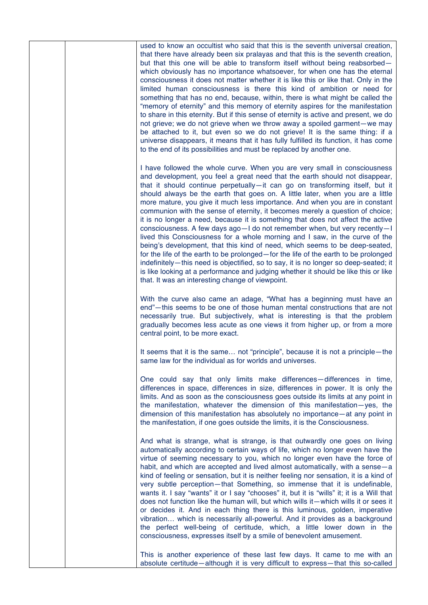| used to know an occultist who said that this is the seventh universal creation,<br>that there have already been six pralayas and that this is the seventh creation,<br>but that this one will be able to transform itself without being reabsorbed-<br>which obviously has no importance whatsoever, for when one has the eternal<br>consciousness it does not matter whether it is like this or like that. Only in the<br>limited human consciousness is there this kind of ambition or need for<br>something that has no end, because, within, there is what might be called the<br>"memory of eternity" and this memory of eternity aspires for the manifestation<br>to share in this eternity. But if this sense of eternity is active and present, we do<br>not grieve; we do not grieve when we throw away a spoiled garment-we may<br>be attached to it, but even so we do not grieve! It is the same thing: if a<br>universe disappears, it means that it has fully fulfilled its function, it has come<br>to the end of its possibilities and must be replaced by another one.                                                            |
|----------------------------------------------------------------------------------------------------------------------------------------------------------------------------------------------------------------------------------------------------------------------------------------------------------------------------------------------------------------------------------------------------------------------------------------------------------------------------------------------------------------------------------------------------------------------------------------------------------------------------------------------------------------------------------------------------------------------------------------------------------------------------------------------------------------------------------------------------------------------------------------------------------------------------------------------------------------------------------------------------------------------------------------------------------------------------------------------------------------------------------------------------|
| I have followed the whole curve. When you are very small in consciousness<br>and development, you feel a great need that the earth should not disappear,<br>that it should continue perpetually—it can go on transforming itself, but it<br>should always be the earth that goes on. A little later, when you are a little<br>more mature, you give it much less importance. And when you are in constant<br>communion with the sense of eternity, it becomes merely a question of choice;<br>it is no longer a need, because it is something that does not affect the active<br>consciousness. A few days ago-I do not remember when, but very recently-I<br>lived this Consciousness for a whole morning and I saw, in the curve of the<br>being's development, that this kind of need, which seems to be deep-seated,<br>for the life of the earth to be prolonged-for the life of the earth to be prolonged<br>indefinitely-this need is objectified, so to say, it is no longer so deep-seated; it<br>is like looking at a performance and judging whether it should be like this or like<br>that. It was an interesting change of viewpoint. |
| With the curve also came an adage, "What has a beginning must have an<br>end"-this seems to be one of those human mental constructions that are not<br>necessarily true. But subjectively, what is interesting is that the problem<br>gradually becomes less acute as one views it from higher up, or from a more<br>central point, to be more exact.                                                                                                                                                                                                                                                                                                                                                                                                                                                                                                                                                                                                                                                                                                                                                                                              |
| It seems that it is the same not "principle", because it is not a principle-the<br>same law for the individual as for worlds and universes.                                                                                                                                                                                                                                                                                                                                                                                                                                                                                                                                                                                                                                                                                                                                                                                                                                                                                                                                                                                                        |
| One could say that only limits make differences—differences in time,<br>differences in space, differences in size, differences in power. It is only the<br>limits. And as soon as the consciousness goes outside its limits at any point in<br>the manifestation, whatever the dimension of this manifestation-yes, the<br>dimension of this manifestation has absolutely no importance—at any point in<br>the manifestation, if one goes outside the limits, it is the Consciousness.                                                                                                                                                                                                                                                                                                                                                                                                                                                                                                                                                                                                                                                             |
| And what is strange, what is strange, is that outwardly one goes on living<br>automatically according to certain ways of life, which no longer even have the<br>virtue of seeming necessary to you, which no longer even have the force of<br>habit, and which are accepted and lived almost automatically, with a sense-a<br>kind of feeling or sensation, but it is neither feeling nor sensation, it is a kind of<br>very subtle perception-that Something, so immense that it is undefinable,<br>wants it. I say "wants" it or I say "chooses" it, but it is "wills" it; it is a Will that<br>does not function like the human will, but which wills it—which wills it or sees it<br>or decides it. And in each thing there is this luminous, golden, imperative<br>vibration which is necessarily all-powerful. And it provides as a background<br>the perfect well-being of certitude, which, a little lower down in the<br>consciousness, expresses itself by a smile of benevolent amusement.                                                                                                                                              |
| This is another experience of these last few days. It came to me with an<br>absolute certitude-although it is very difficult to express-that this so-called                                                                                                                                                                                                                                                                                                                                                                                                                                                                                                                                                                                                                                                                                                                                                                                                                                                                                                                                                                                        |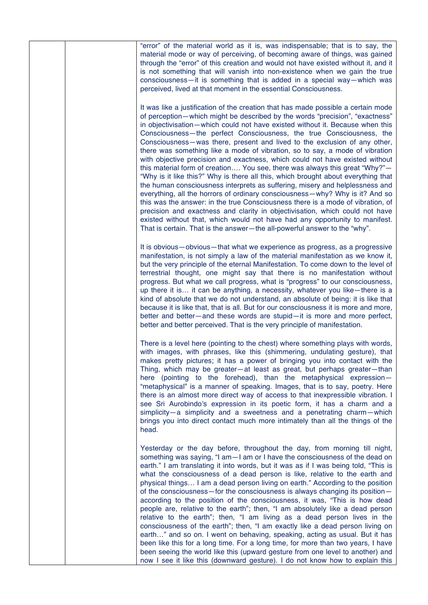| "error" of the material world as it is, was indispensable; that is to say, the<br>material mode or way of perceiving, of becoming aware of things, was gained<br>through the "error" of this creation and would not have existed without it, and it<br>is not something that will vanish into non-existence when we gain the true<br>consciousness-it is something that is added in a special way-which was<br>perceived, lived at that moment in the essential Consciousness.                                                                                                                                                                                                                                                                                                                                                                                                                                                                                                                                                                                                                                                                                                                                                             |
|--------------------------------------------------------------------------------------------------------------------------------------------------------------------------------------------------------------------------------------------------------------------------------------------------------------------------------------------------------------------------------------------------------------------------------------------------------------------------------------------------------------------------------------------------------------------------------------------------------------------------------------------------------------------------------------------------------------------------------------------------------------------------------------------------------------------------------------------------------------------------------------------------------------------------------------------------------------------------------------------------------------------------------------------------------------------------------------------------------------------------------------------------------------------------------------------------------------------------------------------|
| It was like a justification of the creation that has made possible a certain mode<br>of perception-which might be described by the words "precision", "exactness"<br>in objectivisation—which could not have existed without it. Because when this<br>Consciousness-the perfect Consciousness, the true Consciousness, the<br>Consciousness-was there, present and lived to the exclusion of any other,<br>there was something like a mode of vibration, so to say, a mode of vibration<br>with objective precision and exactness, which could not have existed without<br>this material form of creation You see, there was always this great "Why?"-<br>"Why is it like this?" Why is there all this, which brought about everything that<br>the human consciousness interprets as suffering, misery and helplessness and<br>everything, all the horrors of ordinary consciousness—why? Why is it? And so<br>this was the answer: in the true Consciousness there is a mode of vibration, of<br>precision and exactness and clarity in objectivisation, which could not have<br>existed without that, which would not have had any opportunity to manifest.<br>That is certain. That is the answer-the all-powerful answer to the "why". |
| It is obvious-obvious-that what we experience as progress, as a progressive<br>manifestation, is not simply a law of the material manifestation as we know it,<br>but the very principle of the eternal Manifestation. To come down to the level of<br>terrestrial thought, one might say that there is no manifestation without<br>progress. But what we call progress, what is "progress" to our consciousness,<br>up there it is it can be anything, a necessity, whatever you like—there is a<br>kind of absolute that we do not understand, an absolute of being: it is like that<br>because it is like that, that is all. But for our consciousness it is more and more,<br>better and better-and these words are stupid-it is more and more perfect,<br>better and better perceived. That is the very principle of manifestation.                                                                                                                                                                                                                                                                                                                                                                                                   |
| There is a level here (pointing to the chest) where something plays with words,<br>with images, with phrases, like this (shimmering, undulating gesture), that<br>makes pretty pictures; it has a power of bringing you into contact with the<br>Thing, which may be greater—at least as great, but perhaps greater—than<br>here (pointing to the forehead), than the metaphysical expression-<br>"metaphysical" is a manner of speaking. Images, that is to say, poetry. Here<br>there is an almost more direct way of access to that inexpressible vibration. I<br>see Sri Aurobindo's expression in its poetic form, it has a charm and a<br>simplicity-a simplicity and a sweetness and a penetrating charm-which<br>brings you into direct contact much more intimately than all the things of the<br>head.                                                                                                                                                                                                                                                                                                                                                                                                                           |
| Yesterday or the day before, throughout the day, from morning till night,<br>something was saying, "I am-I am or I have the consciousness of the dead on<br>earth." I am translating it into words, but it was as if I was being told, "This is<br>what the consciousness of a dead person is like, relative to the earth and<br>physical things I am a dead person living on earth." According to the position<br>of the consciousness-for the consciousness is always changing its position-<br>according to the position of the consciousness, it was, "This is how dead<br>people are, relative to the earth"; then, "I am absolutely like a dead person<br>relative to the earth"; then, "I am living as a dead person lives in the<br>consciousness of the earth"; then, "I am exactly like a dead person living on<br>earth" and so on. I went on behaving, speaking, acting as usual. But it has<br>been like this for a long time. For a long time, for more than two years, I have<br>been seeing the world like this (upward gesture from one level to another) and<br>now I see it like this (downward gesture). I do not know how to explain this                                                                             |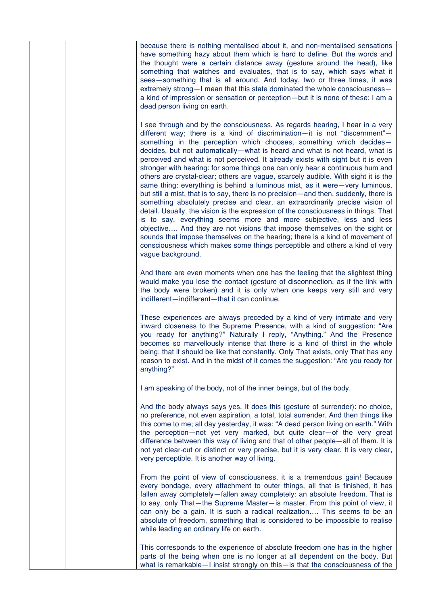| because there is nothing mentalised about it, and non-mentalised sensations<br>have something hazy about them which is hard to define. But the words and<br>the thought were a certain distance away (gesture around the head), like<br>something that watches and evaluates, that is to say, which says what it<br>sees-something that is all around. And today, two or three times, it was<br>extremely strong-I mean that this state dominated the whole consciousness-<br>a kind of impression or sensation or perception—but it is none of these: I am a<br>dead person living on earth.                                                                                                                                                                                                                                                                                                                                                                                                                                                                                                                                                                                                                                                                   |
|-----------------------------------------------------------------------------------------------------------------------------------------------------------------------------------------------------------------------------------------------------------------------------------------------------------------------------------------------------------------------------------------------------------------------------------------------------------------------------------------------------------------------------------------------------------------------------------------------------------------------------------------------------------------------------------------------------------------------------------------------------------------------------------------------------------------------------------------------------------------------------------------------------------------------------------------------------------------------------------------------------------------------------------------------------------------------------------------------------------------------------------------------------------------------------------------------------------------------------------------------------------------|
| I see through and by the consciousness. As regards hearing, I hear in a very<br>different way; there is a kind of discrimination-it is not "discernment"-<br>something in the perception which chooses, something which decides-<br>decides, but not automatically-what is heard and what is not heard, what is<br>perceived and what is not perceived. It already exists with sight but it is even<br>stronger with hearing: for some things one can only hear a continuous hum and<br>others are crystal-clear; others are vague, scarcely audible. With sight it is the<br>same thing: everything is behind a luminous mist, as it were-very luminous,<br>but still a mist, that is to say, there is no precision—and then, suddenly, there is<br>something absolutely precise and clear, an extraordinarily precise vision of<br>detail. Usually, the vision is the expression of the consciousness in things. That<br>is to say, everything seems more and more subjective, less and less<br>objective And they are not visions that impose themselves on the sight or<br>sounds that impose themselves on the hearing; there is a kind of movement of<br>consciousness which makes some things perceptible and others a kind of very<br>vague background. |
| And there are even moments when one has the feeling that the slightest thing<br>would make you lose the contact (gesture of disconnection, as if the link with<br>the body were broken) and it is only when one keeps very still and very<br>indifferent-indifferent-that it can continue.                                                                                                                                                                                                                                                                                                                                                                                                                                                                                                                                                                                                                                                                                                                                                                                                                                                                                                                                                                      |
| These experiences are always preceded by a kind of very intimate and very<br>inward closeness to the Supreme Presence, with a kind of suggestion: "Are<br>you ready for anything?" Naturally I reply, "Anything." And the Presence<br>becomes so marvellously intense that there is a kind of thirst in the whole<br>being: that it should be like that constantly. Only That exists, only That has any<br>reason to exist. And in the midst of it comes the suggestion: "Are you ready for<br>anything?"                                                                                                                                                                                                                                                                                                                                                                                                                                                                                                                                                                                                                                                                                                                                                       |
| I am speaking of the body, not of the inner beings, but of the body.                                                                                                                                                                                                                                                                                                                                                                                                                                                                                                                                                                                                                                                                                                                                                                                                                                                                                                                                                                                                                                                                                                                                                                                            |
| And the body always says yes. It does this (gesture of surrender): no choice,<br>no preference, not even aspiration, a total, total surrender. And then things like<br>this come to me; all day yesterday, it was: "A dead person living on earth." With<br>the perception-not yet very marked, but quite clear-of the very great<br>difference between this way of living and that of other people—all of them. It is<br>not yet clear-cut or distinct or very precise, but it is very clear. It is very clear,<br>very perceptible. It is another way of living.                                                                                                                                                                                                                                                                                                                                                                                                                                                                                                                                                                                                                                                                                              |
| From the point of view of consciousness, it is a tremendous gain! Because<br>every bondage, every attachment to outer things, all that is finished, it has<br>fallen away completely-fallen away completely: an absolute freedom. That is<br>to say, only That-the Supreme Master- is master. From this point of view, it<br>can only be a gain. It is such a radical realization This seems to be an<br>absolute of freedom, something that is considered to be impossible to realise<br>while leading an ordinary life on earth.                                                                                                                                                                                                                                                                                                                                                                                                                                                                                                                                                                                                                                                                                                                              |
| This corresponds to the experience of absolute freedom one has in the higher<br>parts of the being when one is no longer at all dependent on the body. But<br>what is remarkable-I insist strongly on this-is that the consciousness of the                                                                                                                                                                                                                                                                                                                                                                                                                                                                                                                                                                                                                                                                                                                                                                                                                                                                                                                                                                                                                     |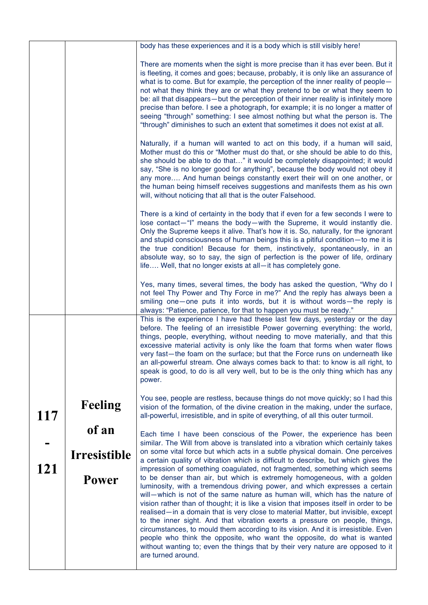|                     | body has these experiences and it is a body which is still visibly here!                                                                                                                                                                                                                                                                                                                                                                                                                                                                                                                                                                                                                                                                                                                                                                                  |
|---------------------|-----------------------------------------------------------------------------------------------------------------------------------------------------------------------------------------------------------------------------------------------------------------------------------------------------------------------------------------------------------------------------------------------------------------------------------------------------------------------------------------------------------------------------------------------------------------------------------------------------------------------------------------------------------------------------------------------------------------------------------------------------------------------------------------------------------------------------------------------------------|
|                     | There are moments when the sight is more precise than it has ever been. But it<br>is fleeting, it comes and goes; because, probably, it is only like an assurance of<br>what is to come. But for example, the perception of the inner reality of people-<br>not what they think they are or what they pretend to be or what they seem to<br>be: all that disappears—but the perception of their inner reality is infinitely more<br>precise than before. I see a photograph, for example; it is no longer a matter of<br>seeing "through" something: I see almost nothing but what the person is. The<br>"through" diminishes to such an extent that sometimes it does not exist at all.                                                                                                                                                                  |
|                     | Naturally, if a human will wanted to act on this body, if a human will said,<br>Mother must do this or "Mother must do that, or she should be able to do this,<br>she should be able to do that" it would be completely disappointed; it would<br>say, "She is no longer good for anything", because the body would not obey it<br>any more And human beings constantly exert their will on one another, or<br>the human being himself receives suggestions and manifests them as his own<br>will, without noticing that all that is the outer Falsehood.                                                                                                                                                                                                                                                                                                 |
|                     | There is a kind of certainty in the body that if even for a few seconds I were to<br>lose contact—"I" means the body—with the Supreme, it would instantly die.<br>Only the Supreme keeps it alive. That's how it is. So, naturally, for the ignorant<br>and stupid consciousness of human beings this is a pitiful condition-to me it is<br>the true condition! Because for them, instinctively, spontaneously, in an<br>absolute way, so to say, the sign of perfection is the power of life, ordinary<br>life Well, that no longer exists at all-it has completely gone.                                                                                                                                                                                                                                                                                |
|                     | Yes, many times, several times, the body has asked the question, "Why do I<br>not feel Thy Power and Thy Force in me?" And the reply has always been a<br>smiling one-one puts it into words, but it is without words-the reply is<br>always: "Patience, patience, for that to happen you must be ready."                                                                                                                                                                                                                                                                                                                                                                                                                                                                                                                                                 |
|                     | This is the experience I have had these last few days, yesterday or the day<br>before. The feeling of an irresistible Power governing everything: the world,<br>things, people, everything, without needing to move materially, and that this<br>excessive material activity is only like the foam that forms when water flows<br>very fast-the foam on the surface; but that the Force runs on underneath like<br>an all-powerful stream. One always comes back to that: to know is all right, to<br>speak is good, to do is all very well, but to be is the only thing which has any<br>power.                                                                                                                                                                                                                                                          |
| <b>Feeling</b>      | You see, people are restless, because things do not move quickly; so I had this<br>vision of the formation, of the divine creation in the making, under the surface,<br>all-powerful, irresistible, and in spite of everything, of all this outer turmoil.                                                                                                                                                                                                                                                                                                                                                                                                                                                                                                                                                                                                |
| of an               | Each time I have been conscious of the Power, the experience has been<br>similar. The Will from above is translated into a vibration which certainly takes                                                                                                                                                                                                                                                                                                                                                                                                                                                                                                                                                                                                                                                                                                |
| <b>Irresistible</b> | on some vital force but which acts in a subtle physical domain. One perceives<br>a certain quality of vibration which is difficult to describe, but which gives the                                                                                                                                                                                                                                                                                                                                                                                                                                                                                                                                                                                                                                                                                       |
| <b>Power</b>        | impression of something coagulated, not fragmented, something which seems<br>to be denser than air, but which is extremely homogeneous, with a golden<br>luminosity, with a tremendous driving power, and which expresses a certain<br>will—which is not of the same nature as human will, which has the nature of<br>vision rather than of thought; it is like a vision that imposes itself in order to be<br>realised-in a domain that is very close to material Matter, but invisible, except<br>to the inner sight. And that vibration exerts a pressure on people, things,<br>circumstances, to mould them according to its vision. And it is irresistible. Even<br>people who think the opposite, who want the opposite, do what is wanted<br>without wanting to; even the things that by their very nature are opposed to it<br>are turned around. |
|                     |                                                                                                                                                                                                                                                                                                                                                                                                                                                                                                                                                                                                                                                                                                                                                                                                                                                           |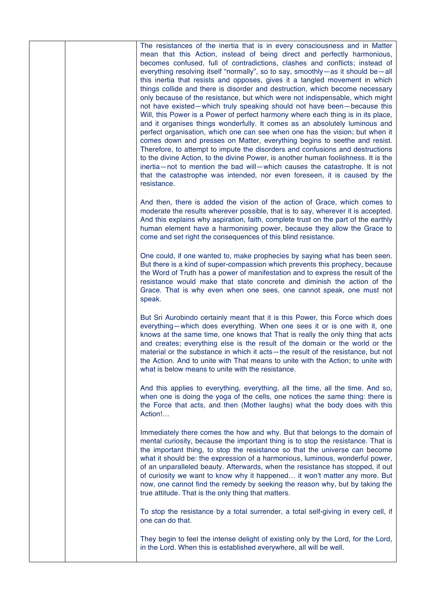| The resistances of the inertia that is in every consciousness and in Matter<br>mean that this Action, instead of being direct and perfectly harmonious,<br>becomes confused, full of contradictions, clashes and conflicts; instead of<br>everything resolving itself "normally", so to say, smoothly-as it should be-all<br>this inertia that resists and opposes, gives it a tangled movement in which<br>things collide and there is disorder and destruction, which become necessary<br>only because of the resistance, but which were not indispensable, which might<br>not have existed—which truly speaking should not have been—because this<br>Will, this Power is a Power of perfect harmony where each thing is in its place,<br>and it organises things wonderfully. It comes as an absolutely luminous and<br>perfect organisation, which one can see when one has the vision; but when it<br>comes down and presses on Matter, everything begins to seethe and resist.<br>Therefore, to attempt to impute the disorders and confusions and destructions<br>to the divine Action, to the divine Power, is another human foolishness. It is the<br>inertia-not to mention the bad will-which causes the catastrophe. It is not<br>that the catastrophe was intended, nor even foreseen, it is caused by the<br>resistance. |
|----------------------------------------------------------------------------------------------------------------------------------------------------------------------------------------------------------------------------------------------------------------------------------------------------------------------------------------------------------------------------------------------------------------------------------------------------------------------------------------------------------------------------------------------------------------------------------------------------------------------------------------------------------------------------------------------------------------------------------------------------------------------------------------------------------------------------------------------------------------------------------------------------------------------------------------------------------------------------------------------------------------------------------------------------------------------------------------------------------------------------------------------------------------------------------------------------------------------------------------------------------------------------------------------------------------------------------------|
| And then, there is added the vision of the action of Grace, which comes to<br>moderate the results wherever possible, that is to say, wherever it is accepted.<br>And this explains why aspiration, faith, complete trust on the part of the earthly<br>human element have a harmonising power, because they allow the Grace to<br>come and set right the consequences of this blind resistance.                                                                                                                                                                                                                                                                                                                                                                                                                                                                                                                                                                                                                                                                                                                                                                                                                                                                                                                                       |
| One could, if one wanted to, make prophecies by saying what has been seen.<br>But there is a kind of super-compassion which prevents this prophecy, because<br>the Word of Truth has a power of manifestation and to express the result of the<br>resistance would make that state concrete and diminish the action of the<br>Grace. That is why even when one sees, one cannot speak, one must not<br>speak.                                                                                                                                                                                                                                                                                                                                                                                                                                                                                                                                                                                                                                                                                                                                                                                                                                                                                                                          |
| But Sri Aurobindo certainly meant that it is this Power, this Force which does<br>everything—which does everything. When one sees it or is one with it, one<br>knows at the same time, one knows that That is really the only thing that acts<br>and creates; everything else is the result of the domain or the world or the<br>material or the substance in which it acts—the result of the resistance, but not<br>the Action. And to unite with That means to unite with the Action; to unite with<br>what is below means to unite with the resistance.                                                                                                                                                                                                                                                                                                                                                                                                                                                                                                                                                                                                                                                                                                                                                                             |
| And this applies to everything, everything, all the time, all the time. And so,<br>when one is doing the yoga of the cells, one notices the same thing: there is<br>the Force that acts, and then (Mother laughs) what the body does with this<br>Action!                                                                                                                                                                                                                                                                                                                                                                                                                                                                                                                                                                                                                                                                                                                                                                                                                                                                                                                                                                                                                                                                              |
| Immediately there comes the how and why. But that belongs to the domain of<br>mental curiosity, because the important thing is to stop the resistance. That is<br>the important thing, to stop the resistance so that the universe can become<br>what it should be: the expression of a harmonious, luminous, wonderful power,<br>of an unparalleled beauty. Afterwards, when the resistance has stopped, if out<br>of curiosity we want to know why it happened it won't matter any more. But<br>now, one cannot find the remedy by seeking the reason why, but by taking the<br>true attitude. That is the only thing that matters.                                                                                                                                                                                                                                                                                                                                                                                                                                                                                                                                                                                                                                                                                                  |
| To stop the resistance by a total surrender, a total self-giving in every cell, if<br>one can do that.                                                                                                                                                                                                                                                                                                                                                                                                                                                                                                                                                                                                                                                                                                                                                                                                                                                                                                                                                                                                                                                                                                                                                                                                                                 |
| They begin to feel the intense delight of existing only by the Lord, for the Lord,<br>in the Lord. When this is established everywhere, all will be well.                                                                                                                                                                                                                                                                                                                                                                                                                                                                                                                                                                                                                                                                                                                                                                                                                                                                                                                                                                                                                                                                                                                                                                              |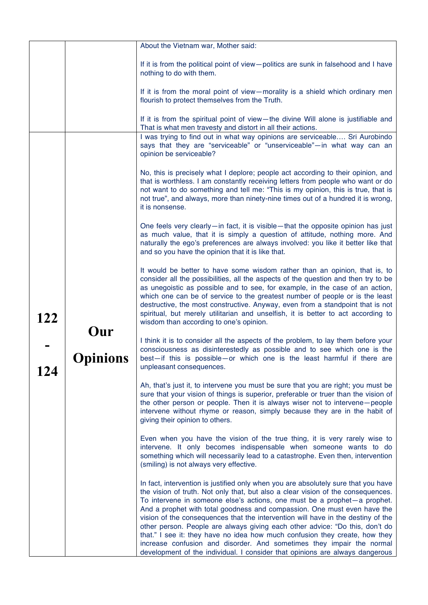|            |                        | About the Vietnam war, Mother said:                                                                                                                                                                                                                                                                                                                                                                                                                                                                                                                                                                                                                                                                                                        |
|------------|------------------------|--------------------------------------------------------------------------------------------------------------------------------------------------------------------------------------------------------------------------------------------------------------------------------------------------------------------------------------------------------------------------------------------------------------------------------------------------------------------------------------------------------------------------------------------------------------------------------------------------------------------------------------------------------------------------------------------------------------------------------------------|
|            |                        | If it is from the political point of view-politics are sunk in falsehood and I have<br>nothing to do with them.                                                                                                                                                                                                                                                                                                                                                                                                                                                                                                                                                                                                                            |
|            |                        | If it is from the moral point of view—morality is a shield which ordinary men<br>flourish to protect themselves from the Truth.                                                                                                                                                                                                                                                                                                                                                                                                                                                                                                                                                                                                            |
|            |                        | If it is from the spiritual point of view-the divine Will alone is justifiable and<br>That is what men travesty and distort in all their actions.                                                                                                                                                                                                                                                                                                                                                                                                                                                                                                                                                                                          |
|            |                        | I was trying to find out in what way opinions are serviceable Sri Aurobindo<br>says that they are "serviceable" or "unserviceable"-in what way can an<br>opinion be serviceable?                                                                                                                                                                                                                                                                                                                                                                                                                                                                                                                                                           |
| 122<br>124 | <b>Our</b><br>Opinions | No, this is precisely what I deplore; people act according to their opinion, and<br>that is worthless. I am constantly receiving letters from people who want or do<br>not want to do something and tell me: "This is my opinion, this is true, that is<br>not true", and always, more than ninety-nine times out of a hundred it is wrong,<br>it is nonsense.                                                                                                                                                                                                                                                                                                                                                                             |
|            |                        | One feels very clearly—in fact, it is visible—that the opposite opinion has just<br>as much value, that it is simply a question of attitude, nothing more. And<br>naturally the ego's preferences are always involved: you like it better like that<br>and so you have the opinion that it is like that.                                                                                                                                                                                                                                                                                                                                                                                                                                   |
|            |                        | It would be better to have some wisdom rather than an opinion, that is, to<br>consider all the possibilities, all the aspects of the question and then try to be<br>as unegoistic as possible and to see, for example, in the case of an action,<br>which one can be of service to the greatest number of people or is the least<br>destructive, the most constructive. Anyway, even from a standpoint that is not<br>spiritual, but merely utilitarian and unselfish, it is better to act according to<br>wisdom than according to one's opinion.                                                                                                                                                                                         |
|            |                        | I think it is to consider all the aspects of the problem, to lay them before your<br>consciousness as disinterestedly as possible and to see which one is the<br>best-if this is possible-or which one is the least harmful if there are<br>unpleasant consequences.                                                                                                                                                                                                                                                                                                                                                                                                                                                                       |
|            |                        | Ah, that's just it, to intervene you must be sure that you are right; you must be<br>sure that your vision of things is superior, preferable or truer than the vision of<br>the other person or people. Then it is always wiser not to intervene-people<br>intervene without rhyme or reason, simply because they are in the habit of<br>giving their opinion to others.                                                                                                                                                                                                                                                                                                                                                                   |
|            |                        | Even when you have the vision of the true thing, it is very rarely wise to<br>intervene. It only becomes indispensable when someone wants to do<br>something which will necessarily lead to a catastrophe. Even then, intervention<br>(smiling) is not always very effective.                                                                                                                                                                                                                                                                                                                                                                                                                                                              |
|            |                        | In fact, intervention is justified only when you are absolutely sure that you have<br>the vision of truth. Not only that, but also a clear vision of the consequences.<br>To intervene in someone else's actions, one must be a prophet-a prophet.<br>And a prophet with total goodness and compassion. One must even have the<br>vision of the consequences that the intervention will have in the destiny of the<br>other person. People are always giving each other advice: "Do this, don't do<br>that." I see it: they have no idea how much confusion they create, how they<br>increase confusion and disorder. And sometimes they impair the normal<br>development of the individual. I consider that opinions are always dangerous |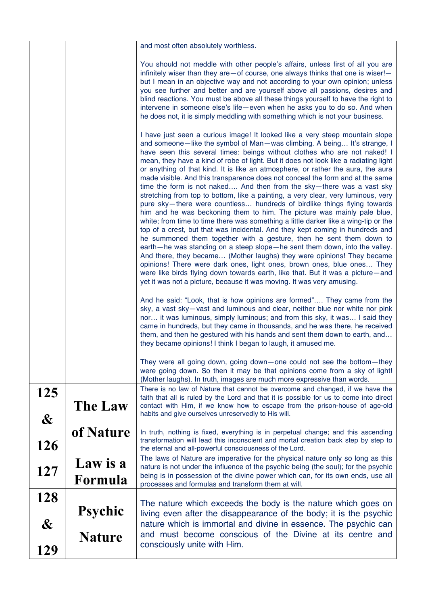|                                 |                                 | and most often absolutely worthless.                                                                                                                                                                                                                                                                                                                                                                                                                                                                                                                                                                                                                                                                                                                                                                                                                                                                                                                                                                                                                                                                                                                                                                                                                                                                                                                                                                                                                                |
|---------------------------------|---------------------------------|---------------------------------------------------------------------------------------------------------------------------------------------------------------------------------------------------------------------------------------------------------------------------------------------------------------------------------------------------------------------------------------------------------------------------------------------------------------------------------------------------------------------------------------------------------------------------------------------------------------------------------------------------------------------------------------------------------------------------------------------------------------------------------------------------------------------------------------------------------------------------------------------------------------------------------------------------------------------------------------------------------------------------------------------------------------------------------------------------------------------------------------------------------------------------------------------------------------------------------------------------------------------------------------------------------------------------------------------------------------------------------------------------------------------------------------------------------------------|
|                                 |                                 | You should not meddle with other people's affairs, unless first of all you are<br>infinitely wiser than they are – of course, one always thinks that one is wiser! –<br>but I mean in an objective way and not according to your own opinion; unless<br>you see further and better and are yourself above all passions, desires and<br>blind reactions. You must be above all these things yourself to have the right to<br>intervene in someone else's life-even when he asks you to do so. And when<br>he does not, it is simply meddling with something which is not your business.                                                                                                                                                                                                                                                                                                                                                                                                                                                                                                                                                                                                                                                                                                                                                                                                                                                                              |
|                                 |                                 | I have just seen a curious image! It looked like a very steep mountain slope<br>and someone—like the symbol of Man—was climbing. A being It's strange, I<br>have seen this several times: beings without clothes who are not naked! I<br>mean, they have a kind of robe of light. But it does not look like a radiating light<br>or anything of that kind. It is like an atmosphere, or rather the aura, the aura<br>made visible. And this transparence does not conceal the form and at the same<br>time the form is not naked And then from the sky—there was a vast sky<br>stretching from top to bottom, like a painting, a very clear, very luminous, very<br>pure sky-there were countless hundreds of birdlike things flying towards<br>him and he was beckoning them to him. The picture was mainly pale blue,<br>white; from time to time there was something a little darker like a wing-tip or the<br>top of a crest, but that was incidental. And they kept coming in hundreds and<br>he summoned them together with a gesture, then he sent them down to<br>earth—he was standing on a steep slope—he sent them down, into the valley.<br>And there, they became (Mother laughs) they were opinions! They became<br>opinions! There were dark ones, light ones, brown ones, blue ones They<br>were like birds flying down towards earth, like that. But it was a picture—and<br>yet it was not a picture, because it was moving. It was very amusing. |
|                                 |                                 | And he said: "Look, that is how opinions are formed" They came from the<br>sky, a vast sky-vast and luminous and clear, neither blue nor white nor pink<br>nor it was luminous, simply luminous; and from this sky, it was I said they<br>came in hundreds, but they came in thousands, and he was there, he received<br>them, and then he gestured with his hands and sent them down to earth, and<br>they became opinions! I think I began to laugh, it amused me.                                                                                                                                                                                                                                                                                                                                                                                                                                                                                                                                                                                                                                                                                                                                                                                                                                                                                                                                                                                                |
|                                 |                                 | They were all going down, going down-one could not see the bottom-they<br>were going down. So then it may be that opinions come from a sky of light!<br>(Mother laughs). In truth, images are much more expressive than words.                                                                                                                                                                                                                                                                                                                                                                                                                                                                                                                                                                                                                                                                                                                                                                                                                                                                                                                                                                                                                                                                                                                                                                                                                                      |
| <b>125</b><br>$\boldsymbol{\&}$ | <b>The Law</b>                  | There is no law of Nature that cannot be overcome and changed, if we have the<br>faith that all is ruled by the Lord and that it is possible for us to come into direct<br>contact with Him, if we know how to escape from the prison-house of age-old<br>habits and give ourselves unreservedly to His will.                                                                                                                                                                                                                                                                                                                                                                                                                                                                                                                                                                                                                                                                                                                                                                                                                                                                                                                                                                                                                                                                                                                                                       |
| 126                             | of Nature                       | In truth, nothing is fixed, everything is in perpetual change; and this ascending<br>transformation will lead this inconscient and mortal creation back step by step to<br>the eternal and all-powerful consciousness of the Lord.                                                                                                                                                                                                                                                                                                                                                                                                                                                                                                                                                                                                                                                                                                                                                                                                                                                                                                                                                                                                                                                                                                                                                                                                                                  |
| 127                             | Law is a<br>Formula             | The laws of Nature are imperative for the physical nature only so long as this<br>nature is not under the influence of the psychic being (the soul); for the psychic<br>being is in possession of the divine power which can, for its own ends, use all<br>processes and formulas and transform them at will.                                                                                                                                                                                                                                                                                                                                                                                                                                                                                                                                                                                                                                                                                                                                                                                                                                                                                                                                                                                                                                                                                                                                                       |
| <b>128</b>                      |                                 | The nature which exceeds the body is the nature which goes on                                                                                                                                                                                                                                                                                                                                                                                                                                                                                                                                                                                                                                                                                                                                                                                                                                                                                                                                                                                                                                                                                                                                                                                                                                                                                                                                                                                                       |
| $\boldsymbol{\&}$               | <b>Psychic</b><br><b>Nature</b> | living even after the disappearance of the body; it is the psychic<br>nature which is immortal and divine in essence. The psychic can<br>and must become conscious of the Divine at its centre and                                                                                                                                                                                                                                                                                                                                                                                                                                                                                                                                                                                                                                                                                                                                                                                                                                                                                                                                                                                                                                                                                                                                                                                                                                                                  |
| 129                             |                                 | consciously unite with Him.                                                                                                                                                                                                                                                                                                                                                                                                                                                                                                                                                                                                                                                                                                                                                                                                                                                                                                                                                                                                                                                                                                                                                                                                                                                                                                                                                                                                                                         |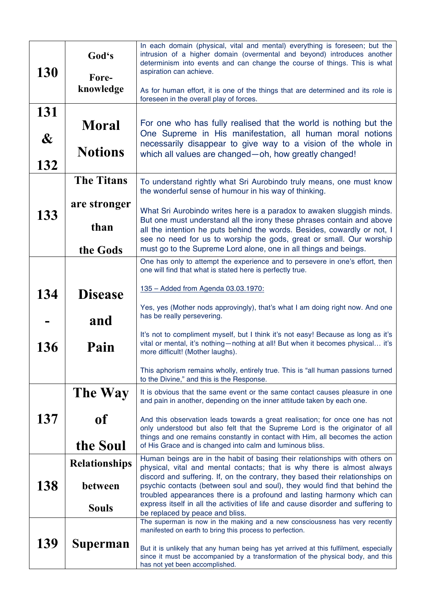| 130               | God's<br>Fore-       | In each domain (physical, vital and mental) everything is foreseen; but the<br>intrusion of a higher domain (overmental and beyond) introduces another<br>determinism into events and can change the course of things. This is what<br>aspiration can achieve. |
|-------------------|----------------------|----------------------------------------------------------------------------------------------------------------------------------------------------------------------------------------------------------------------------------------------------------------|
|                   | knowledge            | As for human effort, it is one of the things that are determined and its role is<br>foreseen in the overall play of forces.                                                                                                                                    |
| 131               |                      | For one who has fully realised that the world is nothing but the                                                                                                                                                                                               |
| $\boldsymbol{\&}$ | <b>Moral</b>         | One Supreme in His manifestation, all human moral notions<br>necessarily disappear to give way to a vision of the whole in                                                                                                                                     |
|                   | <b>Notions</b>       | which all values are changed - oh, how greatly changed!                                                                                                                                                                                                        |
| 132               | <b>The Titans</b>    |                                                                                                                                                                                                                                                                |
|                   |                      | To understand rightly what Sri Aurobindo truly means, one must know<br>the wonderful sense of humour in his way of thinking.                                                                                                                                   |
| 133               | are stronger         | What Sri Aurobindo writes here is a paradox to awaken sluggish minds.                                                                                                                                                                                          |
|                   | than                 | But one must understand all the irony these phrases contain and above<br>all the intention he puts behind the words. Besides, cowardly or not, I<br>see no need for us to worship the gods, great or small. Our worship                                        |
|                   | the Gods             | must go to the Supreme Lord alone, one in all things and beings.                                                                                                                                                                                               |
|                   |                      | One has only to attempt the experience and to persevere in one's effort, then<br>one will find that what is stated here is perfectly true.                                                                                                                     |
| 134               | <b>Disease</b>       | 135 - Added from Agenda 03.03.1970:                                                                                                                                                                                                                            |
|                   | and                  | Yes, yes (Mother nods approvingly), that's what I am doing right now. And one<br>has be really persevering.                                                                                                                                                    |
| 136               | Pain                 | It's not to compliment myself, but I think it's not easy! Because as long as it's<br>vital or mental, it's nothing-nothing at all! But when it becomes physical it's<br>more difficult! (Mother laughs).                                                       |
|                   |                      | This aphorism remains wholly, entirely true. This is "all human passions turned<br>to the Divine," and this is the Response.                                                                                                                                   |
|                   | The Way              | It is obvious that the same event or the same contact causes pleasure in one<br>and pain in another, depending on the inner attitude taken by each one.                                                                                                        |
| 137               | of                   | And this observation leads towards a great realisation; for once one has not<br>only understood but also felt that the Supreme Lord is the originator of all<br>things and one remains constantly in contact with Him, all becomes the action                  |
|                   | the Soul             | of His Grace and is changed into calm and luminous bliss.                                                                                                                                                                                                      |
|                   | <b>Relationships</b> | Human beings are in the habit of basing their relationships with others on<br>physical, vital and mental contacts; that is why there is almost always                                                                                                          |
| 138               | between              | discord and suffering. If, on the contrary, they based their relationships on<br>psychic contacts (between soul and soul), they would find that behind the<br>troubled appearances there is a profound and lasting harmony which can                           |
|                   | <b>Souls</b>         | express itself in all the activities of life and cause disorder and suffering to<br>be replaced by peace and bliss.                                                                                                                                            |
|                   |                      | The superman is now in the making and a new consciousness has very recently<br>manifested on earth to bring this process to perfection.                                                                                                                        |
| 139               | Superman             | But it is unlikely that any human being has yet arrived at this fulfilment, especially<br>since it must be accompanied by a transformation of the physical body, and this<br>has not yet been accomplished.                                                    |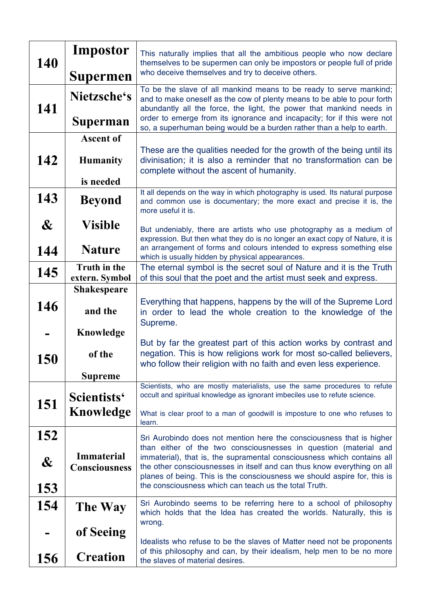| 140               | Impostor                                  | This naturally implies that all the ambitious people who now declare<br>themselves to be supermen can only be impostors or people full of pride<br>who deceive themselves and try to deceive others.                  |
|-------------------|-------------------------------------------|-----------------------------------------------------------------------------------------------------------------------------------------------------------------------------------------------------------------------|
|                   | Supermen                                  |                                                                                                                                                                                                                       |
| 141               | Nietzsche's                               | To be the slave of all mankind means to be ready to serve mankind;<br>and to make oneself as the cow of plenty means to be able to pour forth<br>abundantly all the force, the light, the power that mankind needs in |
|                   | Superman                                  | order to emerge from its ignorance and incapacity; for if this were not<br>so, a superhuman being would be a burden rather than a help to earth.                                                                      |
|                   | <b>Ascent of</b>                          |                                                                                                                                                                                                                       |
| 142               | <b>Humanity</b>                           | These are the qualities needed for the growth of the being until its<br>divinisation; it is also a reminder that no transformation can be<br>complete without the ascent of humanity.                                 |
|                   | is needed                                 |                                                                                                                                                                                                                       |
| 143               | <b>Beyond</b>                             | It all depends on the way in which photography is used. Its natural purpose<br>and common use is documentary; the more exact and precise it is, the<br>more useful it is.                                             |
| $\boldsymbol{\&}$ | <b>Visible</b>                            | But undeniably, there are artists who use photography as a medium of<br>expression. But then what they do is no longer an exact copy of Nature, it is                                                                 |
| 144               | <b>Nature</b>                             | an arrangement of forms and colours intended to express something else<br>which is usually hidden by physical appearances.                                                                                            |
|                   | <b>Truth in the</b>                       | The eternal symbol is the secret soul of Nature and it is the Truth                                                                                                                                                   |
| 145               | extern. Symbol                            | of this soul that the poet and the artist must seek and express.                                                                                                                                                      |
|                   | <b>Shakespeare</b>                        |                                                                                                                                                                                                                       |
| 146               | and the                                   | Everything that happens, happens by the will of the Supreme Lord<br>in order to lead the whole creation to the knowledge of the<br>Supreme.                                                                           |
|                   | Knowledge                                 |                                                                                                                                                                                                                       |
| 150               | of the                                    | But by far the greatest part of this action works by contrast and<br>negation. This is how religions work for most so-called believers,<br>who follow their religion with no faith and even less experience.          |
|                   | <b>Supreme</b>                            |                                                                                                                                                                                                                       |
|                   | Scientists <sup>4</sup>                   | Scientists, who are mostly materialists, use the same procedures to refute<br>occult and spiritual knowledge as ignorant imbeciles use to refute science.                                                             |
| 151               | Knowledge                                 | What is clear proof to a man of goodwill is imposture to one who refuses to<br>learn.                                                                                                                                 |
| <b>152</b>        |                                           | Sri Aurobindo does not mention here the consciousness that is higher                                                                                                                                                  |
|                   |                                           | than either of the two consciousnesses in question (material and                                                                                                                                                      |
| $\boldsymbol{\&}$ | <b>Immaterial</b><br><b>Consciousness</b> | immaterial), that is, the supramental consciousness which contains all<br>the other consciousnesses in itself and can thus know everything on all                                                                     |
| 153               |                                           | planes of being. This is the consciousness we should aspire for, this is<br>the consciousness which can teach us the total Truth.                                                                                     |
|                   |                                           | Sri Aurobindo seems to be referring here to a school of philosophy                                                                                                                                                    |
| 154               | The Way                                   | which holds that the Idea has created the worlds. Naturally, this is<br>wrong.                                                                                                                                        |
|                   | of Seeing                                 |                                                                                                                                                                                                                       |
| 156               | <b>Creation</b>                           | Idealists who refuse to be the slaves of Matter need not be proponents<br>of this philosophy and can, by their idealism, help men to be no more<br>the slaves of material desires.                                    |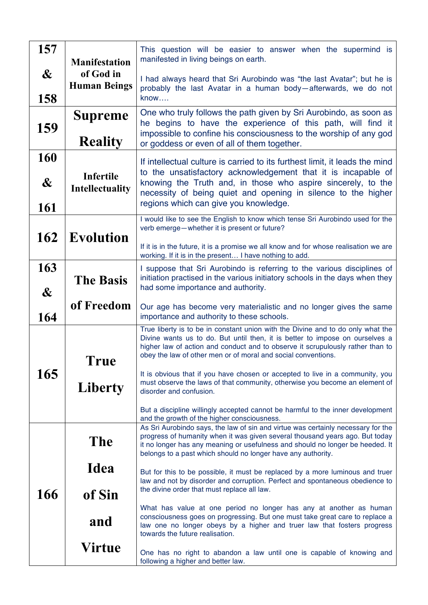| 157                      | <b>Manifestation</b><br>of God in<br><b>Human Beings</b> | This question will be easier to answer when the supermind is<br>manifested in living beings on earth.                                                                                                                                                                                                                                                                                               |
|--------------------------|----------------------------------------------------------|-----------------------------------------------------------------------------------------------------------------------------------------------------------------------------------------------------------------------------------------------------------------------------------------------------------------------------------------------------------------------------------------------------|
| $\boldsymbol{\&}$<br>158 |                                                          | I had always heard that Sri Aurobindo was "the last Avatar"; but he is<br>probably the last Avatar in a human body-afterwards, we do not<br>known                                                                                                                                                                                                                                                   |
|                          |                                                          |                                                                                                                                                                                                                                                                                                                                                                                                     |
| 159                      | <b>Supreme</b><br><b>Reality</b>                         | One who truly follows the path given by Sri Aurobindo, as soon as<br>he begins to have the experience of this path, will find it<br>impossible to confine his consciousness to the worship of any god<br>or goddess or even of all of them together.                                                                                                                                                |
| <b>160</b>               |                                                          |                                                                                                                                                                                                                                                                                                                                                                                                     |
| $\boldsymbol{\&}$        | <b>Infertile</b><br><b>Intellectuality</b>               | If intellectual culture is carried to its furthest limit, it leads the mind<br>to the unsatisfactory acknowledgement that it is incapable of<br>knowing the Truth and, in those who aspire sincerely, to the<br>necessity of being quiet and opening in silence to the higher                                                                                                                       |
| 161                      |                                                          | regions which can give you knowledge.                                                                                                                                                                                                                                                                                                                                                               |
| 162                      | <b>Evolution</b>                                         | I would like to see the English to know which tense Sri Aurobindo used for the<br>verb emerge-whether it is present or future?                                                                                                                                                                                                                                                                      |
|                          |                                                          | If it is in the future, it is a promise we all know and for whose realisation we are<br>working. If it is in the present I have nothing to add.                                                                                                                                                                                                                                                     |
| 163<br>$\boldsymbol{\&}$ | <b>The Basis</b>                                         | I suppose that Sri Aurobindo is referring to the various disciplines of<br>initiation practised in the various initiatory schools in the days when they<br>had some importance and authority.                                                                                                                                                                                                       |
| 164                      | of Freedom                                               | Our age has become very materialistic and no longer gives the same<br>importance and authority to these schools.                                                                                                                                                                                                                                                                                    |
| 165                      | <b>True</b>                                              | True liberty is to be in constant union with the Divine and to do only what the<br>Divine wants us to do. But until then, it is better to impose on ourselves a<br>higher law of action and conduct and to observe it scrupulously rather than to<br>obey the law of other men or of moral and social conventions.<br>It is obvious that if you have chosen or accepted to live in a community, you |
|                          | Liberty                                                  | must observe the laws of that community, otherwise you become an element of<br>disorder and confusion.                                                                                                                                                                                                                                                                                              |
|                          |                                                          | But a discipline willingly accepted cannot be harmful to the inner development                                                                                                                                                                                                                                                                                                                      |
|                          |                                                          | and the growth of the higher consciousness.<br>As Sri Aurobindo says, the law of sin and virtue was certainly necessary for the                                                                                                                                                                                                                                                                     |
| 166                      | <b>The</b>                                               | progress of humanity when it was given several thousand years ago. But today<br>it no longer has any meaning or usefulness and should no longer be heeded. It<br>belongs to a past which should no longer have any authority.                                                                                                                                                                       |
|                          | Idea                                                     | But for this to be possible, it must be replaced by a more luminous and truer<br>law and not by disorder and corruption. Perfect and spontaneous obedience to                                                                                                                                                                                                                                       |
|                          | of Sin                                                   | the divine order that must replace all law.                                                                                                                                                                                                                                                                                                                                                         |
|                          | and                                                      | What has value at one period no longer has any at another as human<br>consciousness goes on progressing. But one must take great care to replace a<br>law one no longer obeys by a higher and truer law that fosters progress<br>towards the future realisation.                                                                                                                                    |
|                          | Virtue                                                   | One has no right to abandon a law until one is capable of knowing and<br>following a higher and better law.                                                                                                                                                                                                                                                                                         |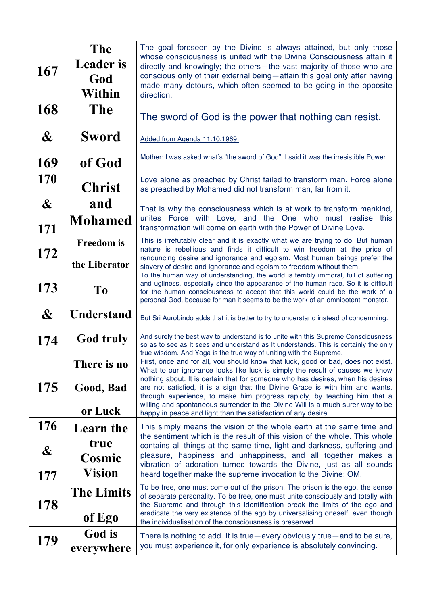| 167                      | <b>The</b><br><b>Leader</b> is<br>God<br>Within | The goal foreseen by the Divine is always attained, but only those<br>whose consciousness is united with the Divine Consciousness attain it<br>directly and knowingly; the others—the vast majority of those who are<br>conscious only of their external being-attain this goal only after having<br>made many detours, which often seemed to be going in the opposite<br>direction. |
|--------------------------|-------------------------------------------------|--------------------------------------------------------------------------------------------------------------------------------------------------------------------------------------------------------------------------------------------------------------------------------------------------------------------------------------------------------------------------------------|
| 168                      | <b>The</b>                                      | The sword of God is the power that nothing can resist.                                                                                                                                                                                                                                                                                                                               |
| $\boldsymbol{\&}$        | <b>Sword</b>                                    | Added from Agenda 11.10.1969:                                                                                                                                                                                                                                                                                                                                                        |
| 169                      | of God                                          | Mother: I was asked what's "the sword of God". I said it was the irresistible Power.                                                                                                                                                                                                                                                                                                 |
| <b>170</b>               | <b>Christ</b>                                   | Love alone as preached by Christ failed to transform man. Force alone<br>as preached by Mohamed did not transform man, far from it.                                                                                                                                                                                                                                                  |
| $\boldsymbol{\&}$<br>171 | and<br><b>Mohamed</b>                           | That is why the consciousness which is at work to transform mankind,<br>unites Force with Love, and the One who must realise this<br>transformation will come on earth with the Power of Divine Love.                                                                                                                                                                                |
| 172                      | <b>Freedom</b> is<br>the Liberator              | This is irrefutably clear and it is exactly what we are trying to do. But human<br>nature is rebellious and finds it difficult to win freedom at the price of<br>renouncing desire and ignorance and egoism. Most human beings prefer the<br>slavery of desire and ignorance and egoism to freedom without them.                                                                     |
| 173                      | To                                              | To the human way of understanding, the world is terribly immoral, full of suffering<br>and ugliness, especially since the appearance of the human race. So it is difficult<br>for the human consciousness to accept that this world could be the work of a<br>personal God, because for man it seems to be the work of an omnipotent monster.                                        |
| $\boldsymbol{\&}$        | <b>Understand</b>                               | But Sri Aurobindo adds that it is better to try to understand instead of condemning.                                                                                                                                                                                                                                                                                                 |
| 174                      | <b>God truly</b>                                | And surely the best way to understand is to unite with this Supreme Consciousness<br>so as to see as It sees and understand as It understands. This is certainly the only<br>true wisdom. And Yoga is the true way of uniting with the Supreme.                                                                                                                                      |
|                          | There is no                                     | First, once and for all, you should know that luck, good or bad, does not exist.<br>What to our ignorance looks like luck is simply the result of causes we know                                                                                                                                                                                                                     |
| 175                      | Good, Bad                                       | nothing about. It is certain that for someone who has desires, when his desires<br>are not satisfied, it is a sign that the Divine Grace is with him and wants,<br>through experience, to make him progress rapidly, by teaching him that a<br>willing and spontaneous surrender to the Divine Will is a much surer way to be                                                        |
|                          | or Luck                                         | happy in peace and light than the satisfaction of any desire.                                                                                                                                                                                                                                                                                                                        |
| 176                      | <b>Learn the</b>                                | This simply means the vision of the whole earth at the same time and<br>the sentiment which is the result of this vision of the whole. This whole                                                                                                                                                                                                                                    |
| &                        | true<br>Cosmic                                  | contains all things at the same time, light and darkness, suffering and<br>pleasure, happiness and unhappiness, and all together makes a                                                                                                                                                                                                                                             |
| 177                      | <b>Vision</b>                                   | vibration of adoration turned towards the Divine, just as all sounds<br>heard together make the supreme invocation to the Divine: OM.                                                                                                                                                                                                                                                |
|                          | <b>The Limits</b>                               | To be free, one must come out of the prison. The prison is the ego, the sense<br>of separate personality. To be free, one must unite consciously and totally with                                                                                                                                                                                                                    |
| 178                      | of Ego                                          | the Supreme and through this identification break the limits of the ego and<br>eradicate the very existence of the ego by universalising oneself, even though<br>the individualisation of the consciousness is preserved.                                                                                                                                                            |
| 179                      | God is<br>everywhere                            | There is nothing to add. It is true—every obviously true—and to be sure,<br>you must experience it, for only experience is absolutely convincing.                                                                                                                                                                                                                                    |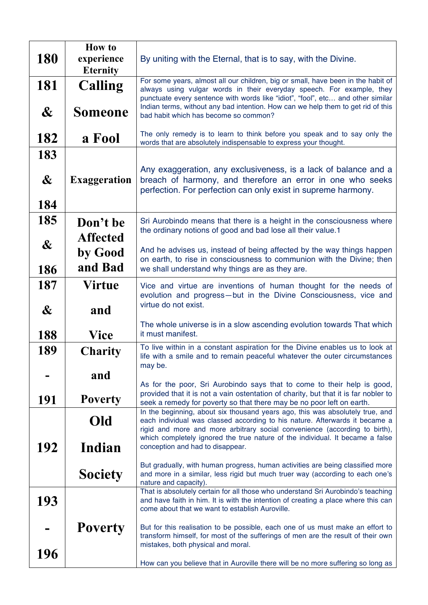|                          | <b>How to</b>               |                                                                                                                                                                                                                                                                                                                                  |
|--------------------------|-----------------------------|----------------------------------------------------------------------------------------------------------------------------------------------------------------------------------------------------------------------------------------------------------------------------------------------------------------------------------|
| 180                      | experience                  | By uniting with the Eternal, that is to say, with the Divine.                                                                                                                                                                                                                                                                    |
|                          | <b>Eternity</b>             |                                                                                                                                                                                                                                                                                                                                  |
| 181                      | <b>Calling</b>              | For some years, almost all our children, big or small, have been in the habit of<br>always using vulgar words in their everyday speech. For example, they<br>punctuate every sentence with words like "idiot", "fool", etc and other similar<br>Indian terms, without any bad intention. How can we help them to get rid of this |
| $\boldsymbol{\&}$        | <b>Someone</b>              | bad habit which has become so common?                                                                                                                                                                                                                                                                                            |
| 182                      | a Fool                      | The only remedy is to learn to think before you speak and to say only the<br>words that are absolutely indispensable to express your thought.                                                                                                                                                                                    |
| 183                      |                             |                                                                                                                                                                                                                                                                                                                                  |
| $\boldsymbol{\&}$<br>184 | <b>Exaggeration</b>         | Any exaggeration, any exclusiveness, is a lack of balance and a<br>breach of harmony, and therefore an error in one who seeks<br>perfection. For perfection can only exist in supreme harmony.                                                                                                                                   |
|                          |                             |                                                                                                                                                                                                                                                                                                                                  |
| 185                      | Don't be<br><b>Affected</b> | Sri Aurobindo means that there is a height in the consciousness where<br>the ordinary notions of good and bad lose all their value.1                                                                                                                                                                                             |
| &                        |                             | And he advises us, instead of being affected by the way things happen                                                                                                                                                                                                                                                            |
|                          | by Good                     | on earth, to rise in consciousness to communion with the Divine; then                                                                                                                                                                                                                                                            |
| 186                      | and Bad                     | we shall understand why things are as they are.                                                                                                                                                                                                                                                                                  |
| 187                      | <b>Virtue</b>               | Vice and virtue are inventions of human thought for the needs of<br>evolution and progress-but in the Divine Consciousness, vice and                                                                                                                                                                                             |
| $\boldsymbol{\&}$        | and                         | virtue do not exist.                                                                                                                                                                                                                                                                                                             |
| 188                      | <b>Vice</b>                 | The whole universe is in a slow ascending evolution towards That which<br>it must manifest.                                                                                                                                                                                                                                      |
| 189                      | Charity                     | To live within in a constant aspiration for the Divine enables us to look at<br>life with a smile and to remain peaceful whatever the outer circumstances<br>may be.                                                                                                                                                             |
|                          | and                         | As for the poor, Sri Aurobindo says that to come to their help is good,                                                                                                                                                                                                                                                          |
| 191                      | <b>Poverty</b>              | provided that it is not a vain ostentation of charity, but that it is far nobler to<br>seek a remedy for poverty so that there may be no poor left on earth.                                                                                                                                                                     |
|                          | Old                         | In the beginning, about six thousand years ago, this was absolutely true, and<br>each individual was classed according to his nature. Afterwards it became a<br>rigid and more and more arbitrary social convenience (according to birth),<br>which completely ignored the true nature of the individual. It became a false      |
| 192                      | Indian                      | conception and had to disappear.                                                                                                                                                                                                                                                                                                 |
|                          | <b>Society</b>              | But gradually, with human progress, human activities are being classified more<br>and more in a similar, less rigid but much truer way (according to each one's<br>nature and capacity).                                                                                                                                         |
| 193                      |                             | That is absolutely certain for all those who understand Sri Aurobindo's teaching<br>and have faith in him. It is with the intention of creating a place where this can<br>come about that we want to establish Auroville.                                                                                                        |
|                          | <b>Poverty</b>              | But for this realisation to be possible, each one of us must make an effort to<br>transform himself, for most of the sufferings of men are the result of their own<br>mistakes, both physical and moral.                                                                                                                         |
| 196                      |                             | How can you believe that in Auroville there will be no more suffering so long as                                                                                                                                                                                                                                                 |